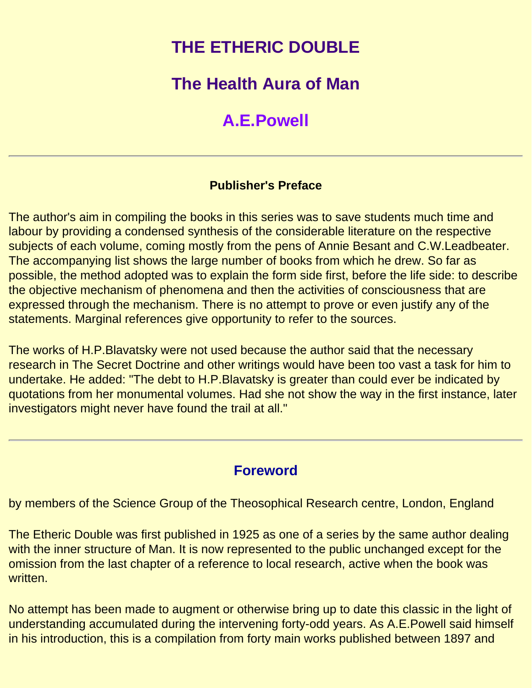# **THE ETHERIC DOUBLE**

# **The Health Aura of Man**

# **A.E.Powell**

#### **Publisher's Preface**

The author's aim in compiling the books in this series was to save students much time and labour by providing a condensed synthesis of the considerable literature on the respective subjects of each volume, coming mostly from the pens of Annie Besant and C.W.Leadbeater. The accompanying list shows the large number of books from which he drew. So far as possible, the method adopted was to explain the form side first, before the life side: to describe the objective mechanism of phenomena and then the activities of consciousness that are expressed through the mechanism. There is no attempt to prove or even justify any of the statements. Marginal references give opportunity to refer to the sources.

The works of H.P.Blavatsky were not used because the author said that the necessary research in The Secret Doctrine and other writings would have been too vast a task for him to undertake. He added: "The debt to H.P.Blavatsky is greater than could ever be indicated by quotations from her monumental volumes. Had she not show the way in the first instance, later investigators might never have found the trail at all."

#### **Foreword**

by members of the Science Group of the Theosophical Research centre, London, England

The Etheric Double was first published in 1925 as one of a series by the same author dealing with the inner structure of Man. It is now represented to the public unchanged except for the omission from the last chapter of a reference to local research, active when the book was written.

No attempt has been made to augment or otherwise bring up to date this classic in the light of understanding accumulated during the intervening forty-odd years. As A.E.Powell said himself in his introduction, this is a compilation from forty main works published between 1897 and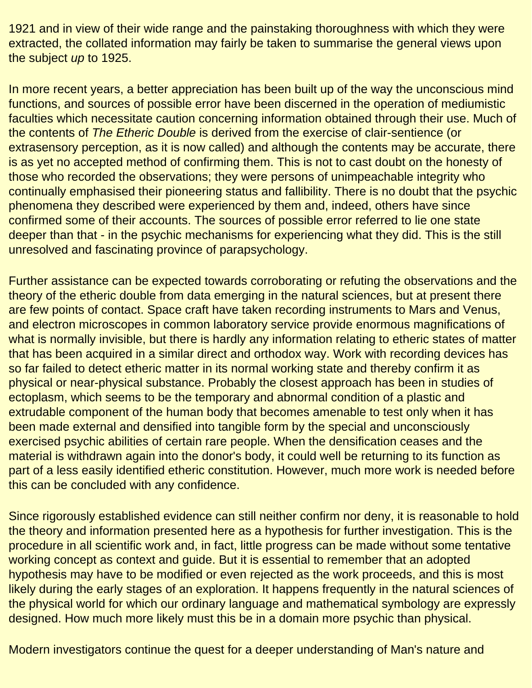1921 and in view of their wide range and the painstaking thoroughness with which they were extracted, the collated information may fairly be taken to summarise the general views upon the subject *up* to 1925.

In more recent years, a better appreciation has been built up of the way the unconscious mind functions, and sources of possible error have been discerned in the operation of mediumistic faculties which necessitate caution concerning information obtained through their use. Much of the contents of *The Etheric Double* is derived from the exercise of clair-sentience (or extrasensory perception, as it is now called) and although the contents may be accurate, there is as yet no accepted method of confirming them. This is not to cast doubt on the honesty of those who recorded the observations; they were persons of unimpeachable integrity who continually emphasised their pioneering status and fallibility. There is no doubt that the psychic phenomena they described were experienced by them and, indeed, others have since confirmed some of their accounts. The sources of possible error referred to lie one state deeper than that - in the psychic mechanisms for experiencing what they did. This is the still unresolved and fascinating province of parapsychology.

Further assistance can be expected towards corroborating or refuting the observations and the theory of the etheric double from data emerging in the natural sciences, but at present there are few points of contact. Space craft have taken recording instruments to Mars and Venus, and electron microscopes in common laboratory service provide enormous magnifications of what is normally invisible, but there is hardly any information relating to etheric states of matter that has been acquired in a similar direct and orthodox way. Work with recording devices has so far failed to detect etheric matter in its normal working state and thereby confirm it as physical or near-physical substance. Probably the closest approach has been in studies of ectoplasm, which seems to be the temporary and abnormal condition of a plastic and extrudable component of the human body that becomes amenable to test only when it has been made external and densified into tangible form by the special and unconsciously exercised psychic abilities of certain rare people. When the densification ceases and the material is withdrawn again into the donor's body, it could well be returning to its function as part of a less easily identified etheric constitution. However, much more work is needed before this can be concluded with any confidence.

Since rigorously established evidence can still neither confirm nor deny, it is reasonable to hold the theory and information presented here as a hypothesis for further investigation. This is the procedure in all scientific work and, in fact, little progress can be made without some tentative working concept as context and guide. But it is essential to remember that an adopted hypothesis may have to be modified or even rejected as the work proceeds, and this is most likely during the early stages of an exploration. It happens frequently in the natural sciences of the physical world for which our ordinary language and mathematical symbology are expressly designed. How much more likely must this be in a domain more psychic than physical.

Modern investigators continue the quest for a deeper understanding of Man's nature and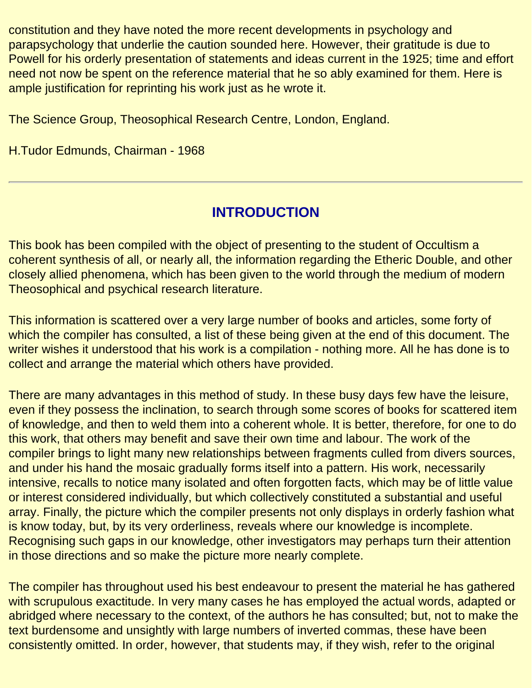constitution and they have noted the more recent developments in psychology and parapsychology that underlie the caution sounded here. However, their gratitude is due to Powell for his orderly presentation of statements and ideas current in the 1925; time and effort need not now be spent on the reference material that he so ably examined for them. Here is ample justification for reprinting his work just as he wrote it.

The Science Group, Theosophical Research Centre, London, England.

H.Tudor Edmunds, Chairman - 1968

#### **INTRODUCTION**

This book has been compiled with the object of presenting to the student of Occultism a coherent synthesis of all, or nearly all, the information regarding the Etheric Double, and other closely allied phenomena, which has been given to the world through the medium of modern Theosophical and psychical research literature.

This information is scattered over a very large number of books and articles, some forty of which the compiler has consulted, a list of these being given at the end of this document. The writer wishes it understood that his work is a compilation - nothing more. All he has done is to collect and arrange the material which others have provided.

There are many advantages in this method of study. In these busy days few have the leisure, even if they possess the inclination, to search through some scores of books for scattered item of knowledge, and then to weld them into a coherent whole. It is better, therefore, for one to do this work, that others may benefit and save their own time and labour. The work of the compiler brings to light many new relationships between fragments culled from divers sources, and under his hand the mosaic gradually forms itself into a pattern. His work, necessarily intensive, recalls to notice many isolated and often forgotten facts, which may be of little value or interest considered individually, but which collectively constituted a substantial and useful array. Finally, the picture which the compiler presents not only displays in orderly fashion what is know today, but, by its very orderliness, reveals where our knowledge is incomplete. Recognising such gaps in our knowledge, other investigators may perhaps turn their attention in those directions and so make the picture more nearly complete.

The compiler has throughout used his best endeavour to present the material he has gathered with scrupulous exactitude. In very many cases he has employed the actual words, adapted or abridged where necessary to the context, of the authors he has consulted; but, not to make the text burdensome and unsightly with large numbers of inverted commas, these have been consistently omitted. In order, however, that students may, if they wish, refer to the original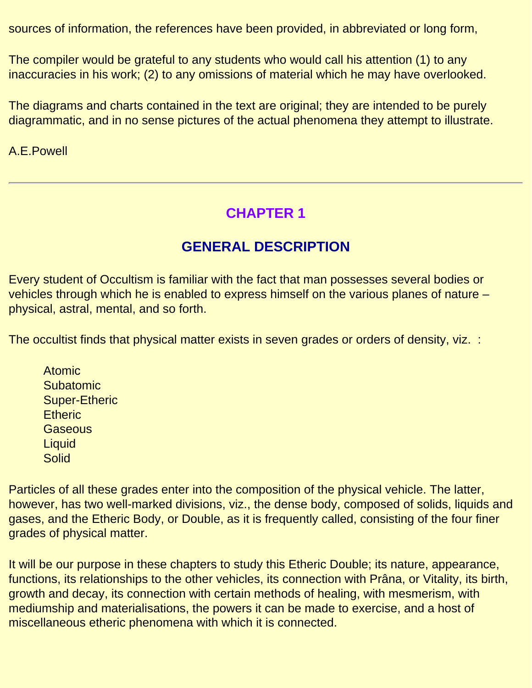sources of information, the references have been provided, in abbreviated or long form,

The compiler would be grateful to any students who would call his attention (1) to any inaccuracies in his work; (2) to any omissions of material which he may have overlooked.

The diagrams and charts contained in the text are original; they are intended to be purely diagrammatic, and in no sense pictures of the actual phenomena they attempt to illustrate.

A.E.Powell

#### **CHAPTER 1**

#### **GENERAL DESCRIPTION**

Every student of Occultism is familiar with the fact that man possesses several bodies or vehicles through which he is enabled to express himself on the various planes of nature – physical, astral, mental, and so forth.

The occultist finds that physical matter exists in seven grades or orders of density, viz. :

Atomic **Subatomic** Super-Etheric **Etheric Gaseous Liquid Solid** 

Particles of all these grades enter into the composition of the physical vehicle. The latter, however, has two well-marked divisions, viz., the dense body, composed of solids, liquids and gases, and the Etheric Body, or Double, as it is frequently called, consisting of the four finer grades of physical matter.

It will be our purpose in these chapters to study this Etheric Double; its nature, appearance, functions, its relationships to the other vehicles, its connection with Prâna, or Vitality, its birth, growth and decay, its connection with certain methods of healing, with mesmerism, with mediumship and materialisations, the powers it can be made to exercise, and a host of miscellaneous etheric phenomena with which it is connected.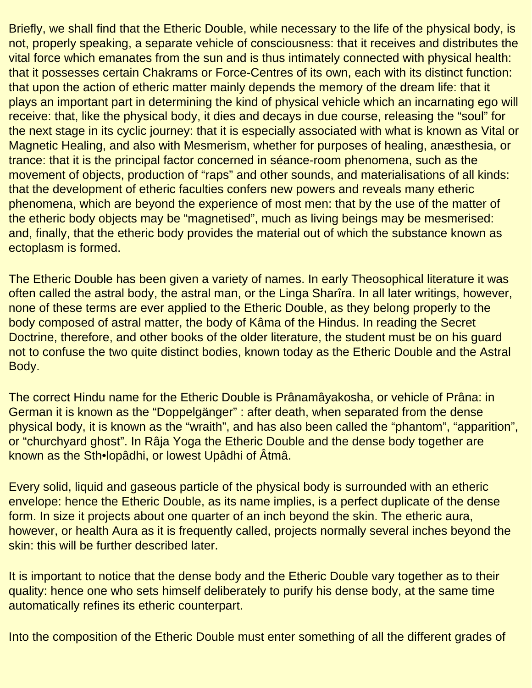Briefly, we shall find that the Etheric Double, while necessary to the life of the physical body, is not, properly speaking, a separate vehicle of consciousness: that it receives and distributes the vital force which emanates from the sun and is thus intimately connected with physical health: that it possesses certain Chakrams or Force-Centres of its own, each with its distinct function: that upon the action of etheric matter mainly depends the memory of the dream life: that it plays an important part in determining the kind of physical vehicle which an incarnating ego will receive: that, like the physical body, it dies and decays in due course, releasing the "soul" for the next stage in its cyclic journey: that it is especially associated with what is known as Vital or Magnetic Healing, and also with Mesmerism, whether for purposes of healing, anæsthesia, or trance: that it is the principal factor concerned in séance-room phenomena, such as the movement of objects, production of "raps" and other sounds, and materialisations of all kinds: that the development of etheric faculties confers new powers and reveals many etheric phenomena, which are beyond the experience of most men: that by the use of the matter of the etheric body objects may be "magnetised", much as living beings may be mesmerised: and, finally, that the etheric body provides the material out of which the substance known as ectoplasm is formed.

The Etheric Double has been given a variety of names. In early Theosophical literature it was often called the astral body, the astral man, or the Linga Sharîra. In all later writings, however, none of these terms are ever applied to the Etheric Double, as they belong properly to the body composed of astral matter, the body of Kâma of the Hindus. In reading the Secret Doctrine, therefore, and other books of the older literature, the student must be on his guard not to confuse the two quite distinct bodies, known today as the Etheric Double and the Astral Body.

The correct Hindu name for the Etheric Double is Prânamâyakosha, or vehicle of Prâna: in German it is known as the "Doppelgänger" : after death, when separated from the dense physical body, it is known as the "wraith", and has also been called the "phantom", "apparition", or "churchyard ghost". In Râja Yoga the Etheric Double and the dense body together are known as the Sth•lopâdhi, or lowest Upâdhi of Âtmâ.

Every solid, liquid and gaseous particle of the physical body is surrounded with an etheric envelope: hence the Etheric Double, as its name implies, is a perfect duplicate of the dense form. In size it projects about one quarter of an inch beyond the skin. The etheric aura, however, or health Aura as it is frequently called, projects normally several inches beyond the skin: this will be further described later.

It is important to notice that the dense body and the Etheric Double vary together as to their quality: hence one who sets himself deliberately to purify his dense body, at the same time automatically refines its etheric counterpart.

Into the composition of the Etheric Double must enter something of all the different grades of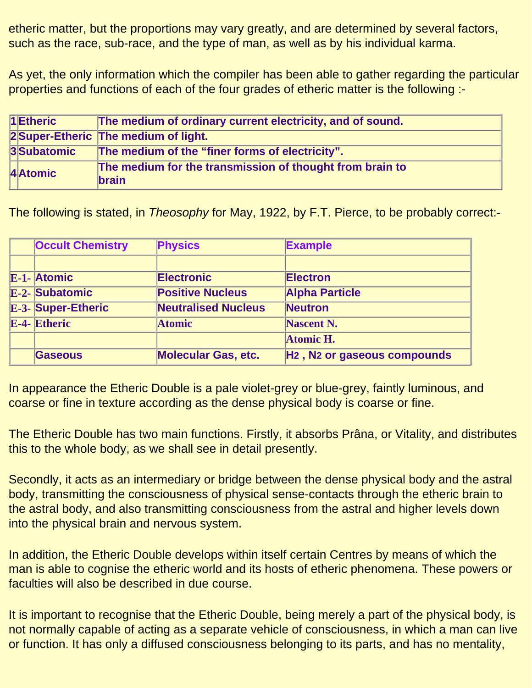etheric matter, but the proportions may vary greatly, and are determined by several factors, such as the race, sub-race, and the type of man, as well as by his individual karma.

As yet, the only information which the compiler has been able to gather regarding the particular properties and functions of each of the four grades of etheric matter is the following :-

| 1 <b>Etheric</b>   | The medium of ordinary current electricity, and of sound.                |
|--------------------|--------------------------------------------------------------------------|
|                    | 2Super-Etheric The medium of light.                                      |
| <b>3</b> Subatomic | The medium of the "finer forms of electricity".                          |
| 4 Atomic           | The medium for the transmission of thought from brain to<br><b>brain</b> |

The following is stated, in *Theosophy* for May, 1922, by F.T. Pierce, to be probably correct:-

| <b>Occult Chemistry</b>   | <b>Physics</b>             | <b>Example</b>                                       |
|---------------------------|----------------------------|------------------------------------------------------|
|                           |                            |                                                      |
| $E-1$ - Atomic            | <b>Electronic</b>          | <b>Electron</b>                                      |
| E-2- Subatomic            | <b>Positive Nucleus</b>    | <b>Alpha Particle</b>                                |
| <b>E-3-</b> Super-Etheric | <b>Neutralised Nucleus</b> | <b>Neutron</b>                                       |
| $E-4$ - Etheric           | <b>Atomic</b>              | Nascent N.                                           |
|                           |                            | Atomic H.                                            |
| Gaseous                   | <b>Molecular Gas, etc.</b> | H <sub>2</sub> , N <sub>2</sub> or gaseous compounds |

In appearance the Etheric Double is a pale violet-grey or blue-grey, faintly luminous, and coarse or fine in texture according as the dense physical body is coarse or fine.

The Etheric Double has two main functions. Firstly, it absorbs Prâna, or Vitality, and distributes this to the whole body, as we shall see in detail presently.

Secondly, it acts as an intermediary or bridge between the dense physical body and the astral body, transmitting the consciousness of physical sense-contacts through the etheric brain to the astral body, and also transmitting consciousness from the astral and higher levels down into the physical brain and nervous system.

In addition, the Etheric Double develops within itself certain Centres by means of which the man is able to cognise the etheric world and its hosts of etheric phenomena. These powers or faculties will also be described in due course.

It is important to recognise that the Etheric Double, being merely a part of the physical body, is not normally capable of acting as a separate vehicle of consciousness, in which a man can live or function. It has only a diffused consciousness belonging to its parts, and has no mentality,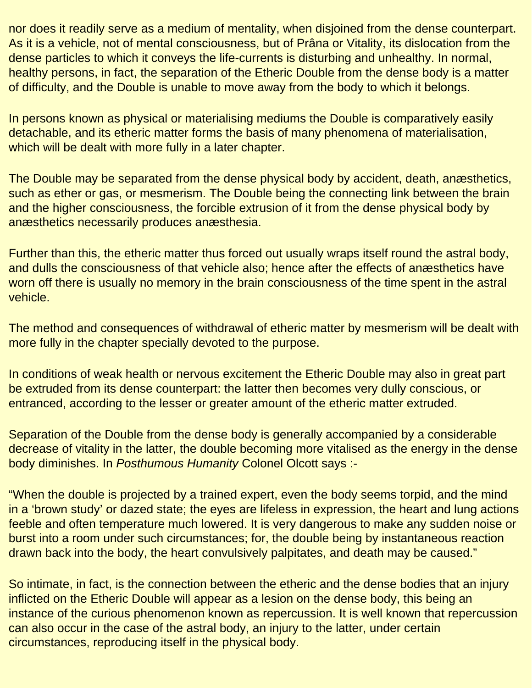nor does it readily serve as a medium of mentality, when disjoined from the dense counterpart. As it is a vehicle, not of mental consciousness, but of Prâna or Vitality, its dislocation from the dense particles to which it conveys the life-currents is disturbing and unhealthy. In normal, healthy persons, in fact, the separation of the Etheric Double from the dense body is a matter of difficulty, and the Double is unable to move away from the body to which it belongs.

In persons known as physical or materialising mediums the Double is comparatively easily detachable, and its etheric matter forms the basis of many phenomena of materialisation, which will be dealt with more fully in a later chapter.

The Double may be separated from the dense physical body by accident, death, anæsthetics, such as ether or gas, or mesmerism. The Double being the connecting link between the brain and the higher consciousness, the forcible extrusion of it from the dense physical body by anæsthetics necessarily produces anæsthesia.

Further than this, the etheric matter thus forced out usually wraps itself round the astral body, and dulls the consciousness of that vehicle also; hence after the effects of anæsthetics have worn off there is usually no memory in the brain consciousness of the time spent in the astral vehicle.

The method and consequences of withdrawal of etheric matter by mesmerism will be dealt with more fully in the chapter specially devoted to the purpose.

In conditions of weak health or nervous excitement the Etheric Double may also in great part be extruded from its dense counterpart: the latter then becomes very dully conscious, or entranced, according to the lesser or greater amount of the etheric matter extruded.

Separation of the Double from the dense body is generally accompanied by a considerable decrease of vitality in the latter, the double becoming more vitalised as the energy in the dense body diminishes. In *Posthumous Humanity* Colonel Olcott says :-

"When the double is projected by a trained expert, even the body seems torpid, and the mind in a 'brown study' or dazed state; the eyes are lifeless in expression, the heart and lung actions feeble and often temperature much lowered. It is very dangerous to make any sudden noise or burst into a room under such circumstances; for, the double being by instantaneous reaction drawn back into the body, the heart convulsively palpitates, and death may be caused."

So intimate, in fact, is the connection between the etheric and the dense bodies that an injury inflicted on the Etheric Double will appear as a lesion on the dense body, this being an instance of the curious phenomenon known as repercussion. It is well known that repercussion can also occur in the case of the astral body, an injury to the latter, under certain circumstances, reproducing itself in the physical body.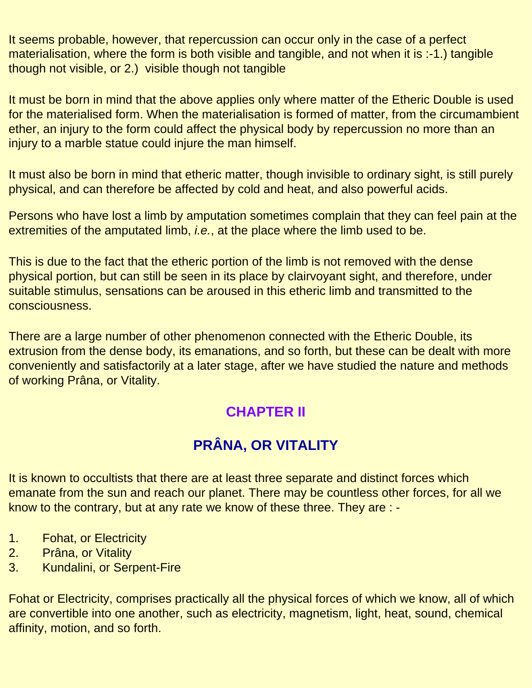It seems probable, however, that repercussion can occur only in the case of a perfect materialisation, where the form is both visible and tangible, and not when it is :-1.) tangible though not visible, or 2.) visible though not tangible

It must be born in mind that the above applies only where matter of the Etheric Double is used for the materialised form. When the materialisation is formed of matter, from the circumambient ether, an injury to the form could affect the physical body by repercussion no more than an injury to a marble statue could injure the man himself.

It must also be born in mind that etheric matter, though invisible to ordinary sight, is still purely physical, and can therefore be affected by cold and heat, and also powerful acids.

Persons who have lost a limb by amputation sometimes complain that they can feel pain at the extremities of the amputated limb, *i.e.*, at the place where the limb used to be.

This is due to the fact that the etheric portion of the limb is not removed with the dense physical portion, but can still be seen in its place by clairvoyant sight, and therefore, under suitable stimulus, sensations can be aroused in this etheric limb and transmitted to the consciousness.

There are a large number of other phenomenon connected with the Etheric Double, its extrusion from the dense body, its emanations, and so forth, but these can be dealt with more conveniently and satisfactorily at a later stage, after we have studied the nature and methods of working Prâna, or Vitality.

#### **CHAPTER II**

# **PRÂNA, OR VITALITY**

It is known to occultists that there are at least three separate and distinct forces which emanate from the sun and reach our planet. There may be countless other forces, for all we know to the contrary, but at any rate we know of these three. They are : -

- 1. Fohat, or Electricity
- 2. Prâna, or Vitality
- 3. Kundalini, or Serpent-Fire

Fohat or Electricity, comprises practically all the physical forces of which we know, all of which are convertible into one another, such as electricity, magnetism, light, heat, sound, chemical affinity, motion, and so forth.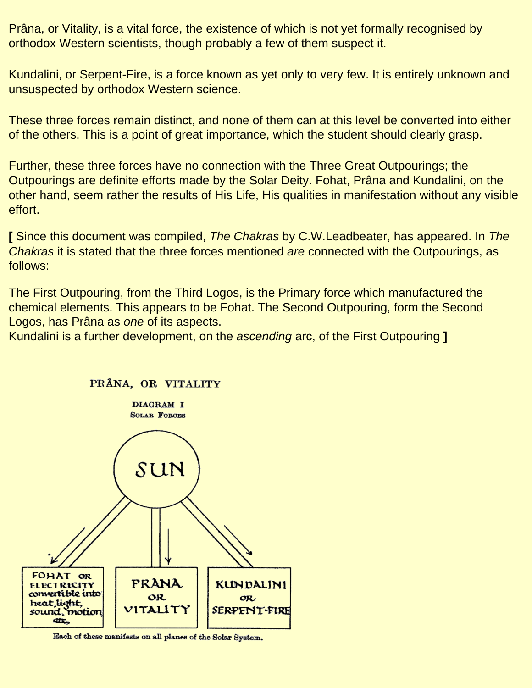Prâna, or Vitality, is a vital force, the existence of which is not yet formally recognised by orthodox Western scientists, though probably a few of them suspect it.

Kundalini, or Serpent-Fire, is a force known as yet only to very few. It is entirely unknown and unsuspected by orthodox Western science.

These three forces remain distinct, and none of them can at this level be converted into either of the others. This is a point of great importance, which the student should clearly grasp.

Further, these three forces have no connection with the Three Great Outpourings; the Outpourings are definite efforts made by the Solar Deity. Fohat, Prâna and Kundalini, on the other hand, seem rather the results of His Life, His qualities in manifestation without any visible effort.

**[** Since this document was compiled, *The Chakras* by C.W.Leadbeater, has appeared. In *The Chakras* it is stated that the three forces mentioned *are* connected with the Outpourings, as follows:

The First Outpouring, from the Third Logos, is the Primary force which manufactured the chemical elements. This appears to be Fohat. The Second Outpouring, form the Second Logos, has Prâna as *one* of its aspects.

Kundalini is a further development, on the *ascending* arc, of the First Outpouring **]** 



#### PRÂNA, OR VITALITY

Each of these manifests on all planes of the Solar System.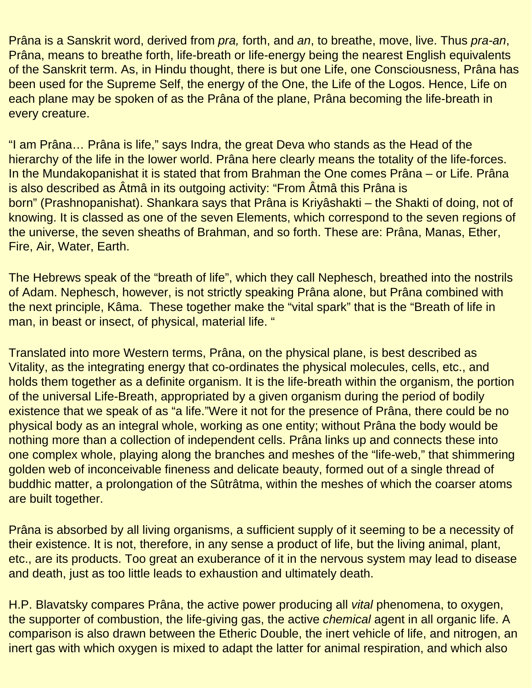Prâna is a Sanskrit word, derived from *pra,* forth, and *an*, to breathe, move, live. Thus *pra-an*, Prâna, means to breathe forth, life-breath or life-energy being the nearest English equivalents of the Sanskrit term. As, in Hindu thought, there is but one Life, one Consciousness, Prâna has been used for the Supreme Self, the energy of the One, the Life of the Logos. Hence, Life on each plane may be spoken of as the Prâna of the plane, Prâna becoming the life-breath in every creature.

"I am Prâna… Prâna is life," says Indra, the great Deva who stands as the Head of the hierarchy of the life in the lower world. Prâna here clearly means the totality of the life-forces. In the Mundakopanishat it is stated that from Brahman the One comes Prâna – or Life. Prâna is also described as Âtmâ in its outgoing activity: "From Âtmâ this Prâna is born" (Prashnopanishat). Shankara says that Prâna is Kriyâshakti – the Shakti of doing, not of knowing. It is classed as one of the seven Elements, which correspond to the seven regions of the universe, the seven sheaths of Brahman, and so forth. These are: Prâna, Manas, Ether, Fire, Air, Water, Earth.

The Hebrews speak of the "breath of life", which they call Nephesch, breathed into the nostrils of Adam. Nephesch, however, is not strictly speaking Prâna alone, but Prâna combined with the next principle, Kâma. These together make the "vital spark" that is the "Breath of life in man, in beast or insect, of physical, material life. "

Translated into more Western terms, Prâna, on the physical plane, is best described as Vitality, as the integrating energy that co-ordinates the physical molecules, cells, etc., and holds them together as a definite organism. It is the life-breath within the organism, the portion of the universal Life-Breath, appropriated by a given organism during the period of bodily existence that we speak of as "a life."Were it not for the presence of Prâna, there could be no physical body as an integral whole, working as one entity; without Prâna the body would be nothing more than a collection of independent cells. Prâna links up and connects these into one complex whole, playing along the branches and meshes of the "life-web," that shimmering golden web of inconceivable fineness and delicate beauty, formed out of a single thread of buddhic matter, a prolongation of the Sûtrâtma, within the meshes of which the coarser atoms are built together.

Prâna is absorbed by all living organisms, a sufficient supply of it seeming to be a necessity of their existence. It is not, therefore, in any sense a product of life, but the living animal, plant, etc., are its products. Too great an exuberance of it in the nervous system may lead to disease and death, just as too little leads to exhaustion and ultimately death.

H.P. Blavatsky compares Prâna, the active power producing all *vital* phenomena, to oxygen, the supporter of combustion, the life-giving gas, the active *chemical* agent in all organic life. A comparison is also drawn between the Etheric Double, the inert vehicle of life, and nitrogen, an inert gas with which oxygen is mixed to adapt the latter for animal respiration, and which also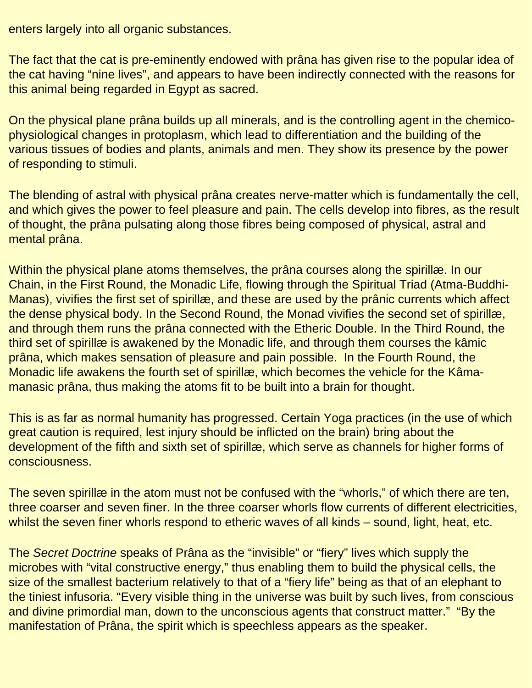enters largely into all organic substances.

The fact that the cat is pre-eminently endowed with prâna has given rise to the popular idea of the cat having "nine lives", and appears to have been indirectly connected with the reasons for this animal being regarded in Egypt as sacred.

On the physical plane prâna builds up all minerals, and is the controlling agent in the chemicophysiological changes in protoplasm, which lead to differentiation and the building of the various tissues of bodies and plants, animals and men. They show its presence by the power of responding to stimuli.

The blending of astral with physical prâna creates nerve-matter which is fundamentally the cell, and which gives the power to feel pleasure and pain. The cells develop into fibres, as the result of thought, the prâna pulsating along those fibres being composed of physical, astral and mental prâna.

Within the physical plane atoms themselves, the prâna courses along the spirillæ. In our Chain, in the First Round, the Monadic Life, flowing through the Spiritual Triad (Atma-Buddhi-Manas), vivifies the first set of spirillæ, and these are used by the prânic currents which affect the dense physical body. In the Second Round, the Monad vivifies the second set of spirillæ, and through them runs the prâna connected with the Etheric Double. In the Third Round, the third set of spirillæ is awakened by the Monadic life, and through them courses the kâmic prâna, which makes sensation of pleasure and pain possible. In the Fourth Round, the Monadic life awakens the fourth set of spirillæ, which becomes the vehicle for the Kâmamanasic prâna, thus making the atoms fit to be built into a brain for thought.

This is as far as normal humanity has progressed. Certain Yoga practices (in the use of which great caution is required, lest injury should be inflicted on the brain) bring about the development of the fifth and sixth set of spirillæ, which serve as channels for higher forms of consciousness.

The seven spirillæ in the atom must not be confused with the "whorls," of which there are ten, three coarser and seven finer. In the three coarser whorls flow currents of different electricities, whilst the seven finer whorls respond to etheric waves of all kinds – sound, light, heat, etc.

The *Secret Doctrine* speaks of Prâna as the "invisible" or "fiery" lives which supply the microbes with "vital constructive energy," thus enabling them to build the physical cells, the size of the smallest bacterium relatively to that of a "fiery life" being as that of an elephant to the tiniest infusoria. "Every visible thing in the universe was built by such lives, from conscious and divine primordial man, down to the unconscious agents that construct matter." "By the manifestation of Prâna, the spirit which is speechless appears as the speaker.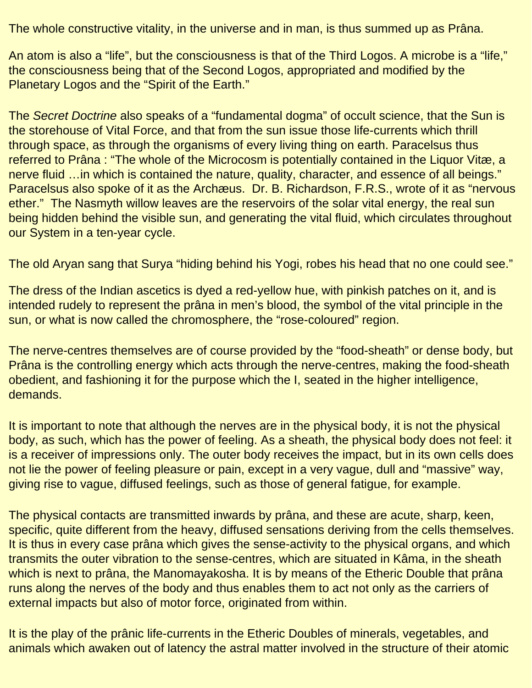The whole constructive vitality, in the universe and in man, is thus summed up as Prâna.

An atom is also a "life", but the consciousness is that of the Third Logos. A microbe is a "life," the consciousness being that of the Second Logos, appropriated and modified by the Planetary Logos and the "Spirit of the Earth."

The *Secret Doctrine* also speaks of a "fundamental dogma" of occult science, that the Sun is the storehouse of Vital Force, and that from the sun issue those life-currents which thrill through space, as through the organisms of every living thing on earth. Paracelsus thus referred to Prâna : "The whole of the Microcosm is potentially contained in the Liquor Vitæ, a nerve fluid …in which is contained the nature, quality, character, and essence of all beings." Paracelsus also spoke of it as the Archæus. Dr. B. Richardson, F.R.S., wrote of it as "nervous ether." The Nasmyth willow leaves are the reservoirs of the solar vital energy, the real sun being hidden behind the visible sun, and generating the vital fluid, which circulates throughout our System in a ten-year cycle.

The old Aryan sang that Surya "hiding behind his Yogi, robes his head that no one could see."

The dress of the Indian ascetics is dyed a red-yellow hue, with pinkish patches on it, and is intended rudely to represent the prâna in men's blood, the symbol of the vital principle in the sun, or what is now called the chromosphere, the "rose-coloured" region.

The nerve-centres themselves are of course provided by the "food-sheath" or dense body, but Prâna is the controlling energy which acts through the nerve-centres, making the food-sheath obedient, and fashioning it for the purpose which the I, seated in the higher intelligence, demands.

It is important to note that although the nerves are in the physical body, it is not the physical body, as such, which has the power of feeling. As a sheath, the physical body does not feel: it is a receiver of impressions only. The outer body receives the impact, but in its own cells does not lie the power of feeling pleasure or pain, except in a very vague, dull and "massive" way, giving rise to vague, diffused feelings, such as those of general fatigue, for example.

The physical contacts are transmitted inwards by prâna, and these are acute, sharp, keen, specific, quite different from the heavy, diffused sensations deriving from the cells themselves. It is thus in every case prâna which gives the sense-activity to the physical organs, and which transmits the outer vibration to the sense-centres, which are situated in Kâma, in the sheath which is next to prâna, the Manomayakosha. It is by means of the Etheric Double that prâna runs along the nerves of the body and thus enables them to act not only as the carriers of external impacts but also of motor force, originated from within.

It is the play of the prânic life-currents in the Etheric Doubles of minerals, vegetables, and animals which awaken out of latency the astral matter involved in the structure of their atomic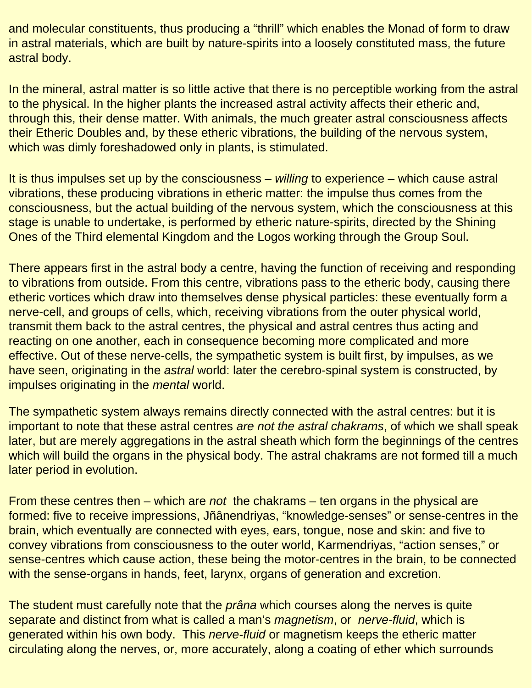and molecular constituents, thus producing a "thrill" which enables the Monad of form to draw in astral materials, which are built by nature-spirits into a loosely constituted mass, the future astral body.

In the mineral, astral matter is so little active that there is no perceptible working from the astral to the physical. In the higher plants the increased astral activity affects their etheric and, through this, their dense matter. With animals, the much greater astral consciousness affects their Etheric Doubles and, by these etheric vibrations, the building of the nervous system, which was dimly foreshadowed only in plants, is stimulated.

It is thus impulses set up by the consciousness – *willing* to experience – which cause astral vibrations, these producing vibrations in etheric matter: the impulse thus comes from the consciousness, but the actual building of the nervous system, which the consciousness at this stage is unable to undertake, is performed by etheric nature-spirits, directed by the Shining Ones of the Third elemental Kingdom and the Logos working through the Group Soul.

There appears first in the astral body a centre, having the function of receiving and responding to vibrations from outside. From this centre, vibrations pass to the etheric body, causing there etheric vortices which draw into themselves dense physical particles: these eventually form a nerve-cell, and groups of cells, which, receiving vibrations from the outer physical world, transmit them back to the astral centres, the physical and astral centres thus acting and reacting on one another, each in consequence becoming more complicated and more effective. Out of these nerve-cells, the sympathetic system is built first, by impulses, as we have seen, originating in the *astral* world: later the cerebro-spinal system is constructed, by impulses originating in the *mental* world.

The sympathetic system always remains directly connected with the astral centres: but it is important to note that these astral centres *are not the astral chakrams*, of which we shall speak later, but are merely aggregations in the astral sheath which form the beginnings of the centres which will build the organs in the physical body. The astral chakrams are not formed till a much later period in evolution.

From these centres then – which are *not* the chakrams – ten organs in the physical are formed: five to receive impressions, Jñânendriyas, "knowledge-senses" or sense-centres in the brain, which eventually are connected with eyes, ears, tongue, nose and skin: and five to convey vibrations from consciousness to the outer world, Karmendriyas, "action senses," or sense-centres which cause action, these being the motor-centres in the brain, to be connected with the sense-organs in hands, feet, larynx, organs of generation and excretion.

The student must carefully note that the *prâna* which courses along the nerves is quite separate and distinct from what is called a man's *magnetism*, or *nerve-fluid*, which is generated within his own body. This *nerve-fluid* or magnetism keeps the etheric matter circulating along the nerves, or, more accurately, along a coating of ether which surrounds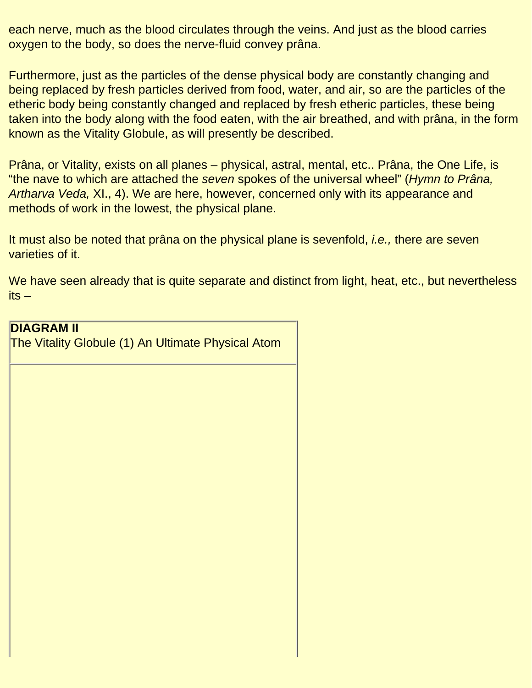each nerve, much as the blood circulates through the veins. And just as the blood carries oxygen to the body, so does the nerve-fluid convey prâna.

Furthermore, just as the particles of the dense physical body are constantly changing and being replaced by fresh particles derived from food, water, and air, so are the particles of the etheric body being constantly changed and replaced by fresh etheric particles, these being taken into the body along with the food eaten, with the air breathed, and with prâna, in the form known as the Vitality Globule, as will presently be described.

Prâna, or Vitality, exists on all planes – physical, astral, mental, etc.. Prâna, the One Life, is "the nave to which are attached the *seven* spokes of the universal wheel" (*Hymn to Prâna, Artharva Veda,* XI., 4). We are here, however, concerned only with its appearance and methods of work in the lowest, the physical plane.

It must also be noted that prâna on the physical plane is sevenfold, *i.e.,* there are seven varieties of it.

We have seen already that is quite separate and distinct from light, heat, etc., but nevertheless its –

#### **DIAGRAM II**

The Vitality Globule (1) An Ultimate Physical Atom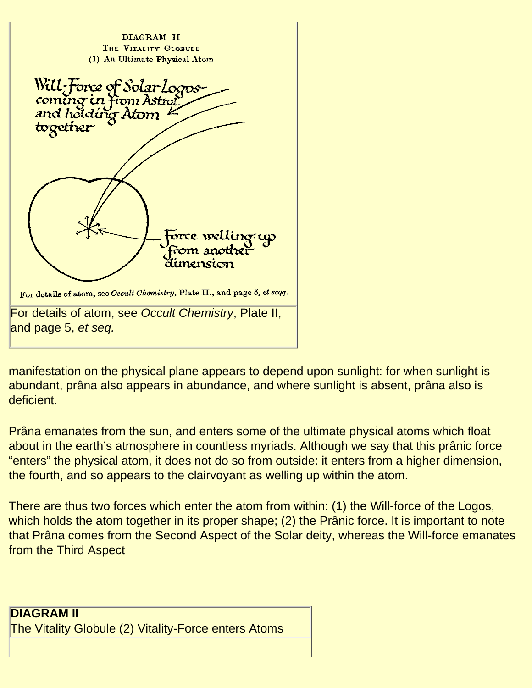DIAGRAM II THE VITALITY GLOBULE (1) An Ultimate Physical Atom Will-Force of Solar Logos and holding Ato tovether pree welli*no*-Limensic For details of atom, see Occult Chemistry, Plate II., and page 5, et seqq. For details of atom, see *Occult Chemistry*, Plate II, and page 5, *et seq.* 

manifestation on the physical plane appears to depend upon sunlight: for when sunlight is abundant, prâna also appears in abundance, and where sunlight is absent, prâna also is deficient.

Prâna emanates from the sun, and enters some of the ultimate physical atoms which float about in the earth's atmosphere in countless myriads. Although we say that this prânic force "enters" the physical atom, it does not do so from outside: it enters from a higher dimension, the fourth, and so appears to the clairvoyant as welling up within the atom.

There are thus two forces which enter the atom from within: (1) the Will-force of the Logos, which holds the atom together in its proper shape; (2) the Prânic force. It is important to note that Prâna comes from the Second Aspect of the Solar deity, whereas the Will-force emanates from the Third Aspect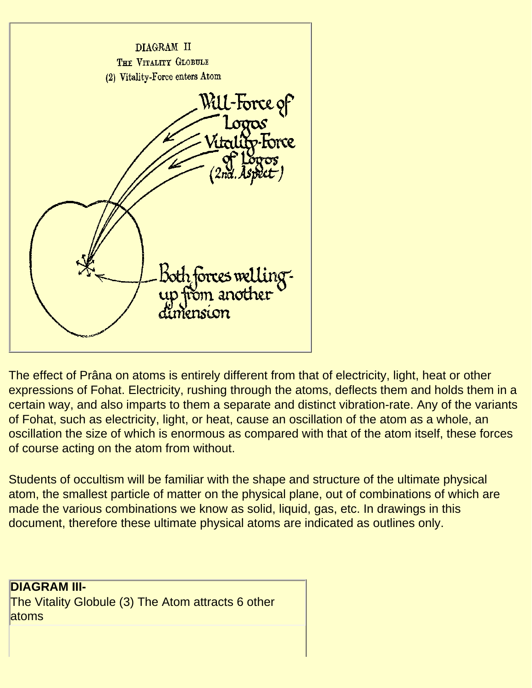

The effect of Prâna on atoms is entirely different from that of electricity, light, heat or other expressions of Fohat. Electricity, rushing through the atoms, deflects them and holds them in a certain way, and also imparts to them a separate and distinct vibration-rate. Any of the variants of Fohat, such as electricity, light, or heat, cause an oscillation of the atom as a whole, an oscillation the size of which is enormous as compared with that of the atom itself, these forces of course acting on the atom from without.

Students of occultism will be familiar with the shape and structure of the ultimate physical atom, the smallest particle of matter on the physical plane, out of combinations of which are made the various combinations we know as solid, liquid, gas, etc. In drawings in this document, therefore these ultimate physical atoms are indicated as outlines only.

**DIAGRAM III-**The Vitality Globule (3) The Atom attracts 6 other atoms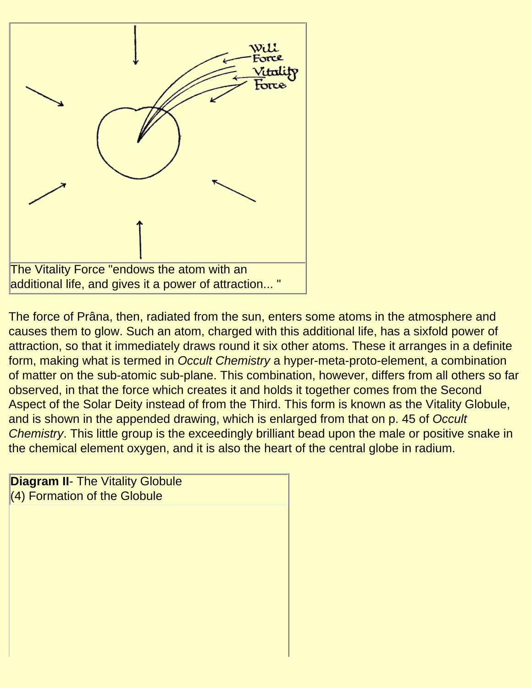

The force of Prâna, then, radiated from the sun, enters some atoms in the atmosphere and causes them to glow. Such an atom, charged with this additional life, has a sixfold power of attraction, so that it immediately draws round it six other atoms. These it arranges in a definite form, making what is termed in *Occult Chemistry* a hyper-meta-proto-element, a combination of matter on the sub-atomic sub-plane. This combination, however, differs from all others so far observed, in that the force which creates it and holds it together comes from the Second Aspect of the Solar Deity instead of from the Third. This form is known as the Vitality Globule, and is shown in the appended drawing, which is enlarged from that on p. 45 of *Occult Chemistry*. This little group is the exceedingly brilliant bead upon the male or positive snake in the chemical element oxygen, and it is also the heart of the central globe in radium.

**Diagram II- The Vitality Globule** (4) Formation of the Globule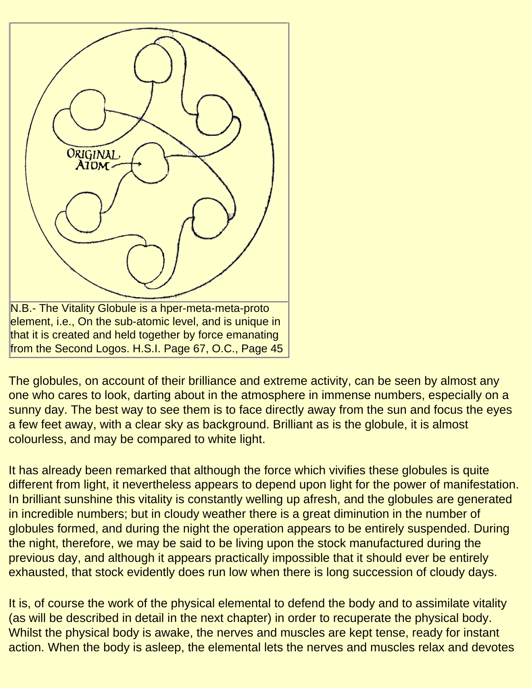

The globules, on account of their brilliance and extreme activity, can be seen by almost any one who cares to look, darting about in the atmosphere in immense numbers, especially on a sunny day. The best way to see them is to face directly away from the sun and focus the eyes a few feet away, with a clear sky as background. Brilliant as is the globule, it is almost colourless, and may be compared to white light.

It has already been remarked that although the force which vivifies these globules is quite different from light, it nevertheless appears to depend upon light for the power of manifestation. In brilliant sunshine this vitality is constantly welling up afresh, and the globules are generated in incredible numbers; but in cloudy weather there is a great diminution in the number of globules formed, and during the night the operation appears to be entirely suspended. During the night, therefore, we may be said to be living upon the stock manufactured during the previous day, and although it appears practically impossible that it should ever be entirely exhausted, that stock evidently does run low when there is long succession of cloudy days.

It is, of course the work of the physical elemental to defend the body and to assimilate vitality (as will be described in detail in the next chapter) in order to recuperate the physical body. Whilst the physical body is awake, the nerves and muscles are kept tense, ready for instant action. When the body is asleep, the elemental lets the nerves and muscles relax and devotes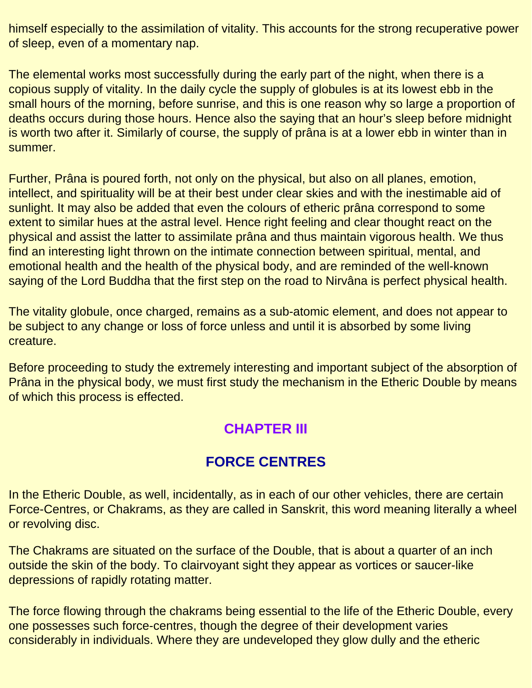himself especially to the assimilation of vitality. This accounts for the strong recuperative power of sleep, even of a momentary nap.

The elemental works most successfully during the early part of the night, when there is a copious supply of vitality. In the daily cycle the supply of globules is at its lowest ebb in the small hours of the morning, before sunrise, and this is one reason why so large a proportion of deaths occurs during those hours. Hence also the saying that an hour's sleep before midnight is worth two after it. Similarly of course, the supply of prâna is at a lower ebb in winter than in summer.

Further, Prâna is poured forth, not only on the physical, but also on all planes, emotion, intellect, and spirituality will be at their best under clear skies and with the inestimable aid of sunlight. It may also be added that even the colours of etheric prâna correspond to some extent to similar hues at the astral level. Hence right feeling and clear thought react on the physical and assist the latter to assimilate prâna and thus maintain vigorous health. We thus find an interesting light thrown on the intimate connection between spiritual, mental, and emotional health and the health of the physical body, and are reminded of the well-known saying of the Lord Buddha that the first step on the road to Nirvâna is perfect physical health.

The vitality globule, once charged, remains as a sub-atomic element, and does not appear to be subject to any change or loss of force unless and until it is absorbed by some living creature.

Before proceeding to study the extremely interesting and important subject of the absorption of Prâna in the physical body, we must first study the mechanism in the Etheric Double by means of which this process is effected.

## **CHAPTER III**

## **FORCE CENTRES**

In the Etheric Double, as well, incidentally, as in each of our other vehicles, there are certain Force-Centres, or Chakrams, as they are called in Sanskrit, this word meaning literally a wheel or revolving disc.

The Chakrams are situated on the surface of the Double, that is about a quarter of an inch outside the skin of the body. To clairvoyant sight they appear as vortices or saucer-like depressions of rapidly rotating matter.

The force flowing through the chakrams being essential to the life of the Etheric Double, every one possesses such force-centres, though the degree of their development varies considerably in individuals. Where they are undeveloped they glow dully and the etheric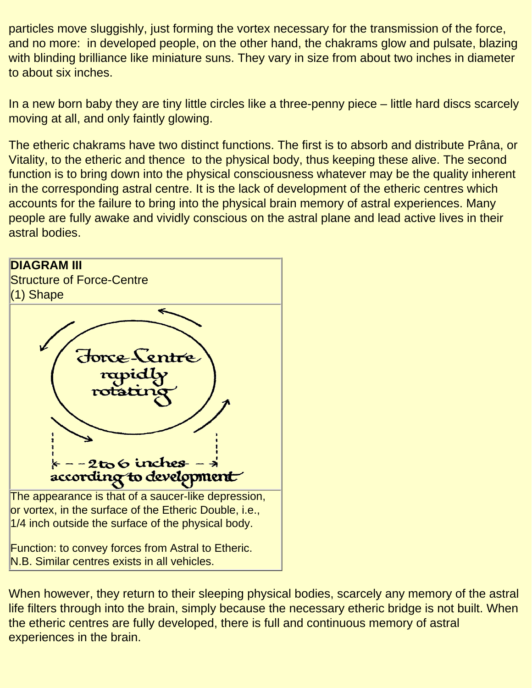particles move sluggishly, just forming the vortex necessary for the transmission of the force, and no more: in developed people, on the other hand, the chakrams glow and pulsate, blazing with blinding brilliance like miniature suns. They vary in size from about two inches in diameter to about six inches.

In a new born baby they are tiny little circles like a three-penny piece – little hard discs scarcely moving at all, and only faintly glowing.

The etheric chakrams have two distinct functions. The first is to absorb and distribute Prâna, or Vitality, to the etheric and thence to the physical body, thus keeping these alive. The second function is to bring down into the physical consciousness whatever may be the quality inherent in the corresponding astral centre. It is the lack of development of the etheric centres which accounts for the failure to bring into the physical brain memory of astral experiences. Many people are fully awake and vividly conscious on the astral plane and lead active lives in their astral bodies.



When however, they return to their sleeping physical bodies, scarcely any memory of the astral life filters through into the brain, simply because the necessary etheric bridge is not built. When the etheric centres are fully developed, there is full and continuous memory of astral experiences in the brain.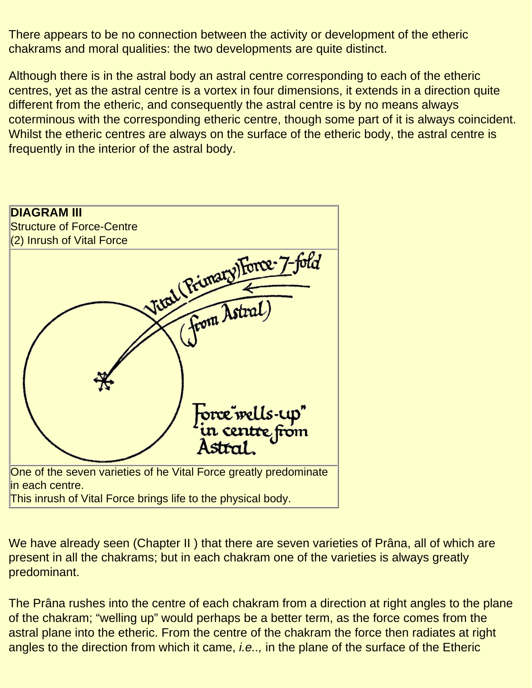There appears to be no connection between the activity or development of the etheric chakrams and moral qualities: the two developments are quite distinct.

Although there is in the astral body an astral centre corresponding to each of the etheric centres, yet as the astral centre is a vortex in four dimensions, it extends in a direction quite different from the etheric, and consequently the astral centre is by no means always coterminous with the corresponding etheric centre, though some part of it is always coincident. Whilst the etheric centres are always on the surface of the etheric body, the astral centre is frequently in the interior of the astral body.



This inrush of Vital Force brings life to the physical body.

We have already seen (Chapter II) that there are seven varieties of Prâna, all of which are present in all the chakrams; but in each chakram one of the varieties is always greatly predominant.

The Prâna rushes into the centre of each chakram from a direction at right angles to the plane of the chakram; "welling up" would perhaps be a better term, as the force comes from the astral plane into the etheric. From the centre of the chakram the force then radiates at right angles to the direction from which it came, *i.e..,* in the plane of the surface of the Etheric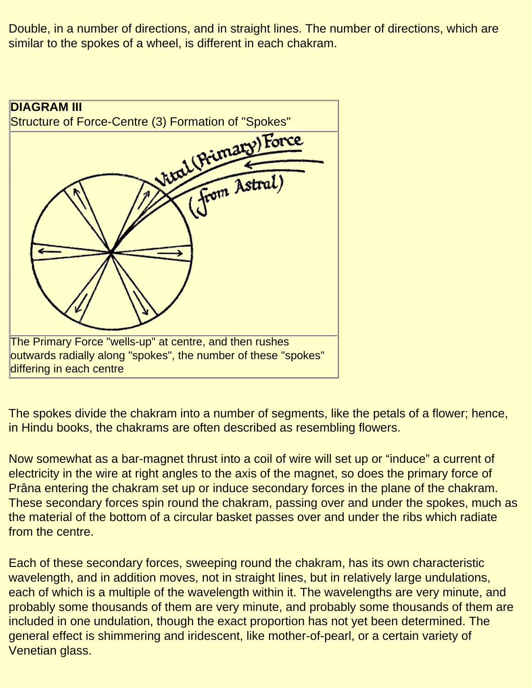Double, in a number of directions, and in straight lines. The number of directions, which are similar to the spokes of a wheel, is different in each chakram.



The spokes divide the chakram into a number of segments, like the petals of a flower; hence, in Hindu books, the chakrams are often described as resembling flowers.

Now somewhat as a bar-magnet thrust into a coil of wire will set up or "induce" a current of electricity in the wire at right angles to the axis of the magnet, so does the primary force of Prâna entering the chakram set up or induce secondary forces in the plane of the chakram. These secondary forces spin round the chakram, passing over and under the spokes, much as the material of the bottom of a circular basket passes over and under the ribs which radiate from the centre.

Each of these secondary forces, sweeping round the chakram, has its own characteristic wavelength, and in addition moves, not in straight lines, but in relatively large undulations, each of which is a multiple of the wavelength within it. The wavelengths are very minute, and probably some thousands of them are very minute, and probably some thousands of them are included in one undulation, though the exact proportion has not yet been determined. The general effect is shimmering and iridescent, like mother-of-pearl, or a certain variety of Venetian glass.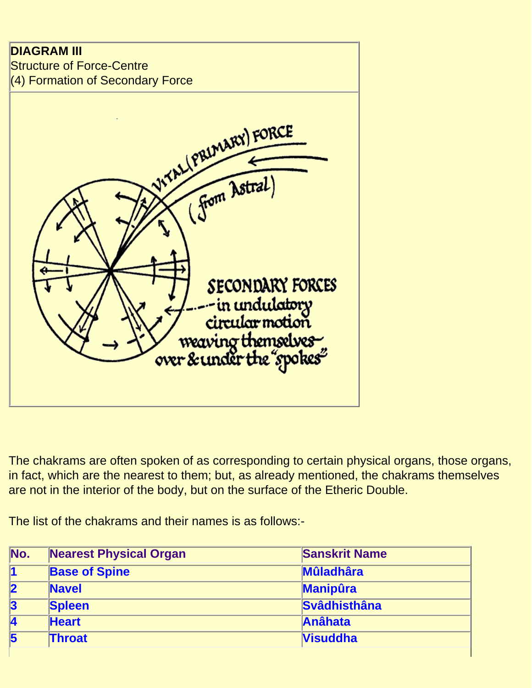#### **DIAGRAM III**

**Structure of Force-Centre** 

(4) Formation of Secondary Force



The chakrams are often spoken of as corresponding to certain physical organs, those organs, in fact, which are the nearest to them; but, as already mentioned, the chakrams themselves are not in the interior of the body, but on the surface of the Etheric Double.

The list of the chakrams and their names is as follows:-

| No.                     | <b>Nearest Physical Organ</b> | <b>Sanskrit Name</b> |
|-------------------------|-------------------------------|----------------------|
| 1                       | <b>Base of Spine</b>          | <b>Mûladhâra</b>     |
| 2                       | <b>Navel</b>                  | <b>Manipûra</b>      |
| 3                       | <b>Spleen</b>                 | <b>Svâdhisthâna</b>  |
| 14                      | <b>Heart</b>                  | Anâhata              |
| $\overline{\mathbf{5}}$ | <b>Throat</b>                 | <b>Visuddha</b>      |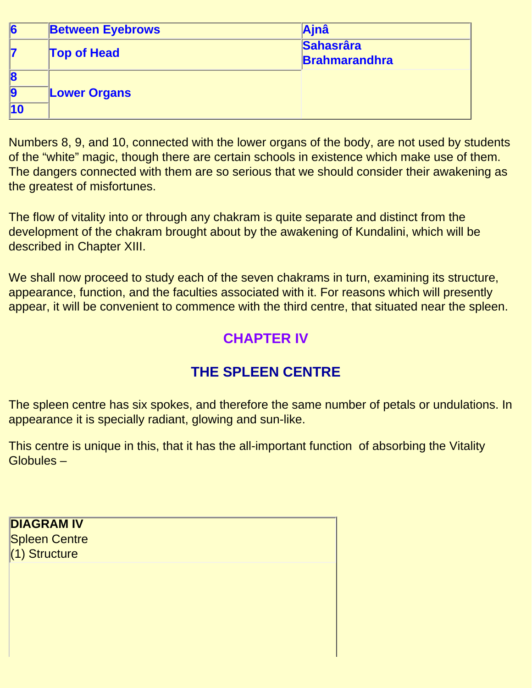| $\vert 6$                | <b>Between Eyebrows</b> | Ajnâ                                     |
|--------------------------|-------------------------|------------------------------------------|
|                          | <b>Top of Head</b>      | <b>Sahasrâra</b><br><b>Brahmarandhra</b> |
| 8<br>19<br>$\mathbf{10}$ | <b>Lower Organs</b>     |                                          |
|                          |                         |                                          |

Numbers 8, 9, and 10, connected with the lower organs of the body, are not used by students of the "white" magic, though there are certain schools in existence which make use of them. The dangers connected with them are so serious that we should consider their awakening as the greatest of misfortunes.

The flow of vitality into or through any chakram is quite separate and distinct from the development of the chakram brought about by the awakening of Kundalini, which will be described in Chapter XIII.

We shall now proceed to study each of the seven chakrams in turn, examining its structure, appearance, function, and the faculties associated with it. For reasons which will presently appear, it will be convenient to commence with the third centre, that situated near the spleen.

## **CHAPTER IV**

## **THE SPLEEN CENTRE**

The spleen centre has six spokes, and therefore the same number of petals or undulations. In appearance it is specially radiant, glowing and sun-like.

This centre is unique in this, that it has the all-important function of absorbing the Vitality Globules –

**DIAGRAM IV**

Spleen Centre (1) Structure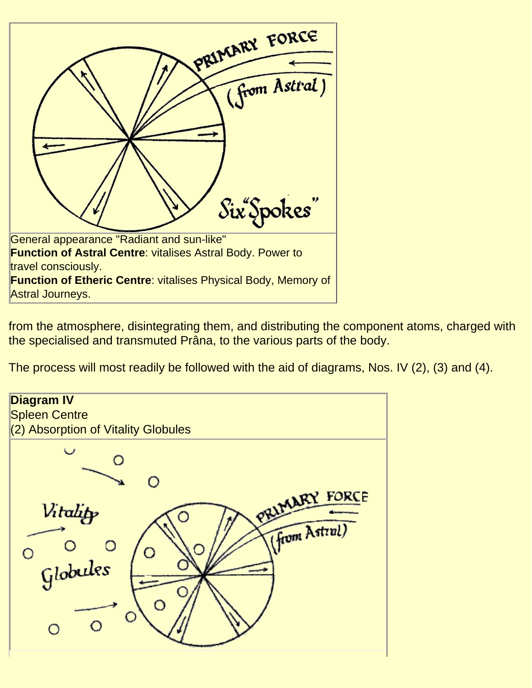

from the atmosphere, disintegrating them, and distributing the component atoms, charged with the specialised and transmuted Prâna, to the various parts of the body.

The process will most readily be followed with the aid of diagrams, Nos. IV (2), (3) and (4).

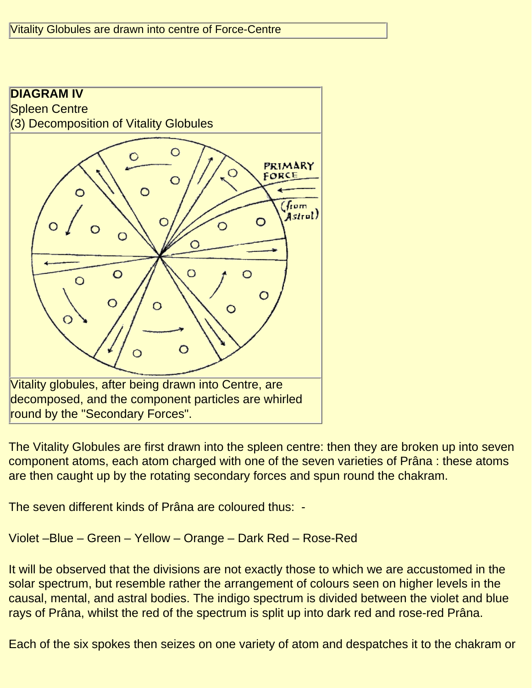

The Vitality Globules are first drawn into the spleen centre: then they are broken up into seven component atoms, each atom charged with one of the seven varieties of Prâna : these atoms are then caught up by the rotating secondary forces and spun round the chakram.

The seven different kinds of Prâna are coloured thus: -

Violet –Blue – Green – Yellow – Orange – Dark Red – Rose-Red

It will be observed that the divisions are not exactly those to which we are accustomed in the solar spectrum, but resemble rather the arrangement of colours seen on higher levels in the causal, mental, and astral bodies. The indigo spectrum is divided between the violet and blue rays of Prâna, whilst the red of the spectrum is split up into dark red and rose-red Prâna.

Each of the six spokes then seizes on one variety of atom and despatches it to the chakram or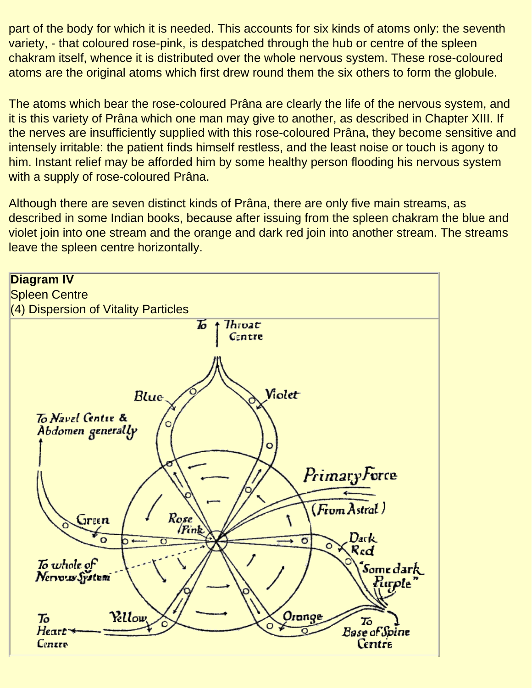part of the body for which it is needed. This accounts for six kinds of atoms only: the seventh variety, - that coloured rose-pink, is despatched through the hub or centre of the spleen chakram itself, whence it is distributed over the whole nervous system. These rose-coloured atoms are the original atoms which first drew round them the six others to form the globule.

The atoms which bear the rose-coloured Prâna are clearly the life of the nervous system, and it is this variety of Prâna which one man may give to another, as described in Chapter XIII. If the nerves are insufficiently supplied with this rose-coloured Prâna, they become sensitive and intensely irritable: the patient finds himself restless, and the least noise or touch is agony to him. Instant relief may be afforded him by some healthy person flooding his nervous system with a supply of rose-coloured Prâna.

Although there are seven distinct kinds of Prâna, there are only five main streams, as described in some Indian books, because after issuing from the spleen chakram the blue and violet join into one stream and the orange and dark red join into another stream. The streams leave the spleen centre horizontally.

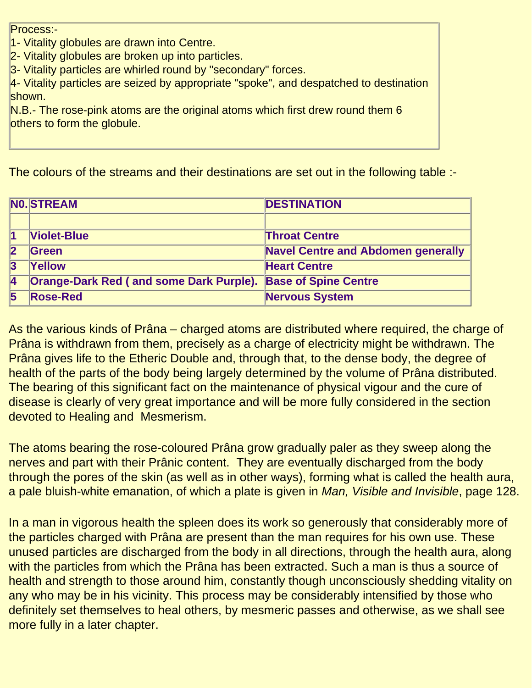Process:-

1- Vitality globules are drawn into Centre.

2- Vitality globules are broken up into particles.

3- Vitality particles are whirled round by "secondary" forces.

4- Vitality particles are seized by appropriate "spoke", and despatched to destination shown.

N.B.- The rose-pink atoms are the original atoms which first drew round them 6 others to form the globule.

The colours of the streams and their destinations are set out in the following table :-

|                 | <b>NO. STREAM</b>                                            | <b>DESTINATION</b>                        |
|-----------------|--------------------------------------------------------------|-------------------------------------------|
|                 |                                                              |                                           |
|                 | <b>Violet-Blue</b>                                           | <b>Throat Centre</b>                      |
| 2               | <b>Green</b>                                                 | <b>Navel Centre and Abdomen generally</b> |
| $\vert 3$       | Yellow                                                       | <b>Heart Centre</b>                       |
| $\vert 4 \vert$ | Orange-Dark Red (and some Dark Purple). Base of Spine Centre |                                           |
| 15              | <b>Rose-Red</b>                                              | <b>Nervous System</b>                     |

As the various kinds of Prâna – charged atoms are distributed where required, the charge of Prâna is withdrawn from them, precisely as a charge of electricity might be withdrawn. The Prâna gives life to the Etheric Double and, through that, to the dense body, the degree of health of the parts of the body being largely determined by the volume of Prâna distributed. The bearing of this significant fact on the maintenance of physical vigour and the cure of disease is clearly of very great importance and will be more fully considered in the section devoted to Healing and Mesmerism.

The atoms bearing the rose-coloured Prâna grow gradually paler as they sweep along the nerves and part with their Prânic content. They are eventually discharged from the body through the pores of the skin (as well as in other ways), forming what is called the health aura, a pale bluish-white emanation, of which a plate is given in *Man, Visible and Invisible*, page 128.

In a man in vigorous health the spleen does its work so generously that considerably more of the particles charged with Prâna are present than the man requires for his own use. These unused particles are discharged from the body in all directions, through the health aura, along with the particles from which the Prâna has been extracted. Such a man is thus a source of health and strength to those around him, constantly though unconsciously shedding vitality on any who may be in his vicinity. This process may be considerably intensified by those who definitely set themselves to heal others, by mesmeric passes and otherwise, as we shall see more fully in a later chapter.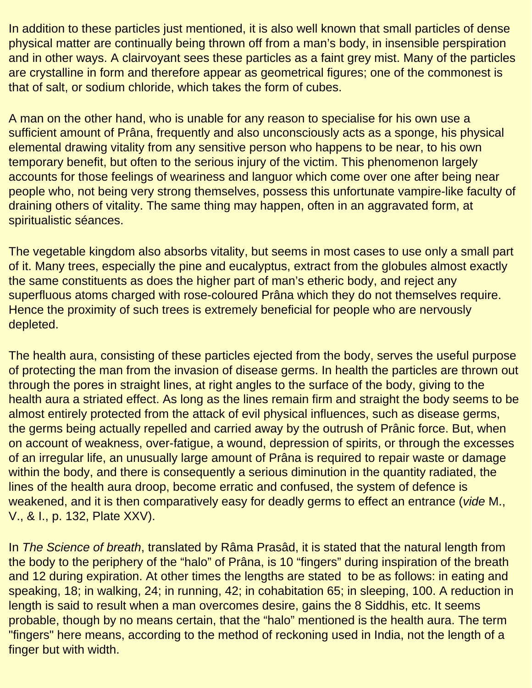In addition to these particles just mentioned, it is also well known that small particles of dense physical matter are continually being thrown off from a man's body, in insensible perspiration and in other ways. A clairvoyant sees these particles as a faint grey mist. Many of the particles are crystalline in form and therefore appear as geometrical figures; one of the commonest is that of salt, or sodium chloride, which takes the form of cubes.

A man on the other hand, who is unable for any reason to specialise for his own use a sufficient amount of Prâna, frequently and also unconsciously acts as a sponge, his physical elemental drawing vitality from any sensitive person who happens to be near, to his own temporary benefit, but often to the serious injury of the victim. This phenomenon largely accounts for those feelings of weariness and languor which come over one after being near people who, not being very strong themselves, possess this unfortunate vampire-like faculty of draining others of vitality. The same thing may happen, often in an aggravated form, at spiritualistic séances.

The vegetable kingdom also absorbs vitality, but seems in most cases to use only a small part of it. Many trees, especially the pine and eucalyptus, extract from the globules almost exactly the same constituents as does the higher part of man's etheric body, and reject any superfluous atoms charged with rose-coloured Prâna which they do not themselves require. Hence the proximity of such trees is extremely beneficial for people who are nervously depleted.

The health aura, consisting of these particles ejected from the body, serves the useful purpose of protecting the man from the invasion of disease germs. In health the particles are thrown out through the pores in straight lines, at right angles to the surface of the body, giving to the health aura a striated effect. As long as the lines remain firm and straight the body seems to be almost entirely protected from the attack of evil physical influences, such as disease germs, the germs being actually repelled and carried away by the outrush of Prânic force. But, when on account of weakness, over-fatigue, a wound, depression of spirits, or through the excesses of an irregular life, an unusually large amount of Prâna is required to repair waste or damage within the body, and there is consequently a serious diminution in the quantity radiated, the lines of the health aura droop, become erratic and confused, the system of defence is weakened, and it is then comparatively easy for deadly germs to effect an entrance (*vide* M., V., & I., p. 132, Plate XXV).

In *The Science of breath*, translated by Râma Prasâd, it is stated that the natural length from the body to the periphery of the "halo" of Prâna, is 10 "fingers" during inspiration of the breath and 12 during expiration. At other times the lengths are stated to be as follows: in eating and speaking, 18; in walking, 24; in running, 42; in cohabitation 65; in sleeping, 100. A reduction in length is said to result when a man overcomes desire, gains the 8 Siddhis, etc. It seems probable, though by no means certain, that the "halo" mentioned is the health aura. The term "fingers" here means, according to the method of reckoning used in India, not the length of a finger but with width.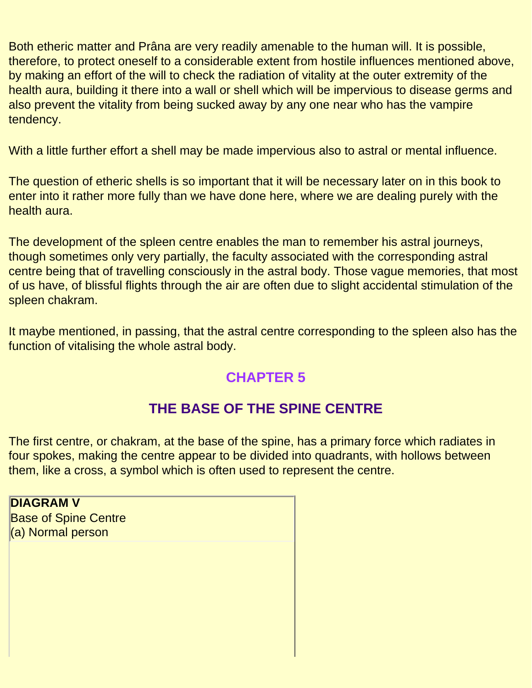Both etheric matter and Prâna are very readily amenable to the human will. It is possible, therefore, to protect oneself to a considerable extent from hostile influences mentioned above, by making an effort of the will to check the radiation of vitality at the outer extremity of the health aura, building it there into a wall or shell which will be impervious to disease germs and also prevent the vitality from being sucked away by any one near who has the vampire tendency.

With a little further effort a shell may be made impervious also to astral or mental influence.

The question of etheric shells is so important that it will be necessary later on in this book to enter into it rather more fully than we have done here, where we are dealing purely with the health aura.

The development of the spleen centre enables the man to remember his astral journeys, though sometimes only very partially, the faculty associated with the corresponding astral centre being that of travelling consciously in the astral body. Those vague memories, that most of us have, of blissful flights through the air are often due to slight accidental stimulation of the spleen chakram.

It maybe mentioned, in passing, that the astral centre corresponding to the spleen also has the function of vitalising the whole astral body.

## **CHAPTER 5**

## **THE BASE OF THE SPINE CENTRE**

The first centre, or chakram, at the base of the spine, has a primary force which radiates in four spokes, making the centre appear to be divided into quadrants, with hollows between them, like a cross, a symbol which is often used to represent the centre.

**DIAGRAM V Base of Spine Centre** (a) Normal person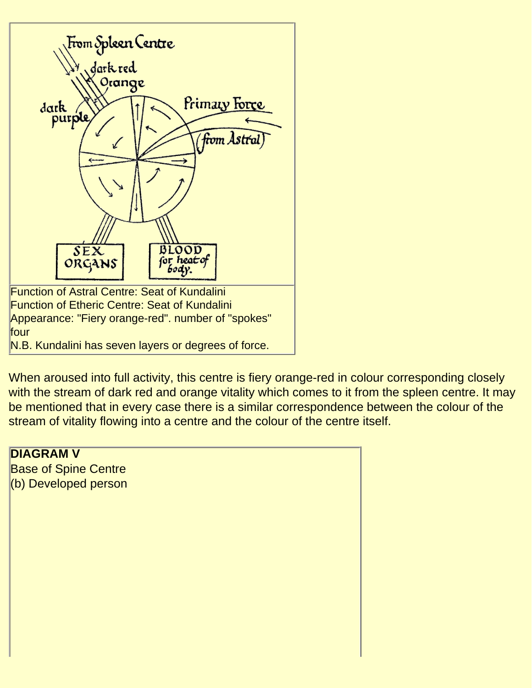

When aroused into full activity, this centre is fiery orange-red in colour corresponding closely with the stream of dark red and orange vitality which comes to it from the spleen centre. It may be mentioned that in every case there is a similar correspondence between the colour of the stream of vitality flowing into a centre and the colour of the centre itself.

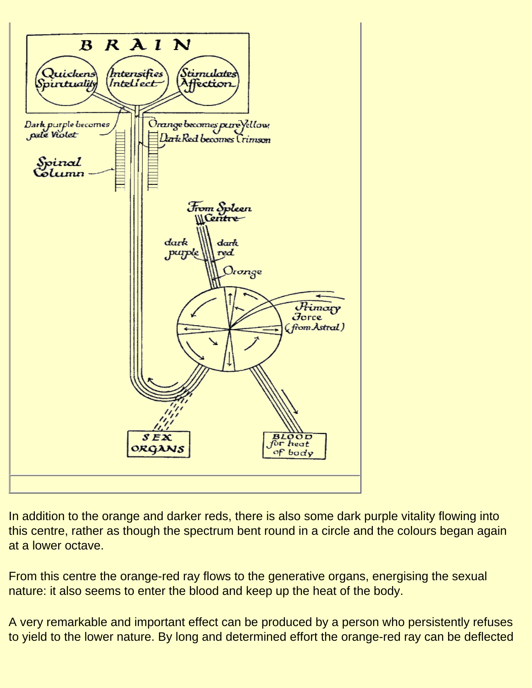

In addition to the orange and darker reds, there is also some dark purple vitality flowing into this centre, rather as though the spectrum bent round in a circle and the colours began again at a lower octave.

From this centre the orange-red ray flows to the generative organs, energising the sexual nature: it also seems to enter the blood and keep up the heat of the body.

A very remarkable and important effect can be produced by a person who persistently refuses to yield to the lower nature. By long and determined effort the orange-red ray can be deflected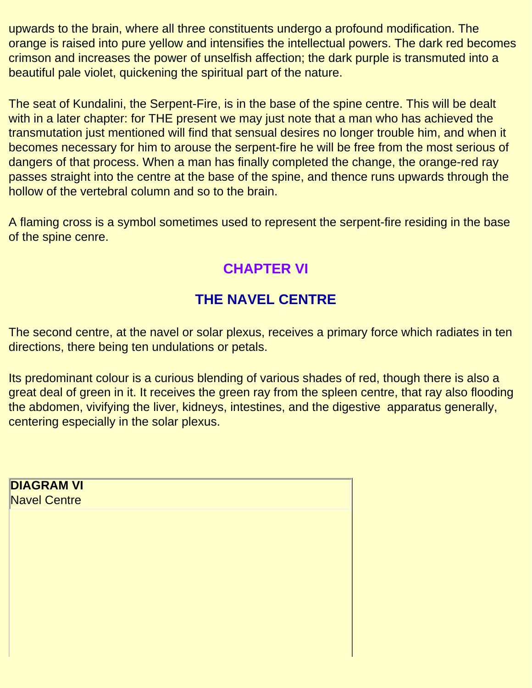upwards to the brain, where all three constituents undergo a profound modification. The orange is raised into pure yellow and intensifies the intellectual powers. The dark red becomes crimson and increases the power of unselfish affection; the dark purple is transmuted into a beautiful pale violet, quickening the spiritual part of the nature.

The seat of Kundalini, the Serpent-Fire, is in the base of the spine centre. This will be dealt with in a later chapter: for THE present we may just note that a man who has achieved the transmutation just mentioned will find that sensual desires no longer trouble him, and when it becomes necessary for him to arouse the serpent-fire he will be free from the most serious of dangers of that process. When a man has finally completed the change, the orange-red ray passes straight into the centre at the base of the spine, and thence runs upwards through the hollow of the vertebral column and so to the brain.

A flaming cross is a symbol sometimes used to represent the serpent-fire residing in the base of the spine cenre.

#### **CHAPTER VI**

## **THE NAVEL CENTRE**

The second centre, at the navel or solar plexus, receives a primary force which radiates in ten directions, there being ten undulations or petals.

Its predominant colour is a curious blending of various shades of red, though there is also a great deal of green in it. It receives the green ray from the spleen centre, that ray also flooding the abdomen, vivifying the liver, kidneys, intestines, and the digestive apparatus generally, centering especially in the solar plexus.

**DIAGRAM VI** Navel Centre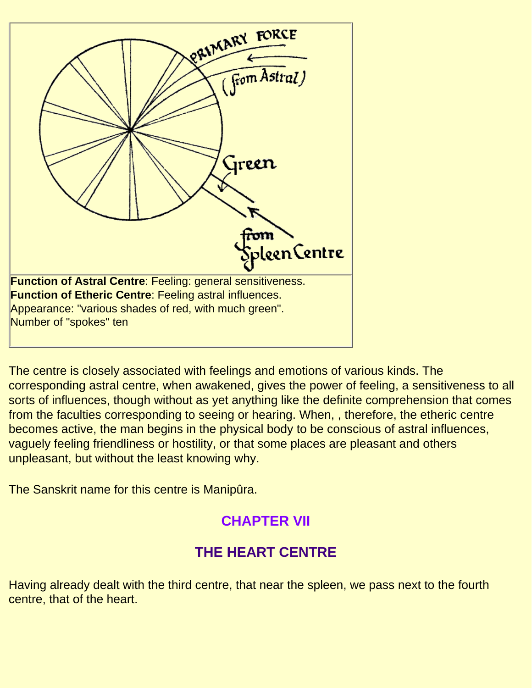

The centre is closely associated with feelings and emotions of various kinds. The corresponding astral centre, when awakened, gives the power of feeling, a sensitiveness to all sorts of influences, though without as yet anything like the definite comprehension that comes from the faculties corresponding to seeing or hearing. When, , therefore, the etheric centre becomes active, the man begins in the physical body to be conscious of astral influences, vaguely feeling friendliness or hostility, or that some places are pleasant and others unpleasant, but without the least knowing why.

The Sanskrit name for this centre is Manipûra.

## **CHAPTER VII**

## **THE HEART CENTRE**

Having already dealt with the third centre, that near the spleen, we pass next to the fourth centre, that of the heart.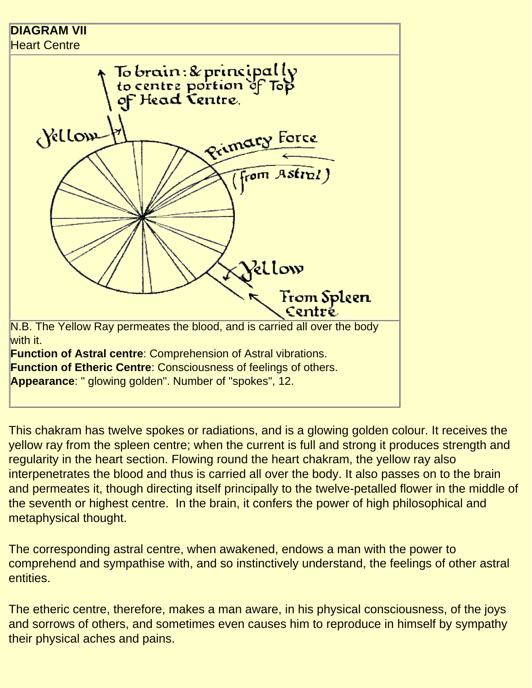

This chakram has twelve spokes or radiations, and is a glowing golden colour. It receives the yellow ray from the spleen centre; when the current is full and strong it produces strength and regularity in the heart section. Flowing round the heart chakram, the yellow ray also interpenetrates the blood and thus is carried all over the body. It also passes on to the brain and permeates it, though directing itself principally to the twelve-petalled flower in the middle of the seventh or highest centre. In the brain, it confers the power of high philosophical and metaphysical thought.

The corresponding astral centre, when awakened, endows a man with the power to comprehend and sympathise with, and so instinctively understand, the feelings of other astral entities.

The etheric centre, therefore, makes a man aware, in his physical consciousness, of the joys and sorrows of others, and sometimes even causes him to reproduce in himself by sympathy their physical aches and pains.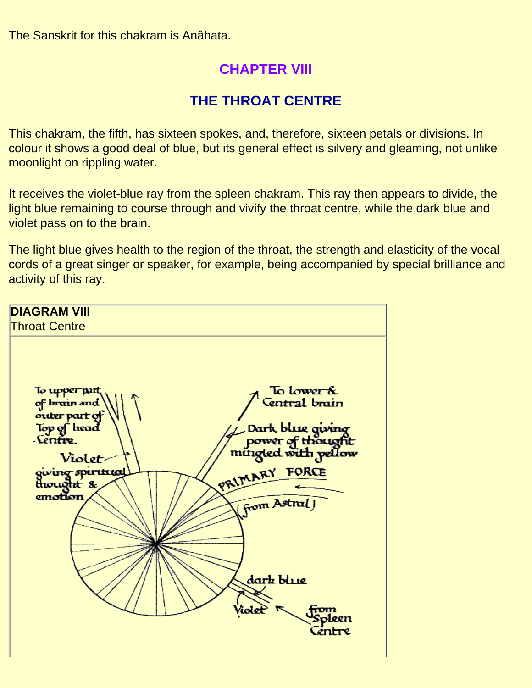The Sanskrit for this chakram is Anâhata.

## **CHAPTER VIII**

## **THE THROAT CENTRE**

This chakram, the fifth, has sixteen spokes, and, therefore, sixteen petals or divisions. In colour it shows a good deal of blue, but its general effect is silvery and gleaming, not unlike moonlight on rippling water.

It receives the violet-blue ray from the spleen chakram. This ray then appears to divide, the light blue remaining to course through and vivify the throat centre, while the dark blue and violet pass on to the brain.

The light blue gives health to the region of the throat, the strength and elasticity of the vocal cords of a great singer or speaker, for example, being accompanied by special brilliance and activity of this ray.

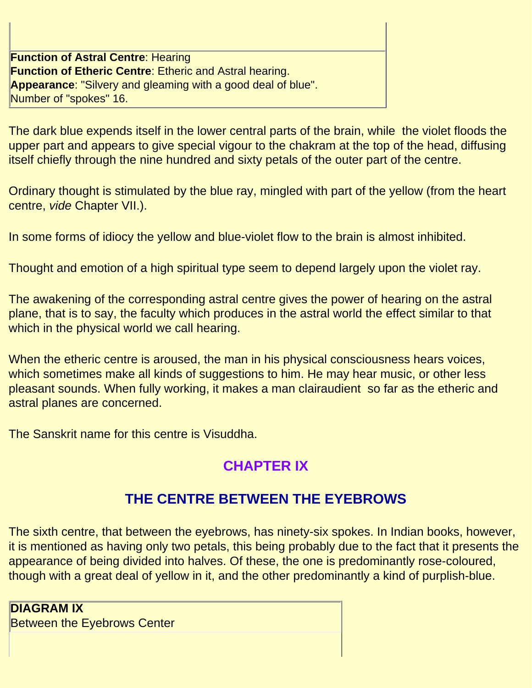**Function of Astral Centre**: Hearing **Function of Etheric Centre**: Etheric and Astral hearing. **Appearance**: "Silvery and gleaming with a good deal of blue". Number of "spokes" 16.

The dark blue expends itself in the lower central parts of the brain, while the violet floods the upper part and appears to give special vigour to the chakram at the top of the head, diffusing itself chiefly through the nine hundred and sixty petals of the outer part of the centre.

Ordinary thought is stimulated by the blue ray, mingled with part of the yellow (from the heart centre, *vide* Chapter VII.).

In some forms of idiocy the yellow and blue-violet flow to the brain is almost inhibited.

Thought and emotion of a high spiritual type seem to depend largely upon the violet ray.

The awakening of the corresponding astral centre gives the power of hearing on the astral plane, that is to say, the faculty which produces in the astral world the effect similar to that which in the physical world we call hearing.

When the etheric centre is aroused, the man in his physical consciousness hears voices, which sometimes make all kinds of suggestions to him. He may hear music, or other less pleasant sounds. When fully working, it makes a man clairaudient so far as the etheric and astral planes are concerned.

The Sanskrit name for this centre is Visuddha.

## **CHAPTER IX**

### **THE CENTRE BETWEEN THE EYEBROWS**

The sixth centre, that between the eyebrows, has ninety-six spokes. In Indian books, however, it is mentioned as having only two petals, this being probably due to the fact that it presents the appearance of being divided into halves. Of these, the one is predominantly rose-coloured, though with a great deal of yellow in it, and the other predominantly a kind of purplish-blue.

#### **DIAGRAM IX** Between the Eyebrows Center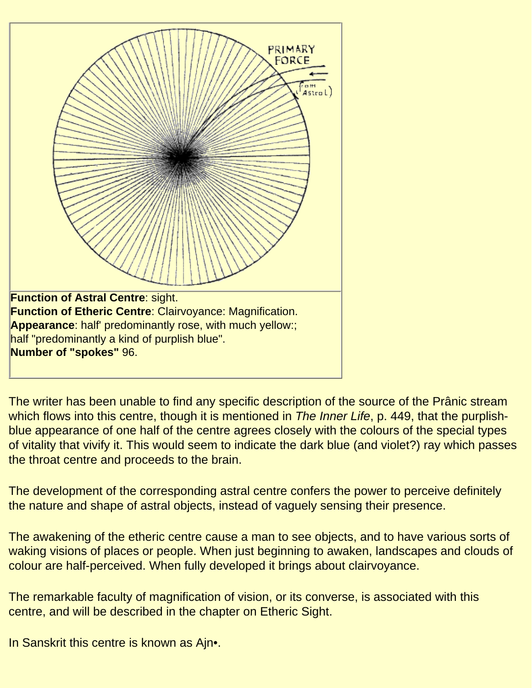

The writer has been unable to find any specific description of the source of the Prânic stream which flows into this centre, though it is mentioned in *The Inner Life*, p. 449, that the purplishblue appearance of one half of the centre agrees closely with the colours of the special types of vitality that vivify it. This would seem to indicate the dark blue (and violet?) ray which passes the throat centre and proceeds to the brain.

The development of the corresponding astral centre confers the power to perceive definitely the nature and shape of astral objects, instead of vaguely sensing their presence.

The awakening of the etheric centre cause a man to see objects, and to have various sorts of waking visions of places or people. When just beginning to awaken, landscapes and clouds of colour are half-perceived. When fully developed it brings about clairvoyance.

The remarkable faculty of magnification of vision, or its converse, is associated with this centre, and will be described in the chapter on Etheric Sight.

In Sanskrit this centre is known as Ajn•.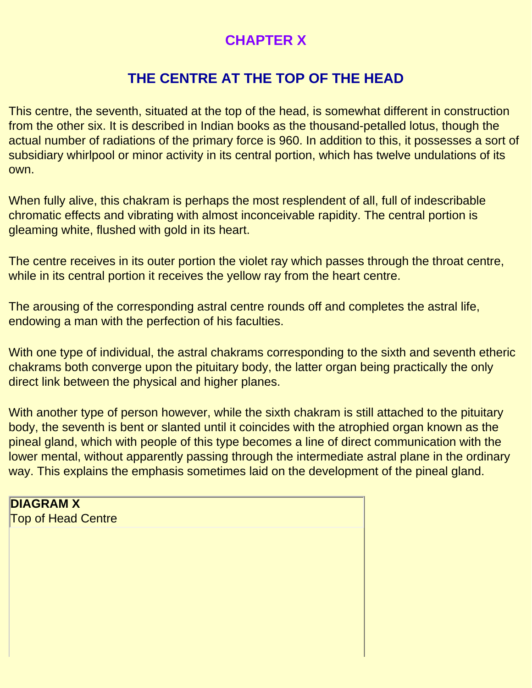### **CHAPTER X**

### **THE CENTRE AT THE TOP OF THE HEAD**

This centre, the seventh, situated at the top of the head, is somewhat different in construction from the other six. It is described in Indian books as the thousand-petalled lotus, though the actual number of radiations of the primary force is 960. In addition to this, it possesses a sort of subsidiary whirlpool or minor activity in its central portion, which has twelve undulations of its own.

When fully alive, this chakram is perhaps the most resplendent of all, full of indescribable chromatic effects and vibrating with almost inconceivable rapidity. The central portion is gleaming white, flushed with gold in its heart.

The centre receives in its outer portion the violet ray which passes through the throat centre, while in its central portion it receives the yellow ray from the heart centre.

The arousing of the corresponding astral centre rounds off and completes the astral life, endowing a man with the perfection of his faculties.

With one type of individual, the astral chakrams corresponding to the sixth and seventh etheric chakrams both converge upon the pituitary body, the latter organ being practically the only direct link between the physical and higher planes.

With another type of person however, while the sixth chakram is still attached to the pituitary body, the seventh is bent or slanted until it coincides with the atrophied organ known as the pineal gland, which with people of this type becomes a line of direct communication with the lower mental, without apparently passing through the intermediate astral plane in the ordinary way. This explains the emphasis sometimes laid on the development of the pineal gland.

**DIAGRAM X** Top of Head Centre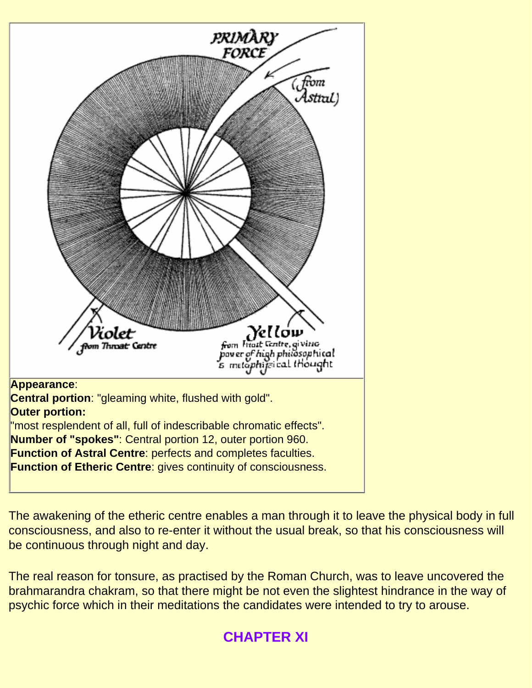

The awakening of the etheric centre enables a man through it to leave the physical body in full consciousness, and also to re-enter it without the usual break, so that his consciousness will be continuous through night and day.

The real reason for tonsure, as practised by the Roman Church, was to leave uncovered the brahmarandra chakram, so that there might be not even the slightest hindrance in the way of psychic force which in their meditations the candidates were intended to try to arouse.

# **CHAPTER XI**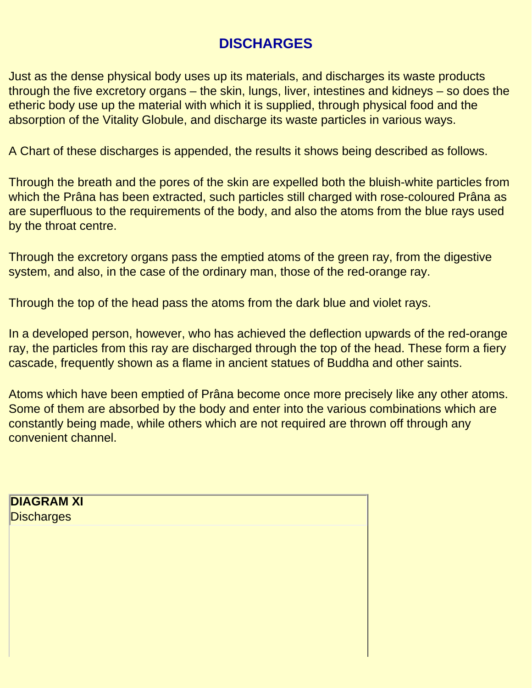### **DISCHARGES**

Just as the dense physical body uses up its materials, and discharges its waste products through the five excretory organs – the skin, lungs, liver, intestines and kidneys – so does the etheric body use up the material with which it is supplied, through physical food and the absorption of the Vitality Globule, and discharge its waste particles in various ways.

A Chart of these discharges is appended, the results it shows being described as follows.

Through the breath and the pores of the skin are expelled both the bluish-white particles from which the Prâna has been extracted, such particles still charged with rose-coloured Prâna as are superfluous to the requirements of the body, and also the atoms from the blue rays used by the throat centre.

Through the excretory organs pass the emptied atoms of the green ray, from the digestive system, and also, in the case of the ordinary man, those of the red-orange ray.

Through the top of the head pass the atoms from the dark blue and violet rays.

In a developed person, however, who has achieved the deflection upwards of the red-orange ray, the particles from this ray are discharged through the top of the head. These form a fiery cascade, frequently shown as a flame in ancient statues of Buddha and other saints.

Atoms which have been emptied of Prâna become once more precisely like any other atoms. Some of them are absorbed by the body and enter into the various combinations which are constantly being made, while others which are not required are thrown off through any convenient channel.

**DIAGRAM XI Discharges**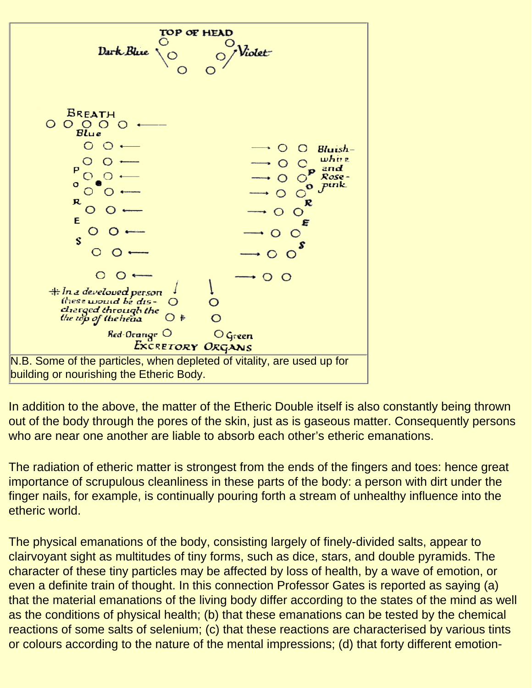

In addition to the above, the matter of the Etheric Double itself is also constantly being thrown out of the body through the pores of the skin, just as is gaseous matter. Consequently persons who are near one another are liable to absorb each other's etheric emanations.

The radiation of etheric matter is strongest from the ends of the fingers and toes: hence great importance of scrupulous cleanliness in these parts of the body: a person with dirt under the finger nails, for example, is continually pouring forth a stream of unhealthy influence into the etheric world.

The physical emanations of the body, consisting largely of finely-divided salts, appear to clairvoyant sight as multitudes of tiny forms, such as dice, stars, and double pyramids. The character of these tiny particles may be affected by loss of health, by a wave of emotion, or even a definite train of thought. In this connection Professor Gates is reported as saying (a) that the material emanations of the living body differ according to the states of the mind as well as the conditions of physical health; (b) that these emanations can be tested by the chemical reactions of some salts of selenium; (c) that these reactions are characterised by various tints or colours according to the nature of the mental impressions; (d) that forty different emotion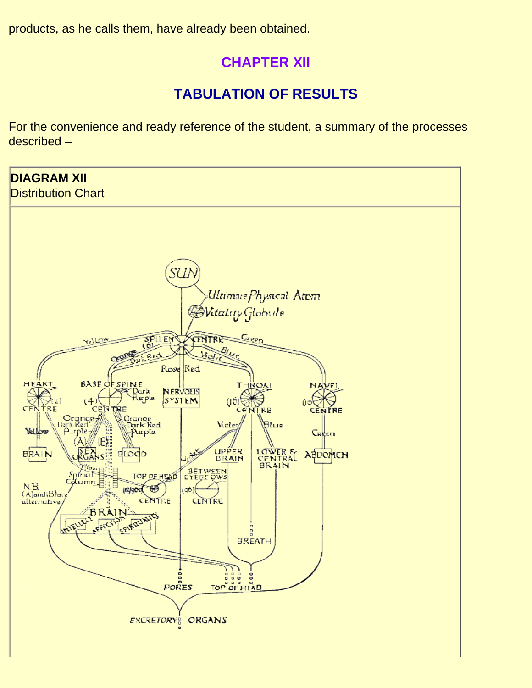products, as he calls them, have already been obtained.

## **CHAPTER XII**

## **TABULATION OF RESULTS**

For the convenience and ready reference of the student, a summary of the processes described –

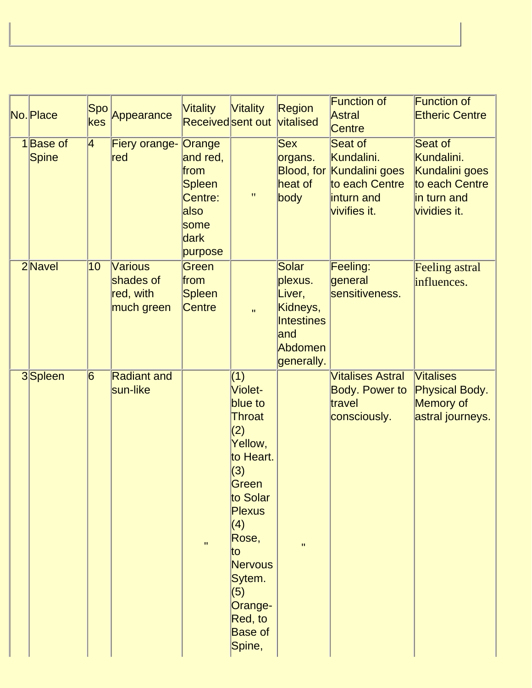| No. Place          | Spo<br>kes     | Appearance                                             | <b>Vitality</b><br><b>Received</b> sent out                                               | <b>Vitality</b>                                                                                                                                                                                                                                | Region<br>vitalised                                                                         | <b>Function of</b><br>Astral<br>Centre                                                             | <b>Function of</b><br><b>Etheric Centre</b>                                              |
|--------------------|----------------|--------------------------------------------------------|-------------------------------------------------------------------------------------------|------------------------------------------------------------------------------------------------------------------------------------------------------------------------------------------------------------------------------------------------|---------------------------------------------------------------------------------------------|----------------------------------------------------------------------------------------------------|------------------------------------------------------------------------------------------|
| 1 Base of<br>Spine | $\overline{4}$ | Fiery orange-<br>red                                   | Orange<br>and red,<br>from<br><b>Spleen</b><br>Centre:<br>also<br>some<br>dark<br>purpose | $\pmb{\mathsf{H}}$                                                                                                                                                                                                                             | <b>Sex</b><br>organs.<br>heat of<br>body                                                    | Seat of<br>Kundalini.<br>Blood, for Kundalini goes<br>to each Centre<br>inturn and<br>vivifies it. | Seat of<br>Kundalini.<br>Kundalini goes<br>to each Centre<br>in turn and<br>vividies it. |
| 2Navel             | 10             | <b>Various</b><br>shades of<br>red, with<br>much green | Green<br>from<br><b>Spleen</b><br>Centre                                                  | $\bar{\mathbf{u}}$                                                                                                                                                                                                                             | Solar<br>plexus.<br>Liver,<br>Kidneys,<br><b>Intestines</b><br>and<br>Abdomen<br>generally. | Feeling:<br>general<br>sensitiveness.                                                              | Feeling astral<br>influences.                                                            |
| 3Spleen            | $\overline{6}$ | <b>Radiant and</b><br>sun-like                         | $\mathbf{H}$                                                                              | (1)<br><b>Violet-</b><br>blue to<br><b>Throat</b><br>(2)<br>Yellow,<br>to Heart.<br>(3)<br>Green<br>to Solar<br><b>Plexus</b><br>(4)<br>Rose,<br>$t\circ$<br><b>Nervous</b><br>Sytem.<br>(5)<br>Orange-<br>Red, to<br><b>Base of</b><br>Spine, | $\mathbf{u}$                                                                                | <b>Vitalises Astral</b><br>Body. Power to<br>travel<br>consciously.                                | <b>Vitalises</b><br>Physical Body.<br>Memory of<br>astral journeys.                      |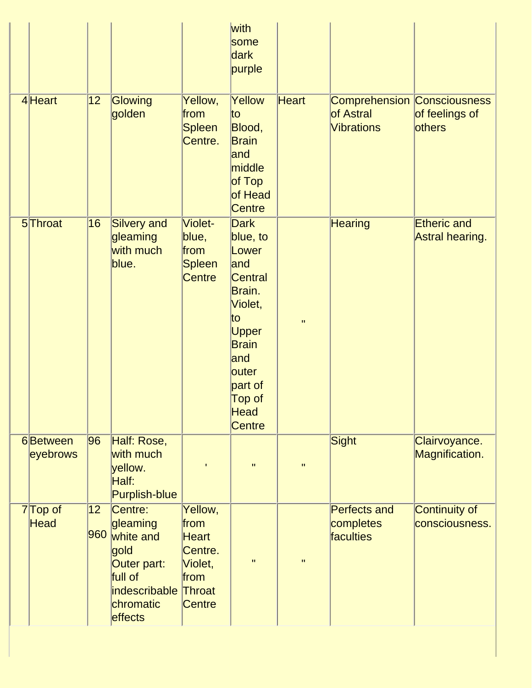|                      |                 |                                                                                                                 |                                                                                   | with<br>some<br>dark<br>purple                                                                                                                                                      |              |                                                               |                                        |
|----------------------|-----------------|-----------------------------------------------------------------------------------------------------------------|-----------------------------------------------------------------------------------|-------------------------------------------------------------------------------------------------------------------------------------------------------------------------------------|--------------|---------------------------------------------------------------|----------------------------------------|
| 4Heart               | 12 <sub>2</sub> | Glowing<br>golden                                                                                               | Yellow,<br>from<br><b>Spleen</b><br>Centre.                                       | Yellow<br>∣to<br>Blood,<br><b>Brain</b><br>and<br>middle<br>of Top<br>of Head<br><b>Centre</b>                                                                                      | Heart        | Comprehension Consciousness<br>of Astral<br><b>Vibrations</b> | of feelings of<br>others               |
| 5Throat              | 16              | <b>Silvery and</b><br>gleaming<br>with much<br>blue.                                                            | <b>Violet-</b><br>blue,<br>from<br><b>Spleen</b><br><b>Centre</b>                 | <b>Dark</b><br>blue, to<br>Lower<br>and<br><b>Central</b><br>Brain.<br>Violet,<br>lto<br><b>Upper</b><br><b>Brain</b><br>and<br>outer<br>part of<br>Top of<br>Head<br><b>Centre</b> | $\mathbf{H}$ | <b>Hearing</b>                                                | <b>Etheric and</b><br>Astral hearing.  |
| 6Between<br>eyebrows | 96              | Half: Rose,<br>with much<br>yellow.<br>Half:<br>Purplish-blue                                                   |                                                                                   | $\mathbf{H}$                                                                                                                                                                        | $\mathbf{H}$ | Sight                                                         | Clairvoyance.<br>Magnification.        |
| $7$ Top of<br>Head   | 12              | Centre:<br>gleaming<br>960 white and<br>gold<br>Outer part:<br>full of<br>indescribable<br>chromatic<br>effects | Yellow,<br>from<br><b>Heart</b><br>Centre.<br>Violet,<br>from<br>Throat<br>Centre | $\mathbf{H}$                                                                                                                                                                        | $\mathbf{H}$ | Perfects and<br>completes<br>faculties                        | <b>Continuity of</b><br>consciousness. |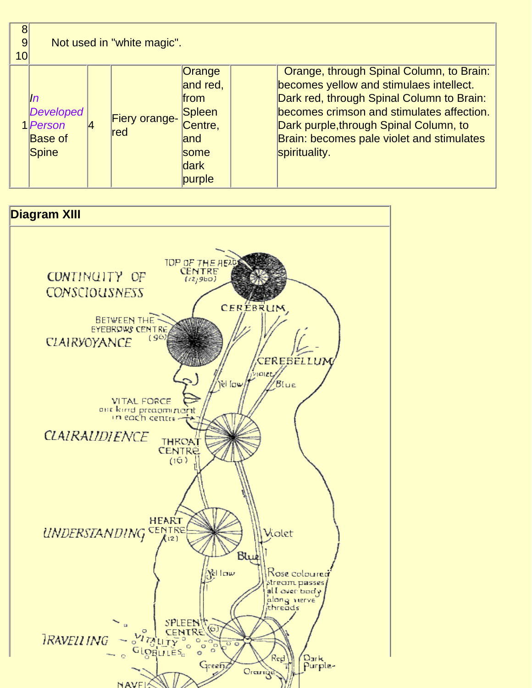| 8<br>9<br>10 | Not used in "white magic".                                              |   |                             |                                                                                          |                                                                                                                                                                                                                                                                                       |  |  |
|--------------|-------------------------------------------------------------------------|---|-----------------------------|------------------------------------------------------------------------------------------|---------------------------------------------------------------------------------------------------------------------------------------------------------------------------------------------------------------------------------------------------------------------------------------|--|--|
|              | $\ln$<br><b>Developed</b><br>1 Person<br><b>Base of</b><br><b>Spine</b> | 4 | Fiery orange-<br><b>red</b> | Orange<br>and red,<br>from<br>Spleen<br>Centre,<br>land<br><b>some</b><br>dark<br>purple | Orange, through Spinal Column, to Brain:<br>becomes yellow and stimulaes intellect.<br>Dark red, through Spinal Column to Brain:<br>becomes crimson and stimulates affection.<br>Dark purple, through Spinal Column, to<br>Brain: becomes pale violet and stimulates<br>spirituality. |  |  |

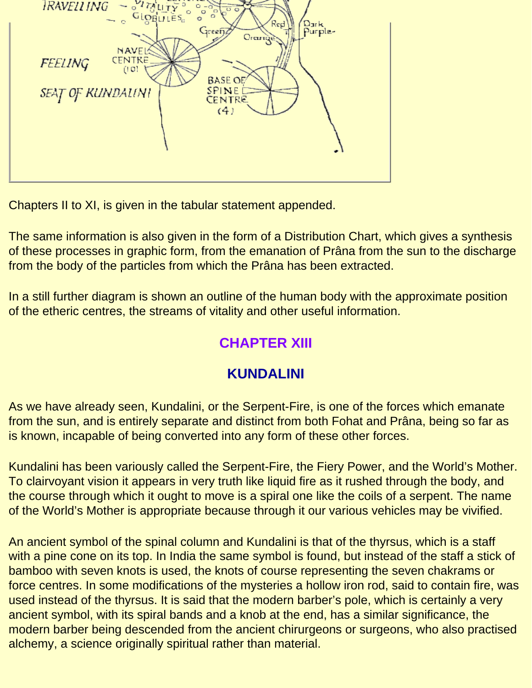

Chapters II to XI, is given in the tabular statement appended.

The same information is also given in the form of a Distribution Chart, which gives a synthesis of these processes in graphic form, from the emanation of Prâna from the sun to the discharge from the body of the particles from which the Prâna has been extracted.

In a still further diagram is shown an outline of the human body with the approximate position of the etheric centres, the streams of vitality and other useful information.

## **CHAPTER XIII**

### **KUNDALINI**

As we have already seen, Kundalini, or the Serpent-Fire, is one of the forces which emanate from the sun, and is entirely separate and distinct from both Fohat and Prâna, being so far as is known, incapable of being converted into any form of these other forces.

Kundalini has been variously called the Serpent-Fire, the Fiery Power, and the World's Mother. To clairvoyant vision it appears in very truth like liquid fire as it rushed through the body, and the course through which it ought to move is a spiral one like the coils of a serpent. The name of the World's Mother is appropriate because through it our various vehicles may be vivified.

An ancient symbol of the spinal column and Kundalini is that of the thyrsus, which is a staff with a pine cone on its top. In India the same symbol is found, but instead of the staff a stick of bamboo with seven knots is used, the knots of course representing the seven chakrams or force centres. In some modifications of the mysteries a hollow iron rod, said to contain fire, was used instead of the thyrsus. It is said that the modern barber's pole, which is certainly a very ancient symbol, with its spiral bands and a knob at the end, has a similar significance, the modern barber being descended from the ancient chirurgeons or surgeons, who also practised alchemy, a science originally spiritual rather than material.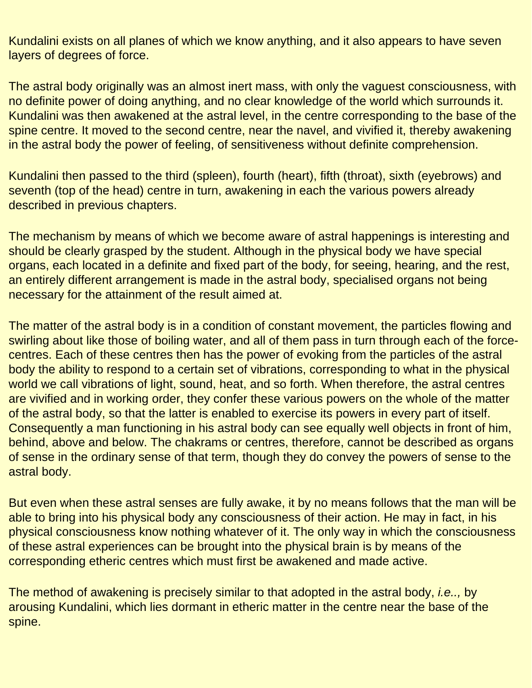Kundalini exists on all planes of which we know anything, and it also appears to have seven layers of degrees of force.

The astral body originally was an almost inert mass, with only the vaguest consciousness, with no definite power of doing anything, and no clear knowledge of the world which surrounds it. Kundalini was then awakened at the astral level, in the centre corresponding to the base of the spine centre. It moved to the second centre, near the navel, and vivified it, thereby awakening in the astral body the power of feeling, of sensitiveness without definite comprehension.

Kundalini then passed to the third (spleen), fourth (heart), fifth (throat), sixth (eyebrows) and seventh (top of the head) centre in turn, awakening in each the various powers already described in previous chapters.

The mechanism by means of which we become aware of astral happenings is interesting and should be clearly grasped by the student. Although in the physical body we have special organs, each located in a definite and fixed part of the body, for seeing, hearing, and the rest, an entirely different arrangement is made in the astral body, specialised organs not being necessary for the attainment of the result aimed at.

The matter of the astral body is in a condition of constant movement, the particles flowing and swirling about like those of boiling water, and all of them pass in turn through each of the forcecentres. Each of these centres then has the power of evoking from the particles of the astral body the ability to respond to a certain set of vibrations, corresponding to what in the physical world we call vibrations of light, sound, heat, and so forth. When therefore, the astral centres are vivified and in working order, they confer these various powers on the whole of the matter of the astral body, so that the latter is enabled to exercise its powers in every part of itself. Consequently a man functioning in his astral body can see equally well objects in front of him, behind, above and below. The chakrams or centres, therefore, cannot be described as organs of sense in the ordinary sense of that term, though they do convey the powers of sense to the astral body.

But even when these astral senses are fully awake, it by no means follows that the man will be able to bring into his physical body any consciousness of their action. He may in fact, in his physical consciousness know nothing whatever of it. The only way in which the consciousness of these astral experiences can be brought into the physical brain is by means of the corresponding etheric centres which must first be awakened and made active.

The method of awakening is precisely similar to that adopted in the astral body, *i.e..,* by arousing Kundalini, which lies dormant in etheric matter in the centre near the base of the spine.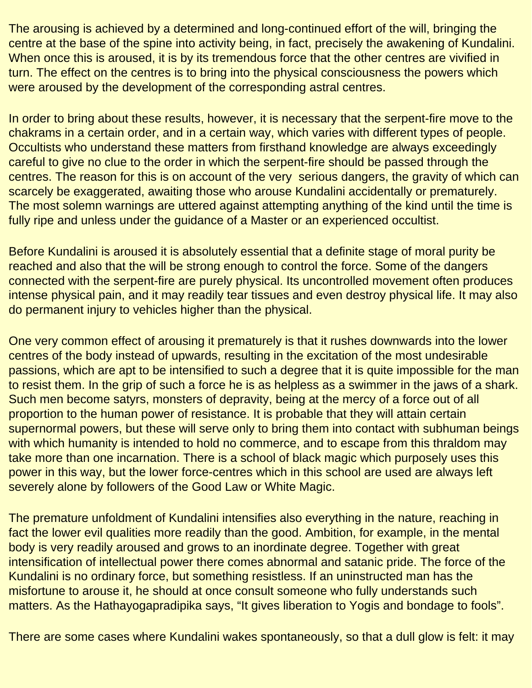The arousing is achieved by a determined and long-continued effort of the will, bringing the centre at the base of the spine into activity being, in fact, precisely the awakening of Kundalini. When once this is aroused, it is by its tremendous force that the other centres are vivified in turn. The effect on the centres is to bring into the physical consciousness the powers which were aroused by the development of the corresponding astral centres.

In order to bring about these results, however, it is necessary that the serpent-fire move to the chakrams in a certain order, and in a certain way, which varies with different types of people. Occultists who understand these matters from firsthand knowledge are always exceedingly careful to give no clue to the order in which the serpent-fire should be passed through the centres. The reason for this is on account of the very serious dangers, the gravity of which can scarcely be exaggerated, awaiting those who arouse Kundalini accidentally or prematurely. The most solemn warnings are uttered against attempting anything of the kind until the time is fully ripe and unless under the guidance of a Master or an experienced occultist.

Before Kundalini is aroused it is absolutely essential that a definite stage of moral purity be reached and also that the will be strong enough to control the force. Some of the dangers connected with the serpent-fire are purely physical. Its uncontrolled movement often produces intense physical pain, and it may readily tear tissues and even destroy physical life. It may also do permanent injury to vehicles higher than the physical.

One very common effect of arousing it prematurely is that it rushes downwards into the lower centres of the body instead of upwards, resulting in the excitation of the most undesirable passions, which are apt to be intensified to such a degree that it is quite impossible for the man to resist them. In the grip of such a force he is as helpless as a swimmer in the jaws of a shark. Such men become satyrs, monsters of depravity, being at the mercy of a force out of all proportion to the human power of resistance. It is probable that they will attain certain supernormal powers, but these will serve only to bring them into contact with subhuman beings with which humanity is intended to hold no commerce, and to escape from this thraldom may take more than one incarnation. There is a school of black magic which purposely uses this power in this way, but the lower force-centres which in this school are used are always left severely alone by followers of the Good Law or White Magic.

The premature unfoldment of Kundalini intensifies also everything in the nature, reaching in fact the lower evil qualities more readily than the good. Ambition, for example, in the mental body is very readily aroused and grows to an inordinate degree. Together with great intensification of intellectual power there comes abnormal and satanic pride. The force of the Kundalini is no ordinary force, but something resistless. If an uninstructed man has the misfortune to arouse it, he should at once consult someone who fully understands such matters. As the Hathayogapradipika says, "It gives liberation to Yogis and bondage to fools".

There are some cases where Kundalini wakes spontaneously, so that a dull glow is felt: it may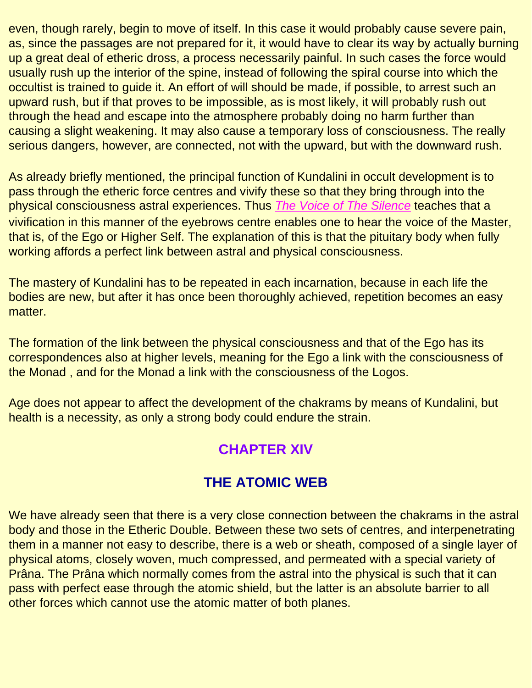even, though rarely, begin to move of itself. In this case it would probably cause severe pain, as, since the passages are not prepared for it, it would have to clear its way by actually burning up a great deal of etheric dross, a process necessarily painful. In such cases the force would usually rush up the interior of the spine, instead of following the spiral course into which the occultist is trained to guide it. An effort of will should be made, if possible, to arrest such an upward rush, but if that proves to be impossible, as is most likely, it will probably rush out through the head and escape into the atmosphere probably doing no harm further than causing a slight weakening. It may also cause a temporary loss of consciousness. The really serious dangers, however, are connected, not with the upward, but with the downward rush.

As already briefly mentioned, the principal function of Kundalini in occult development is to pass through the etheric force centres and vivify these so that they bring through into the physical consciousness astral experiences. Thus *[The Voice of The Silence](http://www.theosophical.ca/VoiceSilence.htm)* teaches that a vivification in this manner of the eyebrows centre enables one to hear the voice of the Master, that is, of the Ego or Higher Self. The explanation of this is that the pituitary body when fully working affords a perfect link between astral and physical consciousness.

The mastery of Kundalini has to be repeated in each incarnation, because in each life the bodies are new, but after it has once been thoroughly achieved, repetition becomes an easy matter.

The formation of the link between the physical consciousness and that of the Ego has its correspondences also at higher levels, meaning for the Ego a link with the consciousness of the Monad , and for the Monad a link with the consciousness of the Logos.

Age does not appear to affect the development of the chakrams by means of Kundalini, but health is a necessity, as only a strong body could endure the strain.

### **CHAPTER XIV**

### **THE ATOMIC WEB**

We have already seen that there is a very close connection between the chakrams in the astral body and those in the Etheric Double. Between these two sets of centres, and interpenetrating them in a manner not easy to describe, there is a web or sheath, composed of a single layer of physical atoms, closely woven, much compressed, and permeated with a special variety of Prâna. The Prâna which normally comes from the astral into the physical is such that it can pass with perfect ease through the atomic shield, but the latter is an absolute barrier to all other forces which cannot use the atomic matter of both planes.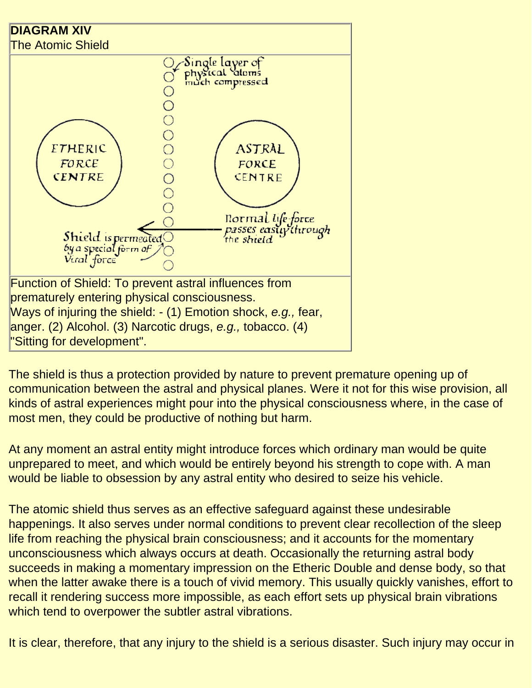

The shield is thus a protection provided by nature to prevent premature opening up of communication between the astral and physical planes. Were it not for this wise provision, all kinds of astral experiences might pour into the physical consciousness where, in the case of most men, they could be productive of nothing but harm.

At any moment an astral entity might introduce forces which ordinary man would be quite unprepared to meet, and which would be entirely beyond his strength to cope with. A man would be liable to obsession by any astral entity who desired to seize his vehicle.

The atomic shield thus serves as an effective safeguard against these undesirable happenings. It also serves under normal conditions to prevent clear recollection of the sleep life from reaching the physical brain consciousness; and it accounts for the momentary unconsciousness which always occurs at death. Occasionally the returning astral body succeeds in making a momentary impression on the Etheric Double and dense body, so that when the latter awake there is a touch of vivid memory. This usually quickly vanishes, effort to recall it rendering success more impossible, as each effort sets up physical brain vibrations which tend to overpower the subtler astral vibrations.

It is clear, therefore, that any injury to the shield is a serious disaster. Such injury may occur in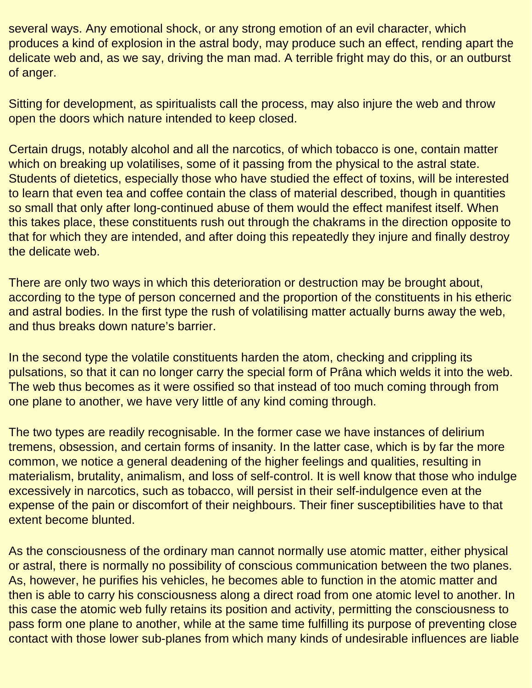several ways. Any emotional shock, or any strong emotion of an evil character, which produces a kind of explosion in the astral body, may produce such an effect, rending apart the delicate web and, as we say, driving the man mad. A terrible fright may do this, or an outburst of anger.

Sitting for development, as spiritualists call the process, may also injure the web and throw open the doors which nature intended to keep closed.

Certain drugs, notably alcohol and all the narcotics, of which tobacco is one, contain matter which on breaking up volatilises, some of it passing from the physical to the astral state. Students of dietetics, especially those who have studied the effect of toxins, will be interested to learn that even tea and coffee contain the class of material described, though in quantities so small that only after long-continued abuse of them would the effect manifest itself. When this takes place, these constituents rush out through the chakrams in the direction opposite to that for which they are intended, and after doing this repeatedly they injure and finally destroy the delicate web.

There are only two ways in which this deterioration or destruction may be brought about, according to the type of person concerned and the proportion of the constituents in his etheric and astral bodies. In the first type the rush of volatilising matter actually burns away the web, and thus breaks down nature's barrier.

In the second type the volatile constituents harden the atom, checking and crippling its pulsations, so that it can no longer carry the special form of Prâna which welds it into the web. The web thus becomes as it were ossified so that instead of too much coming through from one plane to another, we have very little of any kind coming through.

The two types are readily recognisable. In the former case we have instances of delirium tremens, obsession, and certain forms of insanity. In the latter case, which is by far the more common, we notice a general deadening of the higher feelings and qualities, resulting in materialism, brutality, animalism, and loss of self-control. It is well know that those who indulge excessively in narcotics, such as tobacco, will persist in their self-indulgence even at the expense of the pain or discomfort of their neighbours. Their finer susceptibilities have to that extent become blunted.

As the consciousness of the ordinary man cannot normally use atomic matter, either physical or astral, there is normally no possibility of conscious communication between the two planes. As, however, he purifies his vehicles, he becomes able to function in the atomic matter and then is able to carry his consciousness along a direct road from one atomic level to another. In this case the atomic web fully retains its position and activity, permitting the consciousness to pass form one plane to another, while at the same time fulfilling its purpose of preventing close contact with those lower sub-planes from which many kinds of undesirable influences are liable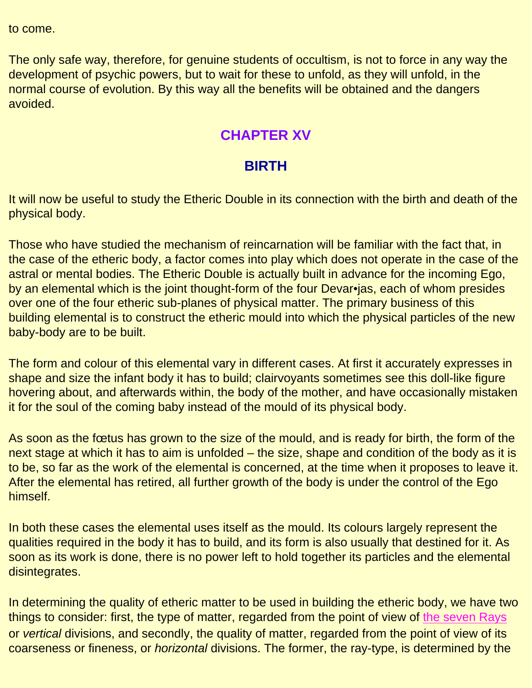to come.

The only safe way, therefore, for genuine students of occultism, is not to force in any way the development of psychic powers, but to wait for these to unfold, as they will unfold, in the normal course of evolution. By this way all the benefits will be obtained and the dangers avoided.

#### **CHAPTER XV**

#### **BIRTH**

It will now be useful to study the Etheric Double in its connection with the birth and death of the physical body.

Those who have studied the mechanism of reincarnation will be familiar with the fact that, in the case of the etheric body, a factor comes into play which does not operate in the case of the astral or mental bodies. The Etheric Double is actually built in advance for the incoming Ego, by an elemental which is the joint thought-form of the four Devar•jas, each of whom presides over one of the four etheric sub-planes of physical matter. The primary business of this building elemental is to construct the etheric mould into which the physical particles of the new baby-body are to be built.

The form and colour of this elemental vary in different cases. At first it accurately expresses in shape and size the infant body it has to build; clairvoyants sometimes see this doll-like figure hovering about, and afterwards within, the body of the mother, and have occasionally mistaken it for the soul of the coming baby instead of the mould of its physical body.

As soon as the fœtus has grown to the size of the mould, and is ready for birth, the form of the next stage at which it has to aim is unfolded – the size, shape and condition of the body as it is to be, so far as the work of the elemental is concerned, at the time when it proposes to leave it. After the elemental has retired, all further growth of the body is under the control of the Ego himself.

In both these cases the elemental uses itself as the mould. Its colours largely represent the qualities required in the body it has to build, and its form is also usually that destined for it. As soon as its work is done, there is no power left to hold together its particles and the elemental disintegrates.

In determining the quality of etheric matter to be used in building the etheric body, we have two things to consider: first, the type of matter, regarded from the point of view of [the seven Rays](http://www.theosophical.ca/SevenRays.htm) or *vertical* divisions, and secondly, the quality of matter, regarded from the point of view of its coarseness or fineness, or *horizontal* divisions. The former, the ray-type, is determined by the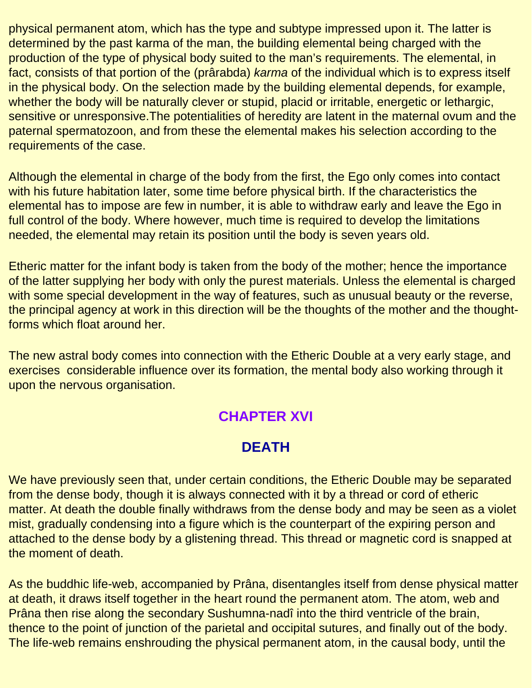physical permanent atom, which has the type and subtype impressed upon it. The latter is determined by the past karma of the man, the building elemental being charged with the production of the type of physical body suited to the man's requirements. The elemental, in fact, consists of that portion of the (prârabda) *karma* of the individual which is to express itself in the physical body. On the selection made by the building elemental depends, for example, whether the body will be naturally clever or stupid, placid or irritable, energetic or lethargic, sensitive or unresponsive.The potentialities of heredity are latent in the maternal ovum and the paternal spermatozoon, and from these the elemental makes his selection according to the requirements of the case.

Although the elemental in charge of the body from the first, the Ego only comes into contact with his future habitation later, some time before physical birth. If the characteristics the elemental has to impose are few in number, it is able to withdraw early and leave the Ego in full control of the body. Where however, much time is required to develop the limitations needed, the elemental may retain its position until the body is seven years old.

Etheric matter for the infant body is taken from the body of the mother; hence the importance of the latter supplying her body with only the purest materials. Unless the elemental is charged with some special development in the way of features, such as unusual beauty or the reverse, the principal agency at work in this direction will be the thoughts of the mother and the thoughtforms which float around her.

The new astral body comes into connection with the Etheric Double at a very early stage, and exercises considerable influence over its formation, the mental body also working through it upon the nervous organisation.

# **CHAPTER XVI**

## **DEATH**

We have previously seen that, under certain conditions, the Etheric Double may be separated from the dense body, though it is always connected with it by a thread or cord of etheric matter. At death the double finally withdraws from the dense body and may be seen as a violet mist, gradually condensing into a figure which is the counterpart of the expiring person and attached to the dense body by a glistening thread. This thread or magnetic cord is snapped at the moment of death.

As the buddhic life-web, accompanied by Prâna, disentangles itself from dense physical matter at death, it draws itself together in the heart round the permanent atom. The atom, web and Prâna then rise along the secondary Sushumna-nadî into the third ventricle of the brain, thence to the point of junction of the parietal and occipital sutures, and finally out of the body. The life-web remains enshrouding the physical permanent atom, in the causal body, until the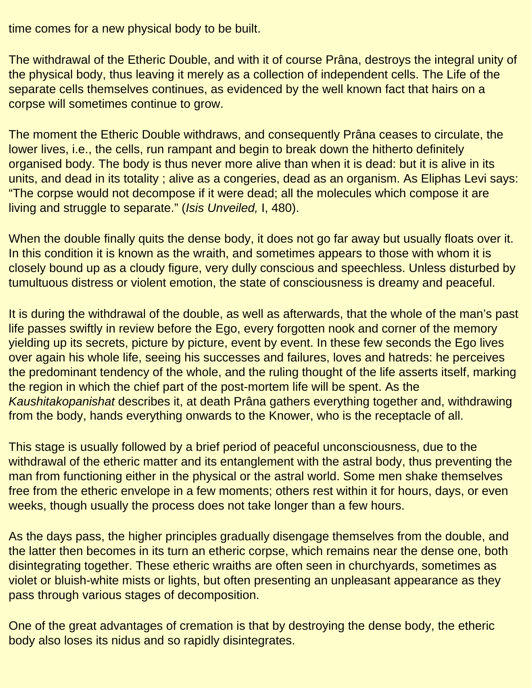time comes for a new physical body to be built.

The withdrawal of the Etheric Double, and with it of course Prâna, destroys the integral unity of the physical body, thus leaving it merely as a collection of independent cells. The Life of the separate cells themselves continues, as evidenced by the well known fact that hairs on a corpse will sometimes continue to grow.

The moment the Etheric Double withdraws, and consequently Prâna ceases to circulate, the lower lives, i.e., the cells, run rampant and begin to break down the hitherto definitely organised body. The body is thus never more alive than when it is dead: but it is alive in its units, and dead in its totality ; alive as a congeries, dead as an organism. As Eliphas Levi says: "The corpse would not decompose if it were dead; all the molecules which compose it are living and struggle to separate." (*Isis Unveiled,* I, 480).

When the double finally quits the dense body, it does not go far away but usually floats over it. In this condition it is known as the wraith, and sometimes appears to those with whom it is closely bound up as a cloudy figure, very dully conscious and speechless. Unless disturbed by tumultuous distress or violent emotion, the state of consciousness is dreamy and peaceful.

It is during the withdrawal of the double, as well as afterwards, that the whole of the man's past life passes swiftly in review before the Ego, every forgotten nook and corner of the memory yielding up its secrets, picture by picture, event by event. In these few seconds the Ego lives over again his whole life, seeing his successes and failures, loves and hatreds: he perceives the predominant tendency of the whole, and the ruling thought of the life asserts itself, marking the region in which the chief part of the post-mortem life will be spent. As the *Kaushitakopanishat* describes it, at death Prâna gathers everything together and, withdrawing from the body, hands everything onwards to the Knower, who is the receptacle of all.

This stage is usually followed by a brief period of peaceful unconsciousness, due to the withdrawal of the etheric matter and its entanglement with the astral body, thus preventing the man from functioning either in the physical or the astral world. Some men shake themselves free from the etheric envelope in a few moments; others rest within it for hours, days, or even weeks, though usually the process does not take longer than a few hours.

As the days pass, the higher principles gradually disengage themselves from the double, and the latter then becomes in its turn an etheric corpse, which remains near the dense one, both disintegrating together. These etheric wraiths are often seen in churchyards, sometimes as violet or bluish-white mists or lights, but often presenting an unpleasant appearance as they pass through various stages of decomposition.

One of the great advantages of cremation is that by destroying the dense body, the etheric body also loses its nidus and so rapidly disintegrates.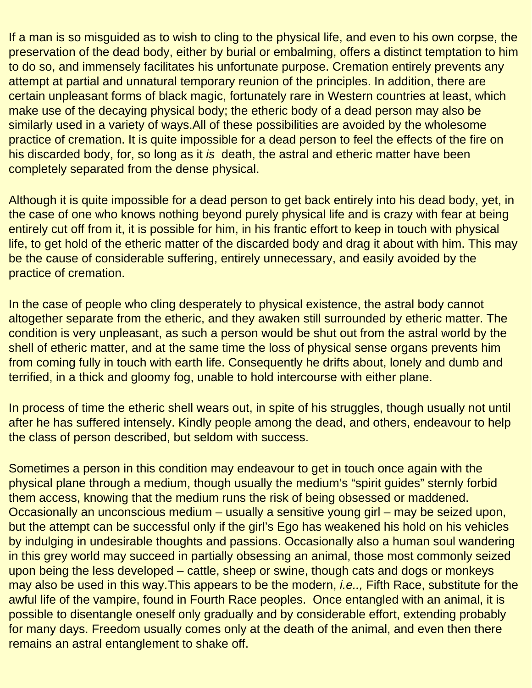If a man is so misguided as to wish to cling to the physical life, and even to his own corpse, the preservation of the dead body, either by burial or embalming, offers a distinct temptation to him to do so, and immensely facilitates his unfortunate purpose. Cremation entirely prevents any attempt at partial and unnatural temporary reunion of the principles. In addition, there are certain unpleasant forms of black magic, fortunately rare in Western countries at least, which make use of the decaying physical body; the etheric body of a dead person may also be similarly used in a variety of ways.All of these possibilities are avoided by the wholesome practice of cremation. It is quite impossible for a dead person to feel the effects of the fire on his discarded body, for, so long as it *is* death, the astral and etheric matter have been completely separated from the dense physical.

Although it is quite impossible for a dead person to get back entirely into his dead body, yet, in the case of one who knows nothing beyond purely physical life and is crazy with fear at being entirely cut off from it, it is possible for him, in his frantic effort to keep in touch with physical life, to get hold of the etheric matter of the discarded body and drag it about with him. This may be the cause of considerable suffering, entirely unnecessary, and easily avoided by the practice of cremation.

In the case of people who cling desperately to physical existence, the astral body cannot altogether separate from the etheric, and they awaken still surrounded by etheric matter. The condition is very unpleasant, as such a person would be shut out from the astral world by the shell of etheric matter, and at the same time the loss of physical sense organs prevents him from coming fully in touch with earth life. Consequently he drifts about, lonely and dumb and terrified, in a thick and gloomy fog, unable to hold intercourse with either plane.

In process of time the etheric shell wears out, in spite of his struggles, though usually not until after he has suffered intensely. Kindly people among the dead, and others, endeavour to help the class of person described, but seldom with success.

Sometimes a person in this condition may endeavour to get in touch once again with the physical plane through a medium, though usually the medium's "spirit guides" sternly forbid them access, knowing that the medium runs the risk of being obsessed or maddened. Occasionally an unconscious medium – usually a sensitive young girl – may be seized upon, but the attempt can be successful only if the girl's Ego has weakened his hold on his vehicles by indulging in undesirable thoughts and passions. Occasionally also a human soul wandering in this grey world may succeed in partially obsessing an animal, those most commonly seized upon being the less developed – cattle, sheep or swine, though cats and dogs or monkeys may also be used in this way.This appears to be the modern, *i.e..,* Fifth Race, substitute for the awful life of the vampire, found in Fourth Race peoples. Once entangled with an animal, it is possible to disentangle oneself only gradually and by considerable effort, extending probably for many days. Freedom usually comes only at the death of the animal, and even then there remains an astral entanglement to shake off.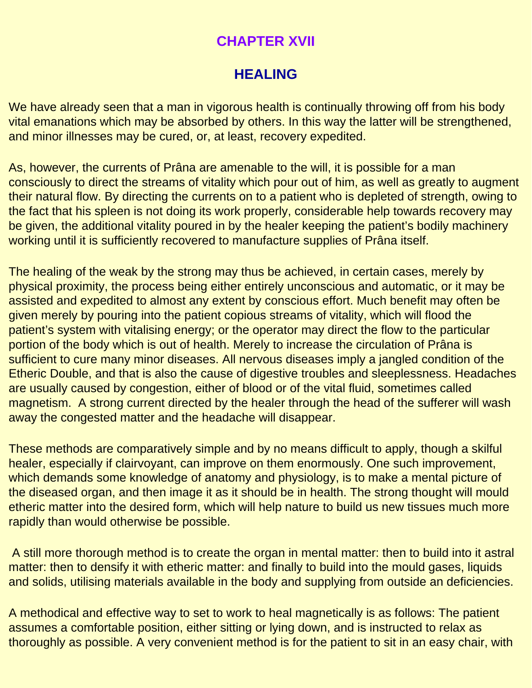### **CHAPTER XVII**

## **HEALING**

We have already seen that a man in vigorous health is continually throwing off from his body vital emanations which may be absorbed by others. In this way the latter will be strengthened, and minor illnesses may be cured, or, at least, recovery expedited.

As, however, the currents of Prâna are amenable to the will, it is possible for a man consciously to direct the streams of vitality which pour out of him, as well as greatly to augment their natural flow. By directing the currents on to a patient who is depleted of strength, owing to the fact that his spleen is not doing its work properly, considerable help towards recovery may be given, the additional vitality poured in by the healer keeping the patient's bodily machinery working until it is sufficiently recovered to manufacture supplies of Prâna itself.

The healing of the weak by the strong may thus be achieved, in certain cases, merely by physical proximity, the process being either entirely unconscious and automatic, or it may be assisted and expedited to almost any extent by conscious effort. Much benefit may often be given merely by pouring into the patient copious streams of vitality, which will flood the patient's system with vitalising energy; or the operator may direct the flow to the particular portion of the body which is out of health. Merely to increase the circulation of Prâna is sufficient to cure many minor diseases. All nervous diseases imply a jangled condition of the Etheric Double, and that is also the cause of digestive troubles and sleeplessness. Headaches are usually caused by congestion, either of blood or of the vital fluid, sometimes called magnetism. A strong current directed by the healer through the head of the sufferer will wash away the congested matter and the headache will disappear.

These methods are comparatively simple and by no means difficult to apply, though a skilful healer, especially if clairvoyant, can improve on them enormously. One such improvement, which demands some knowledge of anatomy and physiology, is to make a mental picture of the diseased organ, and then image it as it should be in health. The strong thought will mould etheric matter into the desired form, which will help nature to build us new tissues much more rapidly than would otherwise be possible.

 A still more thorough method is to create the organ in mental matter: then to build into it astral matter: then to densify it with etheric matter: and finally to build into the mould gases, liquids and solids, utilising materials available in the body and supplying from outside an deficiencies.

A methodical and effective way to set to work to heal magnetically is as follows: The patient assumes a comfortable position, either sitting or lying down, and is instructed to relax as thoroughly as possible. A very convenient method is for the patient to sit in an easy chair, with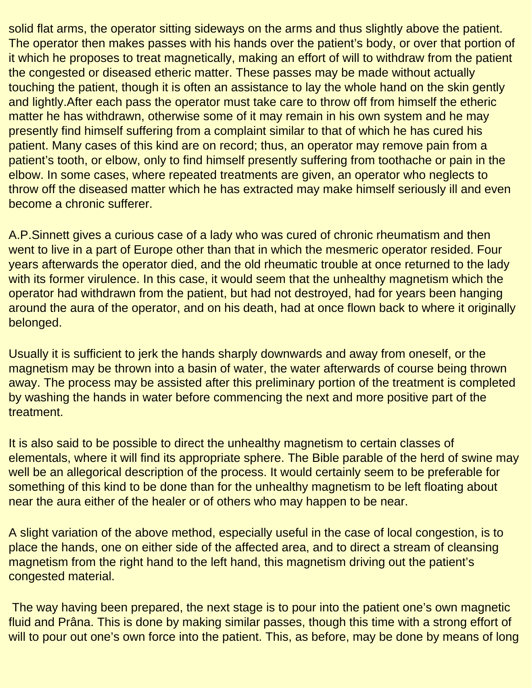solid flat arms, the operator sitting sideways on the arms and thus slightly above the patient. The operator then makes passes with his hands over the patient's body, or over that portion of it which he proposes to treat magnetically, making an effort of will to withdraw from the patient the congested or diseased etheric matter. These passes may be made without actually touching the patient, though it is often an assistance to lay the whole hand on the skin gently and lightly.After each pass the operator must take care to throw off from himself the etheric matter he has withdrawn, otherwise some of it may remain in his own system and he may presently find himself suffering from a complaint similar to that of which he has cured his patient. Many cases of this kind are on record; thus, an operator may remove pain from a patient's tooth, or elbow, only to find himself presently suffering from toothache or pain in the elbow. In some cases, where repeated treatments are given, an operator who neglects to throw off the diseased matter which he has extracted may make himself seriously ill and even become a chronic sufferer.

A.P.Sinnett gives a curious case of a lady who was cured of chronic rheumatism and then went to live in a part of Europe other than that in which the mesmeric operator resided. Four years afterwards the operator died, and the old rheumatic trouble at once returned to the lady with its former virulence. In this case, it would seem that the unhealthy magnetism which the operator had withdrawn from the patient, but had not destroyed, had for years been hanging around the aura of the operator, and on his death, had at once flown back to where it originally belonged.

Usually it is sufficient to jerk the hands sharply downwards and away from oneself, or the magnetism may be thrown into a basin of water, the water afterwards of course being thrown away. The process may be assisted after this preliminary portion of the treatment is completed by washing the hands in water before commencing the next and more positive part of the treatment.

It is also said to be possible to direct the unhealthy magnetism to certain classes of elementals, where it will find its appropriate sphere. The Bible parable of the herd of swine may well be an allegorical description of the process. It would certainly seem to be preferable for something of this kind to be done than for the unhealthy magnetism to be left floating about near the aura either of the healer or of others who may happen to be near.

A slight variation of the above method, especially useful in the case of local congestion, is to place the hands, one on either side of the affected area, and to direct a stream of cleansing magnetism from the right hand to the left hand, this magnetism driving out the patient's congested material.

 The way having been prepared, the next stage is to pour into the patient one's own magnetic fluid and Prâna. This is done by making similar passes, though this time with a strong effort of will to pour out one's own force into the patient. This, as before, may be done by means of long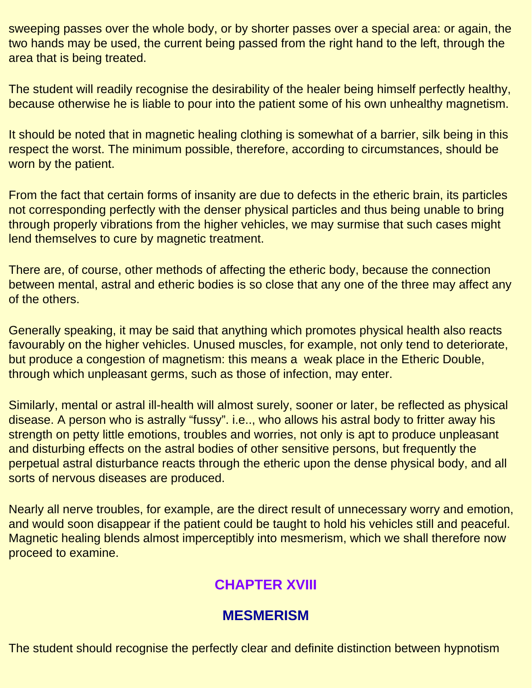sweeping passes over the whole body, or by shorter passes over a special area: or again, the two hands may be used, the current being passed from the right hand to the left, through the area that is being treated.

The student will readily recognise the desirability of the healer being himself perfectly healthy, because otherwise he is liable to pour into the patient some of his own unhealthy magnetism.

It should be noted that in magnetic healing clothing is somewhat of a barrier, silk being in this respect the worst. The minimum possible, therefore, according to circumstances, should be worn by the patient.

From the fact that certain forms of insanity are due to defects in the etheric brain, its particles not corresponding perfectly with the denser physical particles and thus being unable to bring through properly vibrations from the higher vehicles, we may surmise that such cases might lend themselves to cure by magnetic treatment.

There are, of course, other methods of affecting the etheric body, because the connection between mental, astral and etheric bodies is so close that any one of the three may affect any of the others.

Generally speaking, it may be said that anything which promotes physical health also reacts favourably on the higher vehicles. Unused muscles, for example, not only tend to deteriorate, but produce a congestion of magnetism: this means a weak place in the Etheric Double, through which unpleasant germs, such as those of infection, may enter.

Similarly, mental or astral ill-health will almost surely, sooner or later, be reflected as physical disease. A person who is astrally "fussy". i.e.., who allows his astral body to fritter away his strength on petty little emotions, troubles and worries, not only is apt to produce unpleasant and disturbing effects on the astral bodies of other sensitive persons, but frequently the perpetual astral disturbance reacts through the etheric upon the dense physical body, and all sorts of nervous diseases are produced.

Nearly all nerve troubles, for example, are the direct result of unnecessary worry and emotion, and would soon disappear if the patient could be taught to hold his vehicles still and peaceful. Magnetic healing blends almost imperceptibly into mesmerism, which we shall therefore now proceed to examine.

### **CHAPTER XVIII**

#### **MESMERISM**

The student should recognise the perfectly clear and definite distinction between hypnotism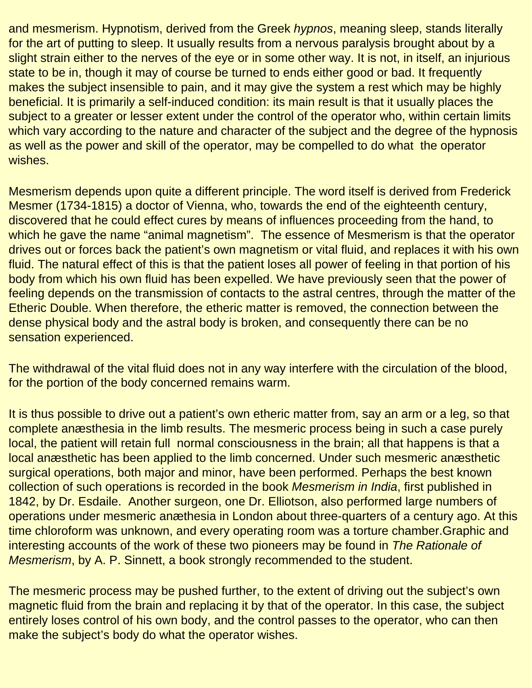and mesmerism. Hypnotism, derived from the Greek *hypnos*, meaning sleep, stands literally for the art of putting to sleep. It usually results from a nervous paralysis brought about by a slight strain either to the nerves of the eye or in some other way. It is not, in itself, an injurious state to be in, though it may of course be turned to ends either good or bad. It frequently makes the subject insensible to pain, and it may give the system a rest which may be highly beneficial. It is primarily a self-induced condition: its main result is that it usually places the subject to a greater or lesser extent under the control of the operator who, within certain limits which vary according to the nature and character of the subject and the degree of the hypnosis as well as the power and skill of the operator, may be compelled to do what the operator wishes.

Mesmerism depends upon quite a different principle. The word itself is derived from Frederick Mesmer (1734-1815) a doctor of Vienna, who, towards the end of the eighteenth century, discovered that he could effect cures by means of influences proceeding from the hand, to which he gave the name "animal magnetism". The essence of Mesmerism is that the operator drives out or forces back the patient's own magnetism or vital fluid, and replaces it with his own fluid. The natural effect of this is that the patient loses all power of feeling in that portion of his body from which his own fluid has been expelled. We have previously seen that the power of feeling depends on the transmission of contacts to the astral centres, through the matter of the Etheric Double. When therefore, the etheric matter is removed, the connection between the dense physical body and the astral body is broken, and consequently there can be no sensation experienced.

The withdrawal of the vital fluid does not in any way interfere with the circulation of the blood, for the portion of the body concerned remains warm.

It is thus possible to drive out a patient's own etheric matter from, say an arm or a leg, so that complete anæsthesia in the limb results. The mesmeric process being in such a case purely local, the patient will retain full normal consciousness in the brain; all that happens is that a local anæsthetic has been applied to the limb concerned. Under such mesmeric anæsthetic surgical operations, both major and minor, have been performed. Perhaps the best known collection of such operations is recorded in the book *Mesmerism in India*, first published in 1842, by Dr. Esdaile. Another surgeon, one Dr. Elliotson, also performed large numbers of operations under mesmeric anæthesia in London about three-quarters of a century ago. At this time chloroform was unknown, and every operating room was a torture chamber.Graphic and interesting accounts of the work of these two pioneers may be found in *The Rationale of Mesmerism*, by A. P. Sinnett, a book strongly recommended to the student.

The mesmeric process may be pushed further, to the extent of driving out the subject's own magnetic fluid from the brain and replacing it by that of the operator. In this case, the subject entirely loses control of his own body, and the control passes to the operator, who can then make the subject's body do what the operator wishes.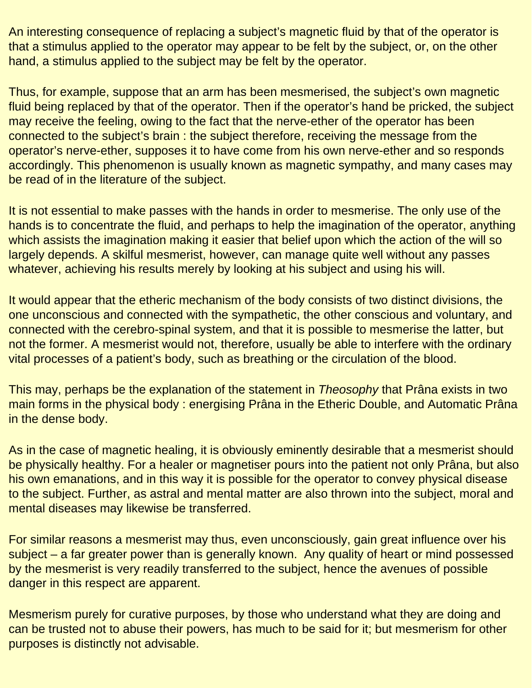An interesting consequence of replacing a subject's magnetic fluid by that of the operator is that a stimulus applied to the operator may appear to be felt by the subject, or, on the other hand, a stimulus applied to the subject may be felt by the operator.

Thus, for example, suppose that an arm has been mesmerised, the subject's own magnetic fluid being replaced by that of the operator. Then if the operator's hand be pricked, the subject may receive the feeling, owing to the fact that the nerve-ether of the operator has been connected to the subject's brain : the subject therefore, receiving the message from the operator's nerve-ether, supposes it to have come from his own nerve-ether and so responds accordingly. This phenomenon is usually known as magnetic sympathy, and many cases may be read of in the literature of the subject.

It is not essential to make passes with the hands in order to mesmerise. The only use of the hands is to concentrate the fluid, and perhaps to help the imagination of the operator, anything which assists the imagination making it easier that belief upon which the action of the will so largely depends. A skilful mesmerist, however, can manage quite well without any passes whatever, achieving his results merely by looking at his subject and using his will.

It would appear that the etheric mechanism of the body consists of two distinct divisions, the one unconscious and connected with the sympathetic, the other conscious and voluntary, and connected with the cerebro-spinal system, and that it is possible to mesmerise the latter, but not the former. A mesmerist would not, therefore, usually be able to interfere with the ordinary vital processes of a patient's body, such as breathing or the circulation of the blood.

This may, perhaps be the explanation of the statement in *Theosophy* that Prâna exists in two main forms in the physical body : energising Prâna in the Etheric Double, and Automatic Prâna in the dense body.

As in the case of magnetic healing, it is obviously eminently desirable that a mesmerist should be physically healthy. For a healer or magnetiser pours into the patient not only Prâna, but also his own emanations, and in this way it is possible for the operator to convey physical disease to the subject. Further, as astral and mental matter are also thrown into the subject, moral and mental diseases may likewise be transferred.

For similar reasons a mesmerist may thus, even unconsciously, gain great influence over his subject – a far greater power than is generally known. Any quality of heart or mind possessed by the mesmerist is very readily transferred to the subject, hence the avenues of possible danger in this respect are apparent.

Mesmerism purely for curative purposes, by those who understand what they are doing and can be trusted not to abuse their powers, has much to be said for it; but mesmerism for other purposes is distinctly not advisable.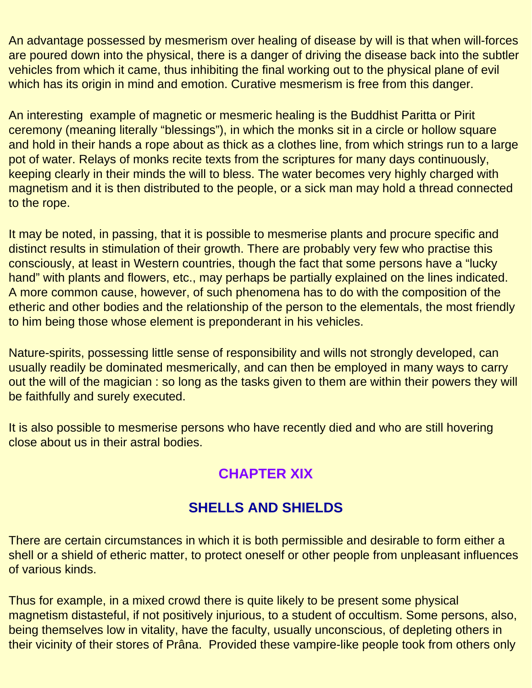An advantage possessed by mesmerism over healing of disease by will is that when will-forces are poured down into the physical, there is a danger of driving the disease back into the subtler vehicles from which it came, thus inhibiting the final working out to the physical plane of evil which has its origin in mind and emotion. Curative mesmerism is free from this danger.

An interesting example of magnetic or mesmeric healing is the Buddhist Paritta or Pirit ceremony (meaning literally "blessings"), in which the monks sit in a circle or hollow square and hold in their hands a rope about as thick as a clothes line, from which strings run to a large pot of water. Relays of monks recite texts from the scriptures for many days continuously, keeping clearly in their minds the will to bless. The water becomes very highly charged with magnetism and it is then distributed to the people, or a sick man may hold a thread connected to the rope.

It may be noted, in passing, that it is possible to mesmerise plants and procure specific and distinct results in stimulation of their growth. There are probably very few who practise this consciously, at least in Western countries, though the fact that some persons have a "lucky hand" with plants and flowers, etc., may perhaps be partially explained on the lines indicated. A more common cause, however, of such phenomena has to do with the composition of the etheric and other bodies and the relationship of the person to the elementals, the most friendly to him being those whose element is preponderant in his vehicles.

Nature-spirits, possessing little sense of responsibility and wills not strongly developed, can usually readily be dominated mesmerically, and can then be employed in many ways to carry out the will of the magician : so long as the tasks given to them are within their powers they will be faithfully and surely executed.

It is also possible to mesmerise persons who have recently died and who are still hovering close about us in their astral bodies.

## **CHAPTER XIX**

## **SHELLS AND SHIELDS**

There are certain circumstances in which it is both permissible and desirable to form either a shell or a shield of etheric matter, to protect oneself or other people from unpleasant influences of various kinds.

Thus for example, in a mixed crowd there is quite likely to be present some physical magnetism distasteful, if not positively injurious, to a student of occultism. Some persons, also, being themselves low in vitality, have the faculty, usually unconscious, of depleting others in their vicinity of their stores of Prâna. Provided these vampire-like people took from others only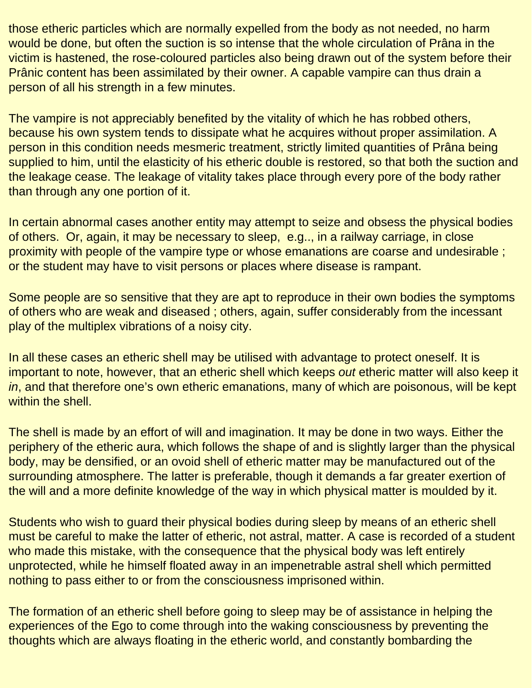those etheric particles which are normally expelled from the body as not needed, no harm would be done, but often the suction is so intense that the whole circulation of Prâna in the victim is hastened, the rose-coloured particles also being drawn out of the system before their Prânic content has been assimilated by their owner. A capable vampire can thus drain a person of all his strength in a few minutes.

The vampire is not appreciably benefited by the vitality of which he has robbed others, because his own system tends to dissipate what he acquires without proper assimilation. A person in this condition needs mesmeric treatment, strictly limited quantities of Prâna being supplied to him, until the elasticity of his etheric double is restored, so that both the suction and the leakage cease. The leakage of vitality takes place through every pore of the body rather than through any one portion of it.

In certain abnormal cases another entity may attempt to seize and obsess the physical bodies of others. Or, again, it may be necessary to sleep, e.g.., in a railway carriage, in close proximity with people of the vampire type or whose emanations are coarse and undesirable ; or the student may have to visit persons or places where disease is rampant.

Some people are so sensitive that they are apt to reproduce in their own bodies the symptoms of others who are weak and diseased ; others, again, suffer considerably from the incessant play of the multiplex vibrations of a noisy city.

In all these cases an etheric shell may be utilised with advantage to protect oneself. It is important to note, however, that an etheric shell which keeps *out* etheric matter will also keep it *in*, and that therefore one's own etheric emanations, many of which are poisonous, will be kept within the shell.

The shell is made by an effort of will and imagination. It may be done in two ways. Either the periphery of the etheric aura, which follows the shape of and is slightly larger than the physical body, may be densified, or an ovoid shell of etheric matter may be manufactured out of the surrounding atmosphere. The latter is preferable, though it demands a far greater exertion of the will and a more definite knowledge of the way in which physical matter is moulded by it.

Students who wish to guard their physical bodies during sleep by means of an etheric shell must be careful to make the latter of etheric, not astral, matter. A case is recorded of a student who made this mistake, with the consequence that the physical body was left entirely unprotected, while he himself floated away in an impenetrable astral shell which permitted nothing to pass either to or from the consciousness imprisoned within.

The formation of an etheric shell before going to sleep may be of assistance in helping the experiences of the Ego to come through into the waking consciousness by preventing the thoughts which are always floating in the etheric world, and constantly bombarding the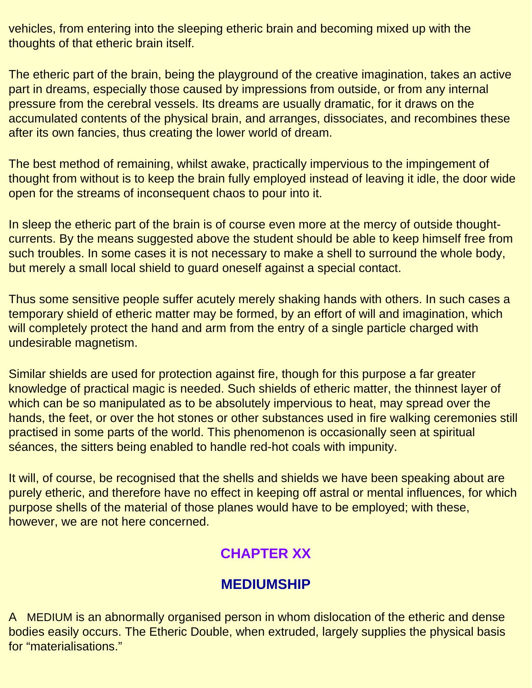vehicles, from entering into the sleeping etheric brain and becoming mixed up with the thoughts of that etheric brain itself.

The etheric part of the brain, being the playground of the creative imagination, takes an active part in dreams, especially those caused by impressions from outside, or from any internal pressure from the cerebral vessels. Its dreams are usually dramatic, for it draws on the accumulated contents of the physical brain, and arranges, dissociates, and recombines these after its own fancies, thus creating the lower world of dream.

The best method of remaining, whilst awake, practically impervious to the impingement of thought from without is to keep the brain fully employed instead of leaving it idle, the door wide open for the streams of inconsequent chaos to pour into it.

In sleep the etheric part of the brain is of course even more at the mercy of outside thoughtcurrents. By the means suggested above the student should be able to keep himself free from such troubles. In some cases it is not necessary to make a shell to surround the whole body, but merely a small local shield to guard oneself against a special contact.

Thus some sensitive people suffer acutely merely shaking hands with others. In such cases a temporary shield of etheric matter may be formed, by an effort of will and imagination, which will completely protect the hand and arm from the entry of a single particle charged with undesirable magnetism.

Similar shields are used for protection against fire, though for this purpose a far greater knowledge of practical magic is needed. Such shields of etheric matter, the thinnest layer of which can be so manipulated as to be absolutely impervious to heat, may spread over the hands, the feet, or over the hot stones or other substances used in fire walking ceremonies still practised in some parts of the world. This phenomenon is occasionally seen at spiritual séances, the sitters being enabled to handle red-hot coals with impunity.

It will, of course, be recognised that the shells and shields we have been speaking about are purely etheric, and therefore have no effect in keeping off astral or mental influences, for which purpose shells of the material of those planes would have to be employed; with these, however, we are not here concerned.

## **CHAPTER XX**

#### **MEDIUMSHIP**

A MEDIUM is an abnormally organised person in whom dislocation of the etheric and dense bodies easily occurs. The Etheric Double, when extruded, largely supplies the physical basis for "materialisations."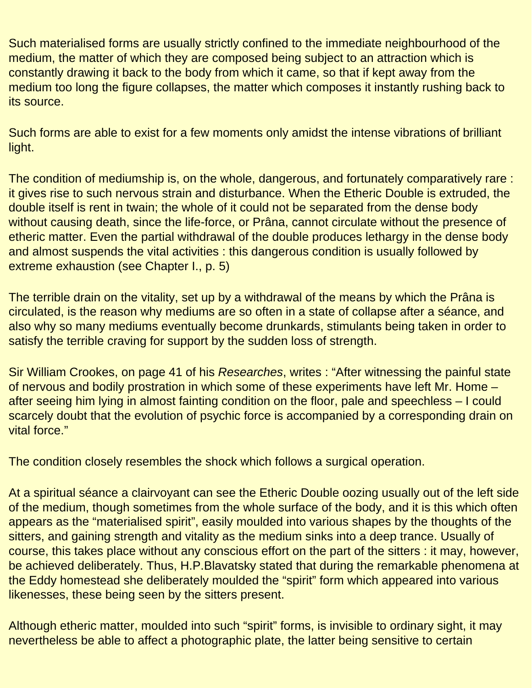Such materialised forms are usually strictly confined to the immediate neighbourhood of the medium, the matter of which they are composed being subject to an attraction which is constantly drawing it back to the body from which it came, so that if kept away from the medium too long the figure collapses, the matter which composes it instantly rushing back to its source.

Such forms are able to exist for a few moments only amidst the intense vibrations of brilliant light.

The condition of mediumship is, on the whole, dangerous, and fortunately comparatively rare : it gives rise to such nervous strain and disturbance. When the Etheric Double is extruded, the double itself is rent in twain; the whole of it could not be separated from the dense body without causing death, since the life-force, or Prâna, cannot circulate without the presence of etheric matter. Even the partial withdrawal of the double produces lethargy in the dense body and almost suspends the vital activities : this dangerous condition is usually followed by extreme exhaustion (see Chapter I., p. 5)

The terrible drain on the vitality, set up by a withdrawal of the means by which the Prâna is circulated, is the reason why mediums are so often in a state of collapse after a séance, and also why so many mediums eventually become drunkards, stimulants being taken in order to satisfy the terrible craving for support by the sudden loss of strength.

Sir William Crookes, on page 41 of his *Researches*, writes : "After witnessing the painful state of nervous and bodily prostration in which some of these experiments have left Mr. Home – after seeing him lying in almost fainting condition on the floor, pale and speechless – I could scarcely doubt that the evolution of psychic force is accompanied by a corresponding drain on vital force."

The condition closely resembles the shock which follows a surgical operation.

At a spiritual séance a clairvoyant can see the Etheric Double oozing usually out of the left side of the medium, though sometimes from the whole surface of the body, and it is this which often appears as the "materialised spirit", easily moulded into various shapes by the thoughts of the sitters, and gaining strength and vitality as the medium sinks into a deep trance. Usually of course, this takes place without any conscious effort on the part of the sitters : it may, however, be achieved deliberately. Thus, H.P.Blavatsky stated that during the remarkable phenomena at the Eddy homestead she deliberately moulded the "spirit" form which appeared into various likenesses, these being seen by the sitters present.

Although etheric matter, moulded into such "spirit" forms, is invisible to ordinary sight, it may nevertheless be able to affect a photographic plate, the latter being sensitive to certain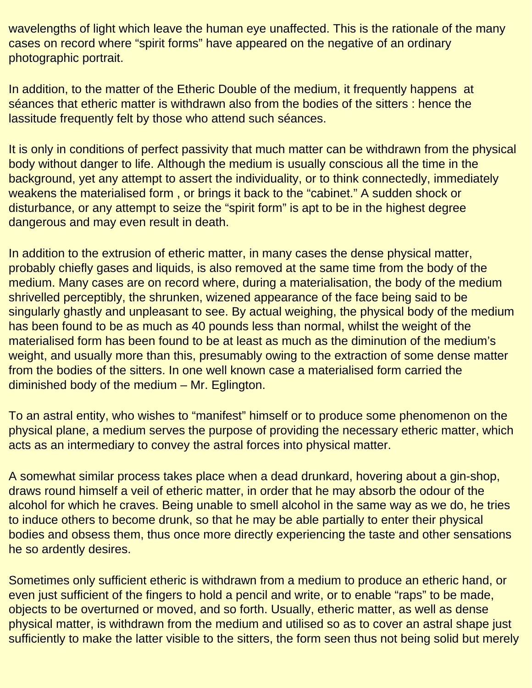wavelengths of light which leave the human eye unaffected. This is the rationale of the many cases on record where "spirit forms" have appeared on the negative of an ordinary photographic portrait.

In addition, to the matter of the Etheric Double of the medium, it frequently happens at séances that etheric matter is withdrawn also from the bodies of the sitters : hence the lassitude frequently felt by those who attend such séances.

It is only in conditions of perfect passivity that much matter can be withdrawn from the physical body without danger to life. Although the medium is usually conscious all the time in the background, yet any attempt to assert the individuality, or to think connectedly, immediately weakens the materialised form , or brings it back to the "cabinet." A sudden shock or disturbance, or any attempt to seize the "spirit form" is apt to be in the highest degree dangerous and may even result in death.

In addition to the extrusion of etheric matter, in many cases the dense physical matter, probably chiefly gases and liquids, is also removed at the same time from the body of the medium. Many cases are on record where, during a materialisation, the body of the medium shrivelled perceptibly, the shrunken, wizened appearance of the face being said to be singularly ghastly and unpleasant to see. By actual weighing, the physical body of the medium has been found to be as much as 40 pounds less than normal, whilst the weight of the materialised form has been found to be at least as much as the diminution of the medium's weight, and usually more than this, presumably owing to the extraction of some dense matter from the bodies of the sitters. In one well known case a materialised form carried the diminished body of the medium – Mr. Eglington.

To an astral entity, who wishes to "manifest" himself or to produce some phenomenon on the physical plane, a medium serves the purpose of providing the necessary etheric matter, which acts as an intermediary to convey the astral forces into physical matter.

A somewhat similar process takes place when a dead drunkard, hovering about a gin-shop, draws round himself a veil of etheric matter, in order that he may absorb the odour of the alcohol for which he craves. Being unable to smell alcohol in the same way as we do, he tries to induce others to become drunk, so that he may be able partially to enter their physical bodies and obsess them, thus once more directly experiencing the taste and other sensations he so ardently desires.

Sometimes only sufficient etheric is withdrawn from a medium to produce an etheric hand, or even just sufficient of the fingers to hold a pencil and write, or to enable "raps" to be made, objects to be overturned or moved, and so forth. Usually, etheric matter, as well as dense physical matter, is withdrawn from the medium and utilised so as to cover an astral shape just sufficiently to make the latter visible to the sitters, the form seen thus not being solid but merely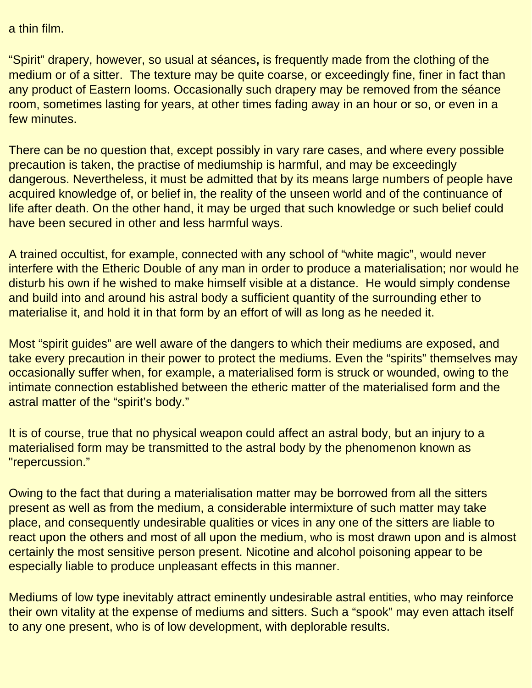a thin film.

"Spirit" drapery, however, so usual at séances**,** is frequently made from the clothing of the medium or of a sitter. The texture may be quite coarse, or exceedingly fine, finer in fact than any product of Eastern looms. Occasionally such drapery may be removed from the séance room, sometimes lasting for years, at other times fading away in an hour or so, or even in a few minutes.

There can be no question that, except possibly in vary rare cases, and where every possible precaution is taken, the practise of mediumship is harmful, and may be exceedingly dangerous. Nevertheless, it must be admitted that by its means large numbers of people have acquired knowledge of, or belief in, the reality of the unseen world and of the continuance of life after death. On the other hand, it may be urged that such knowledge or such belief could have been secured in other and less harmful ways.

A trained occultist, for example, connected with any school of "white magic", would never interfere with the Etheric Double of any man in order to produce a materialisation; nor would he disturb his own if he wished to make himself visible at a distance. He would simply condense and build into and around his astral body a sufficient quantity of the surrounding ether to materialise it, and hold it in that form by an effort of will as long as he needed it.

Most "spirit guides" are well aware of the dangers to which their mediums are exposed, and take every precaution in their power to protect the mediums. Even the "spirits" themselves may occasionally suffer when, for example, a materialised form is struck or wounded, owing to the intimate connection established between the etheric matter of the materialised form and the astral matter of the "spirit's body."

It is of course, true that no physical weapon could affect an astral body, but an injury to a materialised form may be transmitted to the astral body by the phenomenon known as "repercussion."

Owing to the fact that during a materialisation matter may be borrowed from all the sitters present as well as from the medium, a considerable intermixture of such matter may take place, and consequently undesirable qualities or vices in any one of the sitters are liable to react upon the others and most of all upon the medium, who is most drawn upon and is almost certainly the most sensitive person present. Nicotine and alcohol poisoning appear to be especially liable to produce unpleasant effects in this manner.

Mediums of low type inevitably attract eminently undesirable astral entities, who may reinforce their own vitality at the expense of mediums and sitters. Such a "spook" may even attach itself to any one present, who is of low development, with deplorable results.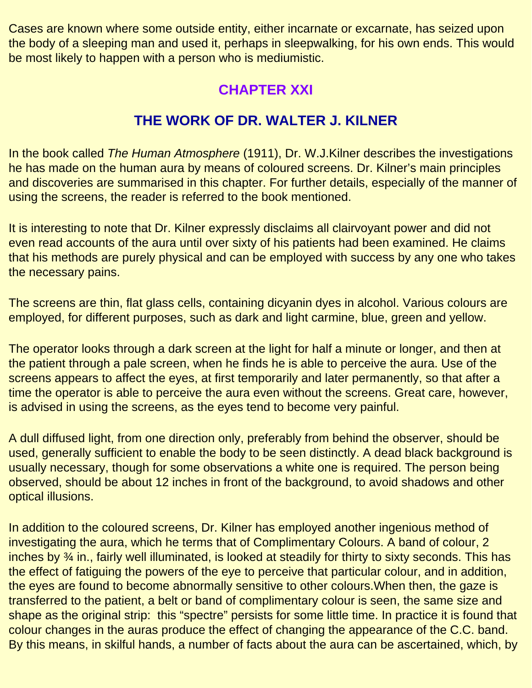Cases are known where some outside entity, either incarnate or excarnate, has seized upon the body of a sleeping man and used it, perhaps in sleepwalking, for his own ends. This would be most likely to happen with a person who is mediumistic.

# **CHAPTER XXI**

## **THE WORK OF DR. WALTER J. KILNER**

In the book called *The Human Atmosphere* (1911), Dr. W.J.Kilner describes the investigations he has made on the human aura by means of coloured screens. Dr. Kilner's main principles and discoveries are summarised in this chapter. For further details, especially of the manner of using the screens, the reader is referred to the book mentioned.

It is interesting to note that Dr. Kilner expressly disclaims all clairvoyant power and did not even read accounts of the aura until over sixty of his patients had been examined. He claims that his methods are purely physical and can be employed with success by any one who takes the necessary pains.

The screens are thin, flat glass cells, containing dicyanin dyes in alcohol. Various colours are employed, for different purposes, such as dark and light carmine, blue, green and yellow.

The operator looks through a dark screen at the light for half a minute or longer, and then at the patient through a pale screen, when he finds he is able to perceive the aura. Use of the screens appears to affect the eyes, at first temporarily and later permanently, so that after a time the operator is able to perceive the aura even without the screens. Great care, however, is advised in using the screens, as the eyes tend to become very painful.

A dull diffused light, from one direction only, preferably from behind the observer, should be used, generally sufficient to enable the body to be seen distinctly. A dead black background is usually necessary, though for some observations a white one is required. The person being observed, should be about 12 inches in front of the background, to avoid shadows and other optical illusions.

In addition to the coloured screens, Dr. Kilner has employed another ingenious method of investigating the aura, which he terms that of Complimentary Colours. A band of colour, 2 inches by ¾ in., fairly well illuminated, is looked at steadily for thirty to sixty seconds. This has the effect of fatiguing the powers of the eye to perceive that particular colour, and in addition, the eyes are found to become abnormally sensitive to other colours.When then, the gaze is transferred to the patient, a belt or band of complimentary colour is seen, the same size and shape as the original strip: this "spectre" persists for some little time. In practice it is found that colour changes in the auras produce the effect of changing the appearance of the C.C. band. By this means, in skilful hands, a number of facts about the aura can be ascertained, which, by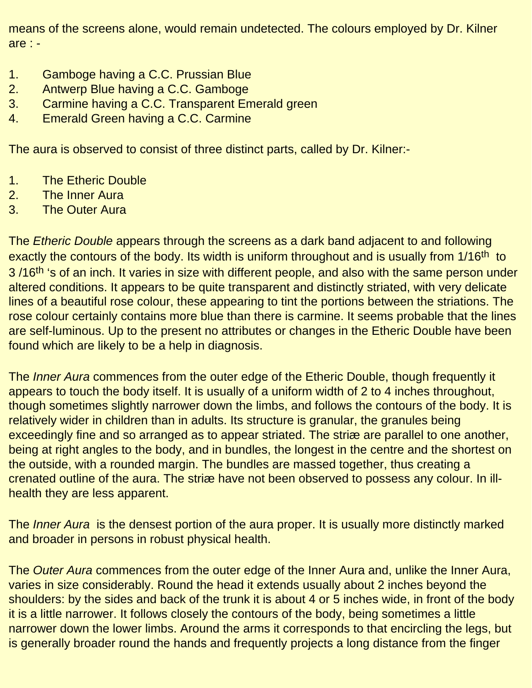means of the screens alone, would remain undetected. The colours employed by Dr. Kilner are : -

- 1. Gamboge having a C.C. Prussian Blue
- 2. Antwerp Blue having a C.C. Gamboge
- 3. Carmine having a C.C. Transparent Emerald green
- 4. Emerald Green having a C.C. Carmine

The aura is observed to consist of three distinct parts, called by Dr. Kilner:-

- 1. The Etheric Double
- 2. The Inner Aura
- 3. The Outer Aura

The *Etheric Double* appears through the screens as a dark band adjacent to and following exactly the contours of the body. Its width is uniform throughout and is usually from 1/16<sup>th</sup> to 3/16<sup>th</sup> 's of an inch. It varies in size with different people, and also with the same person under altered conditions. It appears to be quite transparent and distinctly striated, with very delicate lines of a beautiful rose colour, these appearing to tint the portions between the striations. The rose colour certainly contains more blue than there is carmine. It seems probable that the lines are self-luminous. Up to the present no attributes or changes in the Etheric Double have been found which are likely to be a help in diagnosis.

The *Inner Aura* commences from the outer edge of the Etheric Double, though frequently it appears to touch the body itself. It is usually of a uniform width of 2 to 4 inches throughout, though sometimes slightly narrower down the limbs, and follows the contours of the body. It is relatively wider in children than in adults. Its structure is granular, the granules being exceedingly fine and so arranged as to appear striated. The striæ are parallel to one another, being at right angles to the body, and in bundles, the longest in the centre and the shortest on the outside, with a rounded margin. The bundles are massed together, thus creating a crenated outline of the aura. The striæ have not been observed to possess any colour. In illhealth they are less apparent.

The *Inner Aura* is the densest portion of the aura proper. It is usually more distinctly marked and broader in persons in robust physical health.

The *Outer Aura* commences from the outer edge of the Inner Aura and, unlike the Inner Aura, varies in size considerably. Round the head it extends usually about 2 inches beyond the shoulders: by the sides and back of the trunk it is about 4 or 5 inches wide, in front of the body it is a little narrower. It follows closely the contours of the body, being sometimes a little narrower down the lower limbs. Around the arms it corresponds to that encircling the legs, but is generally broader round the hands and frequently projects a long distance from the finger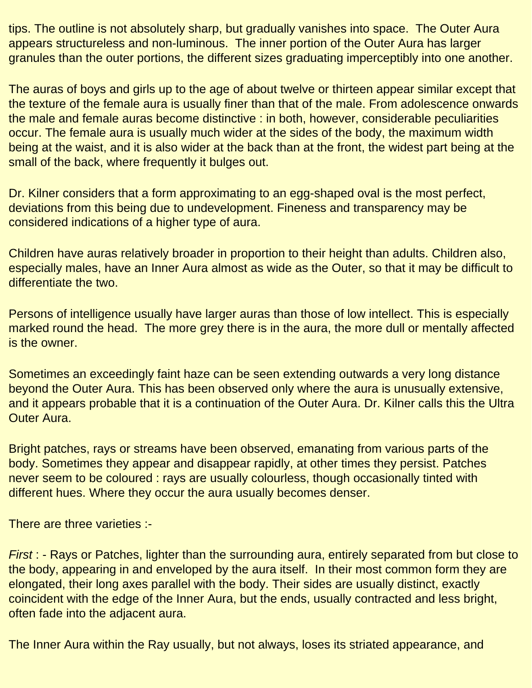tips. The outline is not absolutely sharp, but gradually vanishes into space. The Outer Aura appears structureless and non-luminous. The inner portion of the Outer Aura has larger granules than the outer portions, the different sizes graduating imperceptibly into one another.

The auras of boys and girls up to the age of about twelve or thirteen appear similar except that the texture of the female aura is usually finer than that of the male. From adolescence onwards the male and female auras become distinctive : in both, however, considerable peculiarities occur. The female aura is usually much wider at the sides of the body, the maximum width being at the waist, and it is also wider at the back than at the front, the widest part being at the small of the back, where frequently it bulges out.

Dr. Kilner considers that a form approximating to an egg-shaped oval is the most perfect, deviations from this being due to undevelopment. Fineness and transparency may be considered indications of a higher type of aura.

Children have auras relatively broader in proportion to their height than adults. Children also, especially males, have an Inner Aura almost as wide as the Outer, so that it may be difficult to differentiate the two.

Persons of intelligence usually have larger auras than those of low intellect. This is especially marked round the head. The more grey there is in the aura, the more dull or mentally affected is the owner.

Sometimes an exceedingly faint haze can be seen extending outwards a very long distance beyond the Outer Aura. This has been observed only where the aura is unusually extensive, and it appears probable that it is a continuation of the Outer Aura. Dr. Kilner calls this the Ultra Outer Aura.

Bright patches, rays or streams have been observed, emanating from various parts of the body. Sometimes they appear and disappear rapidly, at other times they persist. Patches never seem to be coloured : rays are usually colourless, though occasionally tinted with different hues. Where they occur the aura usually becomes denser.

There are three varieties :-

*First* : - Rays or Patches, lighter than the surrounding aura, entirely separated from but close to the body, appearing in and enveloped by the aura itself. In their most common form they are elongated, their long axes parallel with the body. Their sides are usually distinct, exactly coincident with the edge of the Inner Aura, but the ends, usually contracted and less bright, often fade into the adjacent aura.

The Inner Aura within the Ray usually, but not always, loses its striated appearance, and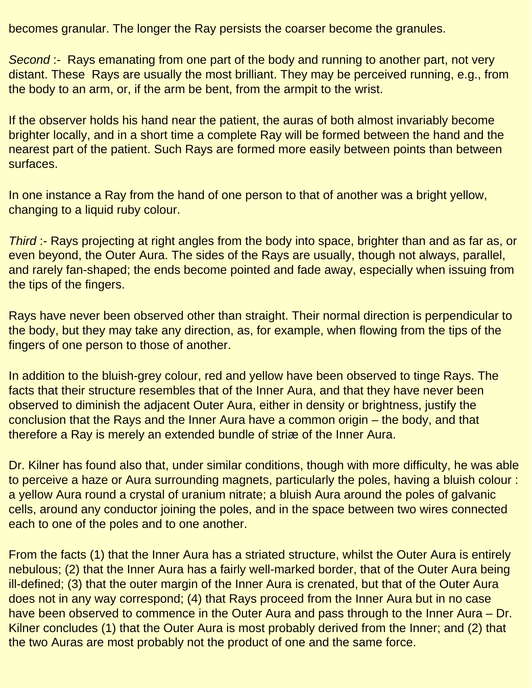becomes granular. The longer the Ray persists the coarser become the granules.

*Second* :- Rays emanating from one part of the body and running to another part, not very distant. These Rays are usually the most brilliant. They may be perceived running, e.g., from the body to an arm, or, if the arm be bent, from the armpit to the wrist.

If the observer holds his hand near the patient, the auras of both almost invariably become brighter locally, and in a short time a complete Ray will be formed between the hand and the nearest part of the patient. Such Rays are formed more easily between points than between surfaces.

In one instance a Ray from the hand of one person to that of another was a bright yellow, changing to a liquid ruby colour.

*Third* :- Rays projecting at right angles from the body into space, brighter than and as far as, or even beyond, the Outer Aura. The sides of the Rays are usually, though not always, parallel, and rarely fan-shaped; the ends become pointed and fade away, especially when issuing from the tips of the fingers.

Rays have never been observed other than straight. Their normal direction is perpendicular to the body, but they may take any direction, as, for example, when flowing from the tips of the fingers of one person to those of another.

In addition to the bluish-grey colour, red and yellow have been observed to tinge Rays. The facts that their structure resembles that of the Inner Aura, and that they have never been observed to diminish the adjacent Outer Aura, either in density or brightness, justify the conclusion that the Rays and the Inner Aura have a common origin – the body, and that therefore a Ray is merely an extended bundle of striæ of the Inner Aura.

Dr. Kilner has found also that, under similar conditions, though with more difficulty, he was able to perceive a haze or Aura surrounding magnets, particularly the poles, having a bluish colour : a yellow Aura round a crystal of uranium nitrate; a bluish Aura around the poles of galvanic cells, around any conductor joining the poles, and in the space between two wires connected each to one of the poles and to one another.

From the facts (1) that the Inner Aura has a striated structure, whilst the Outer Aura is entirely nebulous; (2) that the Inner Aura has a fairly well-marked border, that of the Outer Aura being ill-defined; (3) that the outer margin of the Inner Aura is crenated, but that of the Outer Aura does not in any way correspond; (4) that Rays proceed from the Inner Aura but in no case have been observed to commence in the Outer Aura and pass through to the Inner Aura – Dr. Kilner concludes (1) that the Outer Aura is most probably derived from the Inner; and (2) that the two Auras are most probably not the product of one and the same force.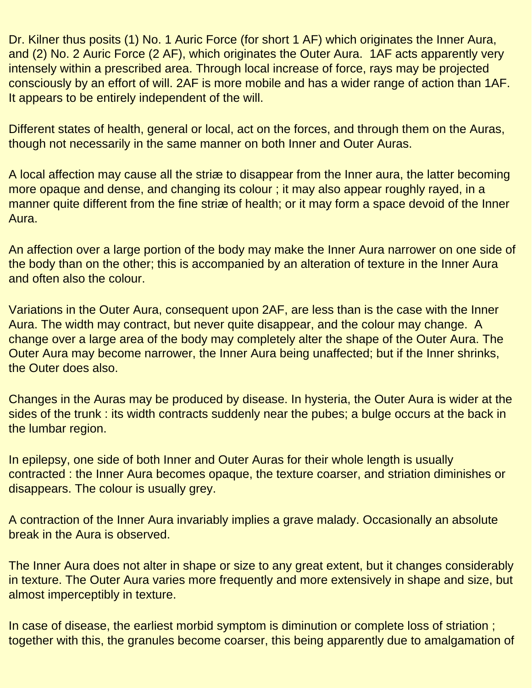Dr. Kilner thus posits (1) No. 1 Auric Force (for short 1 AF) which originates the Inner Aura, and (2) No. 2 Auric Force (2 AF), which originates the Outer Aura. 1AF acts apparently very intensely within a prescribed area. Through local increase of force, rays may be projected consciously by an effort of will. 2AF is more mobile and has a wider range of action than 1AF. It appears to be entirely independent of the will.

Different states of health, general or local, act on the forces, and through them on the Auras, though not necessarily in the same manner on both Inner and Outer Auras.

A local affection may cause all the striæ to disappear from the Inner aura, the latter becoming more opaque and dense, and changing its colour ; it may also appear roughly rayed, in a manner quite different from the fine striæ of health; or it may form a space devoid of the Inner Aura.

An affection over a large portion of the body may make the Inner Aura narrower on one side of the body than on the other; this is accompanied by an alteration of texture in the Inner Aura and often also the colour.

Variations in the Outer Aura, consequent upon 2AF, are less than is the case with the Inner Aura. The width may contract, but never quite disappear, and the colour may change. A change over a large area of the body may completely alter the shape of the Outer Aura. The Outer Aura may become narrower, the Inner Aura being unaffected; but if the Inner shrinks, the Outer does also.

Changes in the Auras may be produced by disease. In hysteria, the Outer Aura is wider at the sides of the trunk : its width contracts suddenly near the pubes; a bulge occurs at the back in the lumbar region.

In epilepsy, one side of both Inner and Outer Auras for their whole length is usually contracted : the Inner Aura becomes opaque, the texture coarser, and striation diminishes or disappears. The colour is usually grey.

A contraction of the Inner Aura invariably implies a grave malady. Occasionally an absolute break in the Aura is observed.

The Inner Aura does not alter in shape or size to any great extent, but it changes considerably in texture. The Outer Aura varies more frequently and more extensively in shape and size, but almost imperceptibly in texture.

In case of disease, the earliest morbid symptom is diminution or complete loss of striation ; together with this, the granules become coarser, this being apparently due to amalgamation of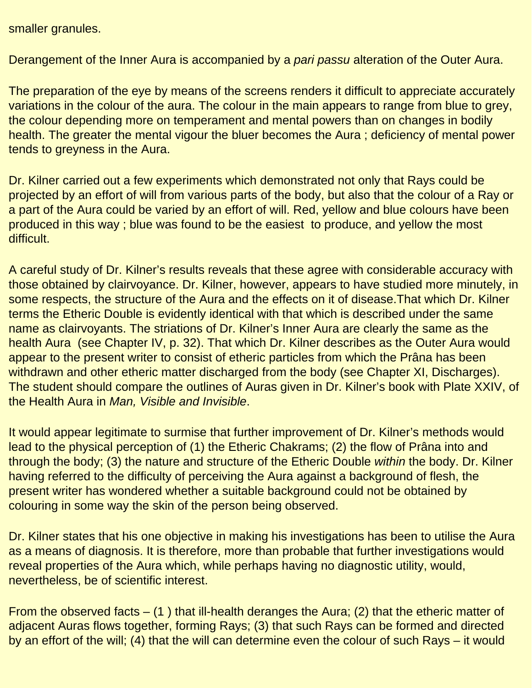smaller granules.

Derangement of the Inner Aura is accompanied by a *pari passu* alteration of the Outer Aura.

The preparation of the eye by means of the screens renders it difficult to appreciate accurately variations in the colour of the aura. The colour in the main appears to range from blue to grey, the colour depending more on temperament and mental powers than on changes in bodily health. The greater the mental vigour the bluer becomes the Aura ; deficiency of mental power tends to greyness in the Aura.

Dr. Kilner carried out a few experiments which demonstrated not only that Rays could be projected by an effort of will from various parts of the body, but also that the colour of a Ray or a part of the Aura could be varied by an effort of will. Red, yellow and blue colours have been produced in this way ; blue was found to be the easiest to produce, and yellow the most difficult.

A careful study of Dr. Kilner's results reveals that these agree with considerable accuracy with those obtained by clairvoyance. Dr. Kilner, however, appears to have studied more minutely, in some respects, the structure of the Aura and the effects on it of disease.That which Dr. Kilner terms the Etheric Double is evidently identical with that which is described under the same name as clairvoyants. The striations of Dr. Kilner's Inner Aura are clearly the same as the health Aura (see Chapter IV, p. 32). That which Dr. Kilner describes as the Outer Aura would appear to the present writer to consist of etheric particles from which the Prâna has been withdrawn and other etheric matter discharged from the body (see Chapter XI, Discharges). The student should compare the outlines of Auras given in Dr. Kilner's book with Plate XXIV, of the Health Aura in *Man, Visible and Invisible*.

It would appear legitimate to surmise that further improvement of Dr. Kilner's methods would lead to the physical perception of (1) the Etheric Chakrams; (2) the flow of Prâna into and through the body; (3) the nature and structure of the Etheric Double *within* the body. Dr. Kilner having referred to the difficulty of perceiving the Aura against a background of flesh, the present writer has wondered whether a suitable background could not be obtained by colouring in some way the skin of the person being observed.

Dr. Kilner states that his one objective in making his investigations has been to utilise the Aura as a means of diagnosis. It is therefore, more than probable that further investigations would reveal properties of the Aura which, while perhaps having no diagnostic utility, would, nevertheless, be of scientific interest.

From the observed facts  $-$  (1) that ill-health deranges the Aura; (2) that the etheric matter of adjacent Auras flows together, forming Rays; (3) that such Rays can be formed and directed by an effort of the will; (4) that the will can determine even the colour of such Rays – it would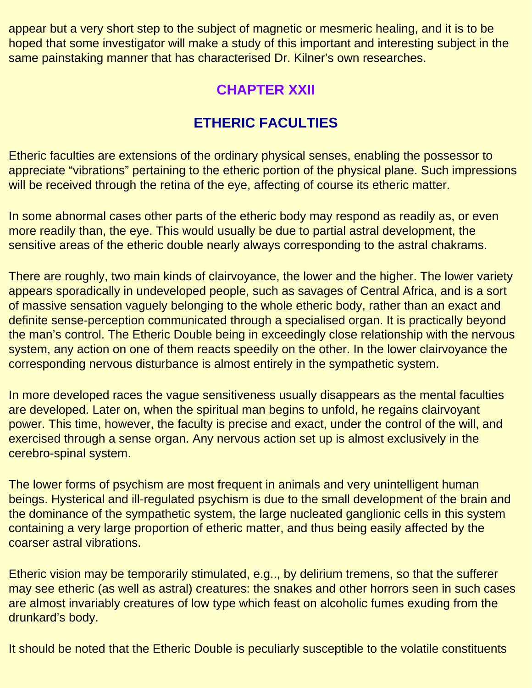appear but a very short step to the subject of magnetic or mesmeric healing, and it is to be hoped that some investigator will make a study of this important and interesting subject in the same painstaking manner that has characterised Dr. Kilner's own researches.

# **CHAPTER XXII**

# **ETHERIC FACULTIES**

Etheric faculties are extensions of the ordinary physical senses, enabling the possessor to appreciate "vibrations" pertaining to the etheric portion of the physical plane. Such impressions will be received through the retina of the eye, affecting of course its etheric matter.

In some abnormal cases other parts of the etheric body may respond as readily as, or even more readily than, the eye. This would usually be due to partial astral development, the sensitive areas of the etheric double nearly always corresponding to the astral chakrams.

There are roughly, two main kinds of clairvoyance, the lower and the higher. The lower variety appears sporadically in undeveloped people, such as savages of Central Africa, and is a sort of massive sensation vaguely belonging to the whole etheric body, rather than an exact and definite sense-perception communicated through a specialised organ. It is practically beyond the man's control. The Etheric Double being in exceedingly close relationship with the nervous system, any action on one of them reacts speedily on the other. In the lower clairvoyance the corresponding nervous disturbance is almost entirely in the sympathetic system.

In more developed races the vague sensitiveness usually disappears as the mental faculties are developed. Later on, when the spiritual man begins to unfold, he regains clairvoyant power. This time, however, the faculty is precise and exact, under the control of the will, and exercised through a sense organ. Any nervous action set up is almost exclusively in the cerebro-spinal system.

The lower forms of psychism are most frequent in animals and very unintelligent human beings. Hysterical and ill-regulated psychism is due to the small development of the brain and the dominance of the sympathetic system, the large nucleated ganglionic cells in this system containing a very large proportion of etheric matter, and thus being easily affected by the coarser astral vibrations.

Etheric vision may be temporarily stimulated, e.g.., by delirium tremens, so that the sufferer may see etheric (as well as astral) creatures: the snakes and other horrors seen in such cases are almost invariably creatures of low type which feast on alcoholic fumes exuding from the drunkard's body.

It should be noted that the Etheric Double is peculiarly susceptible to the volatile constituents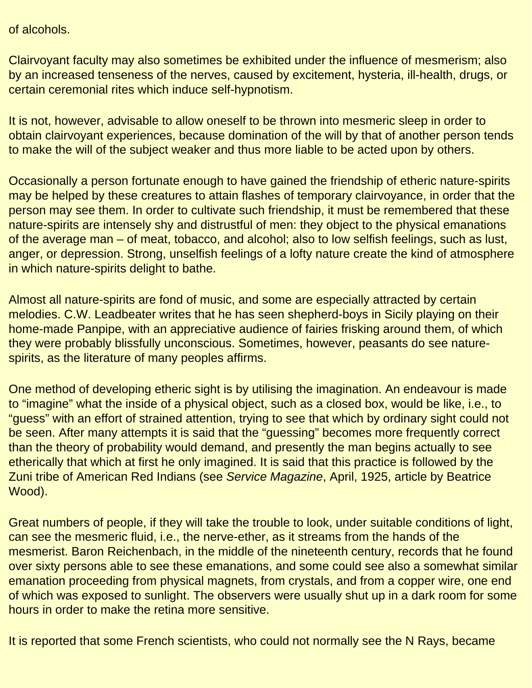of alcohols.

Clairvoyant faculty may also sometimes be exhibited under the influence of mesmerism; also by an increased tenseness of the nerves, caused by excitement, hysteria, ill-health, drugs, or certain ceremonial rites which induce self-hypnotism.

It is not, however, advisable to allow oneself to be thrown into mesmeric sleep in order to obtain clairvoyant experiences, because domination of the will by that of another person tends to make the will of the subject weaker and thus more liable to be acted upon by others.

Occasionally a person fortunate enough to have gained the friendship of etheric nature-spirits may be helped by these creatures to attain flashes of temporary clairvoyance, in order that the person may see them. In order to cultivate such friendship, it must be remembered that these nature-spirits are intensely shy and distrustful of men: they object to the physical emanations of the average man – of meat, tobacco, and alcohol; also to low selfish feelings, such as lust, anger, or depression. Strong, unselfish feelings of a lofty nature create the kind of atmosphere in which nature-spirits delight to bathe.

Almost all nature-spirits are fond of music, and some are especially attracted by certain melodies. C.W. Leadbeater writes that he has seen shepherd-boys in Sicily playing on their home-made Panpipe, with an appreciative audience of fairies frisking around them, of which they were probably blissfully unconscious. Sometimes, however, peasants do see naturespirits, as the literature of many peoples affirms.

One method of developing etheric sight is by utilising the imagination. An endeavour is made to "imagine" what the inside of a physical object, such as a closed box, would be like, i.e., to "guess" with an effort of strained attention, trying to see that which by ordinary sight could not be seen. After many attempts it is said that the "guessing" becomes more frequently correct than the theory of probability would demand, and presently the man begins actually to see etherically that which at first he only imagined. It is said that this practice is followed by the Zuni tribe of American Red Indians (see *Service Magazine*, April, 1925, article by Beatrice Wood).

Great numbers of people, if they will take the trouble to look, under suitable conditions of light, can see the mesmeric fluid, i.e., the nerve-ether, as it streams from the hands of the mesmerist. Baron Reichenbach, in the middle of the nineteenth century, records that he found over sixty persons able to see these emanations, and some could see also a somewhat similar emanation proceeding from physical magnets, from crystals, and from a copper wire, one end of which was exposed to sunlight. The observers were usually shut up in a dark room for some hours in order to make the retina more sensitive.

It is reported that some French scientists, who could not normally see the N Rays, became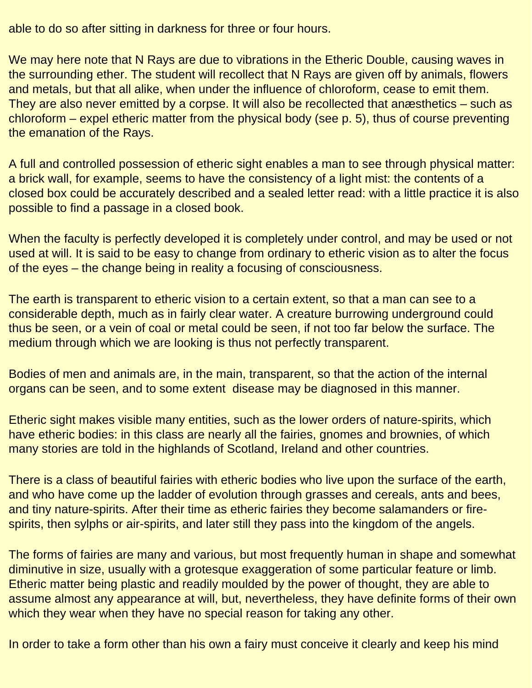able to do so after sitting in darkness for three or four hours.

We may here note that N Rays are due to vibrations in the Etheric Double, causing waves in the surrounding ether. The student will recollect that N Rays are given off by animals, flowers and metals, but that all alike, when under the influence of chloroform, cease to emit them. They are also never emitted by a corpse. It will also be recollected that anæsthetics – such as chloroform – expel etheric matter from the physical body (see p. 5), thus of course preventing the emanation of the Rays.

A full and controlled possession of etheric sight enables a man to see through physical matter: a brick wall, for example, seems to have the consistency of a light mist: the contents of a closed box could be accurately described and a sealed letter read: with a little practice it is also possible to find a passage in a closed book.

When the faculty is perfectly developed it is completely under control, and may be used or not used at will. It is said to be easy to change from ordinary to etheric vision as to alter the focus of the eyes – the change being in reality a focusing of consciousness.

The earth is transparent to etheric vision to a certain extent, so that a man can see to a considerable depth, much as in fairly clear water. A creature burrowing underground could thus be seen, or a vein of coal or metal could be seen, if not too far below the surface. The medium through which we are looking is thus not perfectly transparent.

Bodies of men and animals are, in the main, transparent, so that the action of the internal organs can be seen, and to some extent disease may be diagnosed in this manner.

Etheric sight makes visible many entities, such as the lower orders of nature-spirits, which have etheric bodies: in this class are nearly all the fairies, gnomes and brownies, of which many stories are told in the highlands of Scotland, Ireland and other countries.

There is a class of beautiful fairies with etheric bodies who live upon the surface of the earth, and who have come up the ladder of evolution through grasses and cereals, ants and bees, and tiny nature-spirits. After their time as etheric fairies they become salamanders or firespirits, then sylphs or air-spirits, and later still they pass into the kingdom of the angels.

The forms of fairies are many and various, but most frequently human in shape and somewhat diminutive in size, usually with a grotesque exaggeration of some particular feature or limb. Etheric matter being plastic and readily moulded by the power of thought, they are able to assume almost any appearance at will, but, nevertheless, they have definite forms of their own which they wear when they have no special reason for taking any other.

In order to take a form other than his own a fairy must conceive it clearly and keep his mind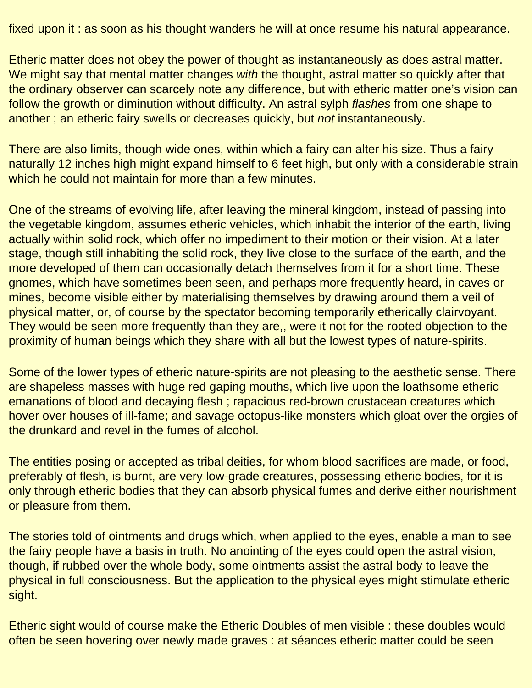fixed upon it : as soon as his thought wanders he will at once resume his natural appearance.

Etheric matter does not obey the power of thought as instantaneously as does astral matter. We might say that mental matter changes *with* the thought, astral matter so quickly after that the ordinary observer can scarcely note any difference, but with etheric matter one's vision can follow the growth or diminution without difficulty. An astral sylph *flashes* from one shape to another ; an etheric fairy swells or decreases quickly, but *not* instantaneously.

There are also limits, though wide ones, within which a fairy can alter his size. Thus a fairy naturally 12 inches high might expand himself to 6 feet high, but only with a considerable strain which he could not maintain for more than a few minutes.

One of the streams of evolving life, after leaving the mineral kingdom, instead of passing into the vegetable kingdom, assumes etheric vehicles, which inhabit the interior of the earth, living actually within solid rock, which offer no impediment to their motion or their vision. At a later stage, though still inhabiting the solid rock, they live close to the surface of the earth, and the more developed of them can occasionally detach themselves from it for a short time. These gnomes, which have sometimes been seen, and perhaps more frequently heard, in caves or mines, become visible either by materialising themselves by drawing around them a veil of physical matter, or, of course by the spectator becoming temporarily etherically clairvoyant. They would be seen more frequently than they are,, were it not for the rooted objection to the proximity of human beings which they share with all but the lowest types of nature-spirits.

Some of the lower types of etheric nature-spirits are not pleasing to the aesthetic sense. There are shapeless masses with huge red gaping mouths, which live upon the loathsome etheric emanations of blood and decaying flesh ; rapacious red-brown crustacean creatures which hover over houses of ill-fame; and savage octopus-like monsters which gloat over the orgies of the drunkard and revel in the fumes of alcohol.

The entities posing or accepted as tribal deities, for whom blood sacrifices are made, or food, preferably of flesh, is burnt, are very low-grade creatures, possessing etheric bodies, for it is only through etheric bodies that they can absorb physical fumes and derive either nourishment or pleasure from them.

The stories told of ointments and drugs which, when applied to the eyes, enable a man to see the fairy people have a basis in truth. No anointing of the eyes could open the astral vision, though, if rubbed over the whole body, some ointments assist the astral body to leave the physical in full consciousness. But the application to the physical eyes might stimulate etheric sight.

Etheric sight would of course make the Etheric Doubles of men visible : these doubles would often be seen hovering over newly made graves : at séances etheric matter could be seen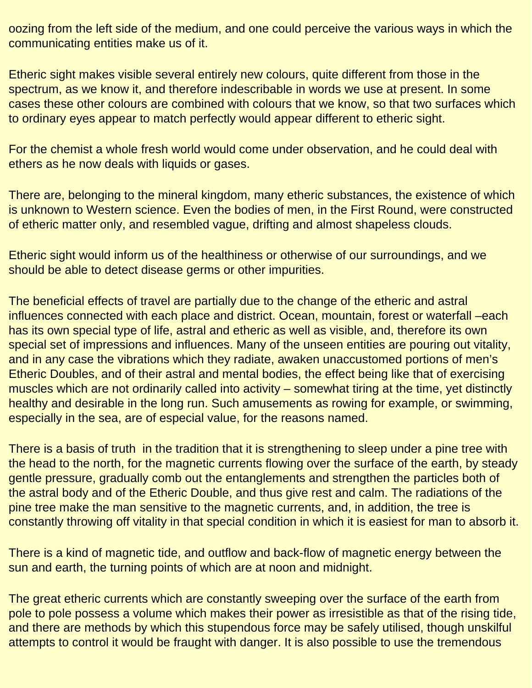oozing from the left side of the medium, and one could perceive the various ways in which the communicating entities make us of it.

Etheric sight makes visible several entirely new colours, quite different from those in the spectrum, as we know it, and therefore indescribable in words we use at present. In some cases these other colours are combined with colours that we know, so that two surfaces which to ordinary eyes appear to match perfectly would appear different to etheric sight.

For the chemist a whole fresh world would come under observation, and he could deal with ethers as he now deals with liquids or gases.

There are, belonging to the mineral kingdom, many etheric substances, the existence of which is unknown to Western science. Even the bodies of men, in the First Round, were constructed of etheric matter only, and resembled vague, drifting and almost shapeless clouds.

Etheric sight would inform us of the healthiness or otherwise of our surroundings, and we should be able to detect disease germs or other impurities.

The beneficial effects of travel are partially due to the change of the etheric and astral influences connected with each place and district. Ocean, mountain, forest or waterfall –each has its own special type of life, astral and etheric as well as visible, and, therefore its own special set of impressions and influences. Many of the unseen entities are pouring out vitality, and in any case the vibrations which they radiate, awaken unaccustomed portions of men's Etheric Doubles, and of their astral and mental bodies, the effect being like that of exercising muscles which are not ordinarily called into activity – somewhat tiring at the time, yet distinctly healthy and desirable in the long run. Such amusements as rowing for example, or swimming, especially in the sea, are of especial value, for the reasons named.

There is a basis of truth in the tradition that it is strengthening to sleep under a pine tree with the head to the north, for the magnetic currents flowing over the surface of the earth, by steady gentle pressure, gradually comb out the entanglements and strengthen the particles both of the astral body and of the Etheric Double, and thus give rest and calm. The radiations of the pine tree make the man sensitive to the magnetic currents, and, in addition, the tree is constantly throwing off vitality in that special condition in which it is easiest for man to absorb it.

There is a kind of magnetic tide, and outflow and back-flow of magnetic energy between the sun and earth, the turning points of which are at noon and midnight.

The great etheric currents which are constantly sweeping over the surface of the earth from pole to pole possess a volume which makes their power as irresistible as that of the rising tide, and there are methods by which this stupendous force may be safely utilised, though unskilful attempts to control it would be fraught with danger. It is also possible to use the tremendous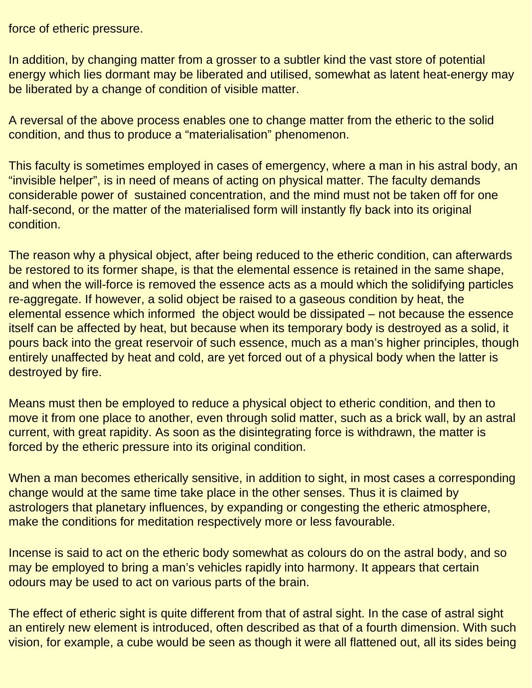force of etheric pressure.

In addition, by changing matter from a grosser to a subtler kind the vast store of potential energy which lies dormant may be liberated and utilised, somewhat as latent heat-energy may be liberated by a change of condition of visible matter.

A reversal of the above process enables one to change matter from the etheric to the solid condition, and thus to produce a "materialisation" phenomenon.

This faculty is sometimes employed in cases of emergency, where a man in his astral body, an "invisible helper", is in need of means of acting on physical matter. The faculty demands considerable power of sustained concentration, and the mind must not be taken off for one half-second, or the matter of the materialised form will instantly fly back into its original condition.

The reason why a physical object, after being reduced to the etheric condition, can afterwards be restored to its former shape, is that the elemental essence is retained in the same shape, and when the will-force is removed the essence acts as a mould which the solidifying particles re-aggregate. If however, a solid object be raised to a gaseous condition by heat, the elemental essence which informed the object would be dissipated – not because the essence itself can be affected by heat, but because when its temporary body is destroyed as a solid, it pours back into the great reservoir of such essence, much as a man's higher principles, though entirely unaffected by heat and cold, are yet forced out of a physical body when the latter is destroyed by fire.

Means must then be employed to reduce a physical object to etheric condition, and then to move it from one place to another, even through solid matter, such as a brick wall, by an astral current, with great rapidity. As soon as the disintegrating force is withdrawn, the matter is forced by the etheric pressure into its original condition.

When a man becomes etherically sensitive, in addition to sight, in most cases a corresponding change would at the same time take place in the other senses. Thus it is claimed by astrologers that planetary influences, by expanding or congesting the etheric atmosphere, make the conditions for meditation respectively more or less favourable.

Incense is said to act on the etheric body somewhat as colours do on the astral body, and so may be employed to bring a man's vehicles rapidly into harmony. It appears that certain odours may be used to act on various parts of the brain.

The effect of etheric sight is quite different from that of astral sight. In the case of astral sight an entirely new element is introduced, often described as that of a fourth dimension. With such vision, for example, a cube would be seen as though it were all flattened out, all its sides being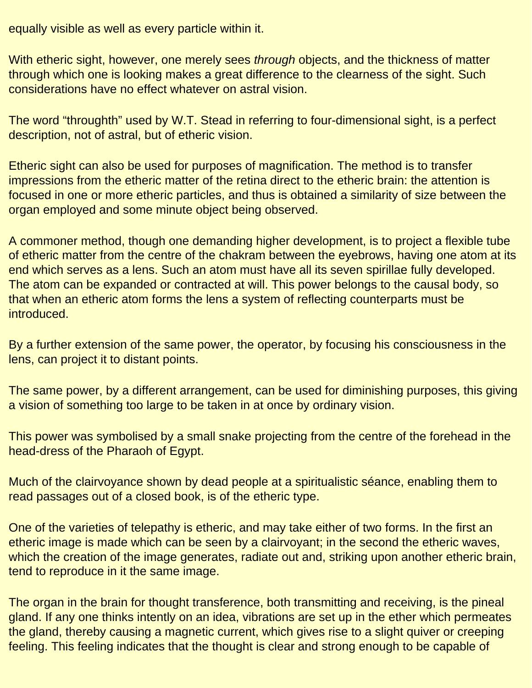equally visible as well as every particle within it.

With etheric sight, however, one merely sees *through* objects, and the thickness of matter through which one is looking makes a great difference to the clearness of the sight. Such considerations have no effect whatever on astral vision.

The word "throughth" used by W.T. Stead in referring to four-dimensional sight, is a perfect description, not of astral, but of etheric vision.

Etheric sight can also be used for purposes of magnification. The method is to transfer impressions from the etheric matter of the retina direct to the etheric brain: the attention is focused in one or more etheric particles, and thus is obtained a similarity of size between the organ employed and some minute object being observed.

A commoner method, though one demanding higher development, is to project a flexible tube of etheric matter from the centre of the chakram between the eyebrows, having one atom at its end which serves as a lens. Such an atom must have all its seven spirillae fully developed. The atom can be expanded or contracted at will. This power belongs to the causal body, so that when an etheric atom forms the lens a system of reflecting counterparts must be introduced.

By a further extension of the same power, the operator, by focusing his consciousness in the lens, can project it to distant points.

The same power, by a different arrangement, can be used for diminishing purposes, this giving a vision of something too large to be taken in at once by ordinary vision.

This power was symbolised by a small snake projecting from the centre of the forehead in the head-dress of the Pharaoh of Egypt.

Much of the clairvoyance shown by dead people at a spiritualistic séance, enabling them to read passages out of a closed book, is of the etheric type.

One of the varieties of telepathy is etheric, and may take either of two forms. In the first an etheric image is made which can be seen by a clairvoyant; in the second the etheric waves, which the creation of the image generates, radiate out and, striking upon another etheric brain, tend to reproduce in it the same image.

The organ in the brain for thought transference, both transmitting and receiving, is the pineal gland. If any one thinks intently on an idea, vibrations are set up in the ether which permeates the gland, thereby causing a magnetic current, which gives rise to a slight quiver or creeping feeling. This feeling indicates that the thought is clear and strong enough to be capable of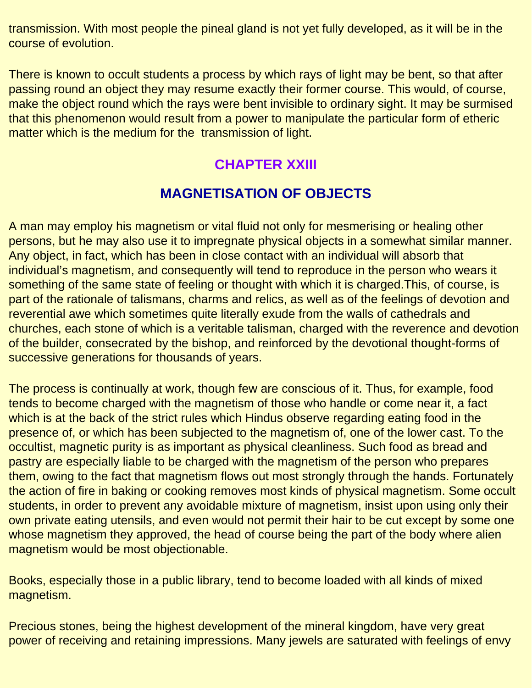transmission. With most people the pineal gland is not yet fully developed, as it will be in the course of evolution.

There is known to occult students a process by which rays of light may be bent, so that after passing round an object they may resume exactly their former course. This would, of course, make the object round which the rays were bent invisible to ordinary sight. It may be surmised that this phenomenon would result from a power to manipulate the particular form of etheric matter which is the medium for the transmission of light.

#### **CHAPTER XXIII**

#### **MAGNETISATION OF OBJECTS**

A man may employ his magnetism or vital fluid not only for mesmerising or healing other persons, but he may also use it to impregnate physical objects in a somewhat similar manner. Any object, in fact, which has been in close contact with an individual will absorb that individual's magnetism, and consequently will tend to reproduce in the person who wears it something of the same state of feeling or thought with which it is charged.This, of course, is part of the rationale of talismans, charms and relics, as well as of the feelings of devotion and reverential awe which sometimes quite literally exude from the walls of cathedrals and churches, each stone of which is a veritable talisman, charged with the reverence and devotion of the builder, consecrated by the bishop, and reinforced by the devotional thought-forms of successive generations for thousands of years.

The process is continually at work, though few are conscious of it. Thus, for example, food tends to become charged with the magnetism of those who handle or come near it, a fact which is at the back of the strict rules which Hindus observe regarding eating food in the presence of, or which has been subjected to the magnetism of, one of the lower cast. To the occultist, magnetic purity is as important as physical cleanliness. Such food as bread and pastry are especially liable to be charged with the magnetism of the person who prepares them, owing to the fact that magnetism flows out most strongly through the hands. Fortunately the action of fire in baking or cooking removes most kinds of physical magnetism. Some occult students, in order to prevent any avoidable mixture of magnetism, insist upon using only their own private eating utensils, and even would not permit their hair to be cut except by some one whose magnetism they approved, the head of course being the part of the body where alien magnetism would be most objectionable.

Books, especially those in a public library, tend to become loaded with all kinds of mixed magnetism.

Precious stones, being the highest development of the mineral kingdom, have very great power of receiving and retaining impressions. Many jewels are saturated with feelings of envy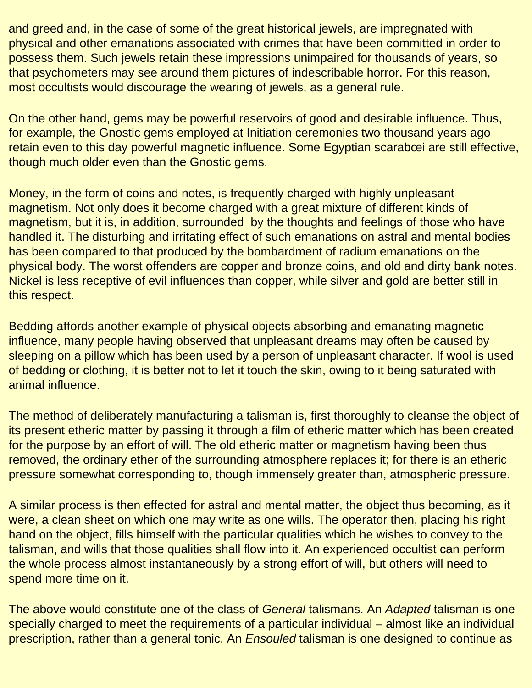and greed and, in the case of some of the great historical jewels, are impregnated with physical and other emanations associated with crimes that have been committed in order to possess them. Such jewels retain these impressions unimpaired for thousands of years, so that psychometers may see around them pictures of indescribable horror. For this reason, most occultists would discourage the wearing of jewels, as a general rule.

On the other hand, gems may be powerful reservoirs of good and desirable influence. Thus, for example, the Gnostic gems employed at Initiation ceremonies two thousand years ago retain even to this day powerful magnetic influence. Some Egyptian scarabœi are still effective, though much older even than the Gnostic gems.

Money, in the form of coins and notes, is frequently charged with highly unpleasant magnetism. Not only does it become charged with a great mixture of different kinds of magnetism, but it is, in addition, surrounded by the thoughts and feelings of those who have handled it. The disturbing and irritating effect of such emanations on astral and mental bodies has been compared to that produced by the bombardment of radium emanations on the physical body. The worst offenders are copper and bronze coins, and old and dirty bank notes. Nickel is less receptive of evil influences than copper, while silver and gold are better still in this respect.

Bedding affords another example of physical objects absorbing and emanating magnetic influence, many people having observed that unpleasant dreams may often be caused by sleeping on a pillow which has been used by a person of unpleasant character. If wool is used of bedding or clothing, it is better not to let it touch the skin, owing to it being saturated with animal influence.

The method of deliberately manufacturing a talisman is, first thoroughly to cleanse the object of its present etheric matter by passing it through a film of etheric matter which has been created for the purpose by an effort of will. The old etheric matter or magnetism having been thus removed, the ordinary ether of the surrounding atmosphere replaces it; for there is an etheric pressure somewhat corresponding to, though immensely greater than, atmospheric pressure.

A similar process is then effected for astral and mental matter, the object thus becoming, as it were, a clean sheet on which one may write as one wills. The operator then, placing his right hand on the object, fills himself with the particular qualities which he wishes to convey to the talisman, and wills that those qualities shall flow into it. An experienced occultist can perform the whole process almost instantaneously by a strong effort of will, but others will need to spend more time on it.

The above would constitute one of the class of *General* talismans. An *Adapted* talisman is one specially charged to meet the requirements of a particular individual – almost like an individual prescription, rather than a general tonic. An *Ensouled* talisman is one designed to continue as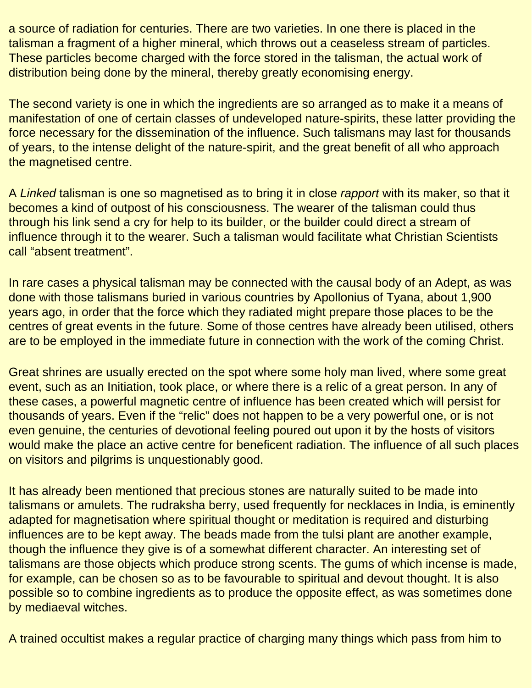a source of radiation for centuries. There are two varieties. In one there is placed in the talisman a fragment of a higher mineral, which throws out a ceaseless stream of particles. These particles become charged with the force stored in the talisman, the actual work of distribution being done by the mineral, thereby greatly economising energy.

The second variety is one in which the ingredients are so arranged as to make it a means of manifestation of one of certain classes of undeveloped nature-spirits, these latter providing the force necessary for the dissemination of the influence. Such talismans may last for thousands of years, to the intense delight of the nature-spirit, and the great benefit of all who approach the magnetised centre.

A *Linked* talisman is one so magnetised as to bring it in close *rapport* with its maker, so that it becomes a kind of outpost of his consciousness. The wearer of the talisman could thus through his link send a cry for help to its builder, or the builder could direct a stream of influence through it to the wearer. Such a talisman would facilitate what Christian Scientists call "absent treatment".

In rare cases a physical talisman may be connected with the causal body of an Adept, as was done with those talismans buried in various countries by Apollonius of Tyana, about 1,900 years ago, in order that the force which they radiated might prepare those places to be the centres of great events in the future. Some of those centres have already been utilised, others are to be employed in the immediate future in connection with the work of the coming Christ.

Great shrines are usually erected on the spot where some holy man lived, where some great event, such as an Initiation, took place, or where there is a relic of a great person. In any of these cases, a powerful magnetic centre of influence has been created which will persist for thousands of years. Even if the "relic" does not happen to be a very powerful one, or is not even genuine, the centuries of devotional feeling poured out upon it by the hosts of visitors would make the place an active centre for beneficent radiation. The influence of all such places on visitors and pilgrims is unquestionably good.

It has already been mentioned that precious stones are naturally suited to be made into talismans or amulets. The rudraksha berry, used frequently for necklaces in India, is eminently adapted for magnetisation where spiritual thought or meditation is required and disturbing influences are to be kept away. The beads made from the tulsi plant are another example, though the influence they give is of a somewhat different character. An interesting set of talismans are those objects which produce strong scents. The gums of which incense is made, for example, can be chosen so as to be favourable to spiritual and devout thought. It is also possible so to combine ingredients as to produce the opposite effect, as was sometimes done by mediaeval witches.

A trained occultist makes a regular practice of charging many things which pass from him to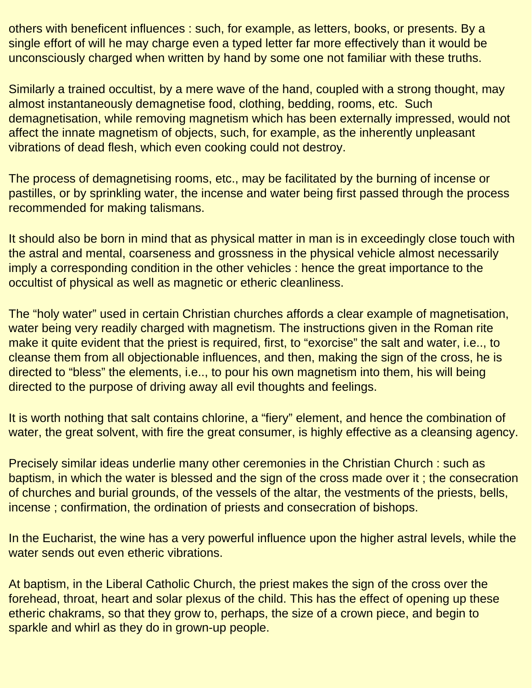others with beneficent influences : such, for example, as letters, books, or presents. By a single effort of will he may charge even a typed letter far more effectively than it would be unconsciously charged when written by hand by some one not familiar with these truths.

Similarly a trained occultist, by a mere wave of the hand, coupled with a strong thought, may almost instantaneously demagnetise food, clothing, bedding, rooms, etc. Such demagnetisation, while removing magnetism which has been externally impressed, would not affect the innate magnetism of objects, such, for example, as the inherently unpleasant vibrations of dead flesh, which even cooking could not destroy.

The process of demagnetising rooms, etc., may be facilitated by the burning of incense or pastilles, or by sprinkling water, the incense and water being first passed through the process recommended for making talismans.

It should also be born in mind that as physical matter in man is in exceedingly close touch with the astral and mental, coarseness and grossness in the physical vehicle almost necessarily imply a corresponding condition in the other vehicles : hence the great importance to the occultist of physical as well as magnetic or etheric cleanliness.

The "holy water" used in certain Christian churches affords a clear example of magnetisation, water being very readily charged with magnetism. The instructions given in the Roman rite make it quite evident that the priest is required, first, to "exorcise" the salt and water, i.e.., to cleanse them from all objectionable influences, and then, making the sign of the cross, he is directed to "bless" the elements, i.e.., to pour his own magnetism into them, his will being directed to the purpose of driving away all evil thoughts and feelings.

It is worth nothing that salt contains chlorine, a "fiery" element, and hence the combination of water, the great solvent, with fire the great consumer, is highly effective as a cleansing agency.

Precisely similar ideas underlie many other ceremonies in the Christian Church : such as baptism, in which the water is blessed and the sign of the cross made over it ; the consecration of churches and burial grounds, of the vessels of the altar, the vestments of the priests, bells, incense ; confirmation, the ordination of priests and consecration of bishops.

In the Eucharist, the wine has a very powerful influence upon the higher astral levels, while the water sends out even etheric vibrations.

At baptism, in the Liberal Catholic Church, the priest makes the sign of the cross over the forehead, throat, heart and solar plexus of the child. This has the effect of opening up these etheric chakrams, so that they grow to, perhaps, the size of a crown piece, and begin to sparkle and whirl as they do in grown-up people.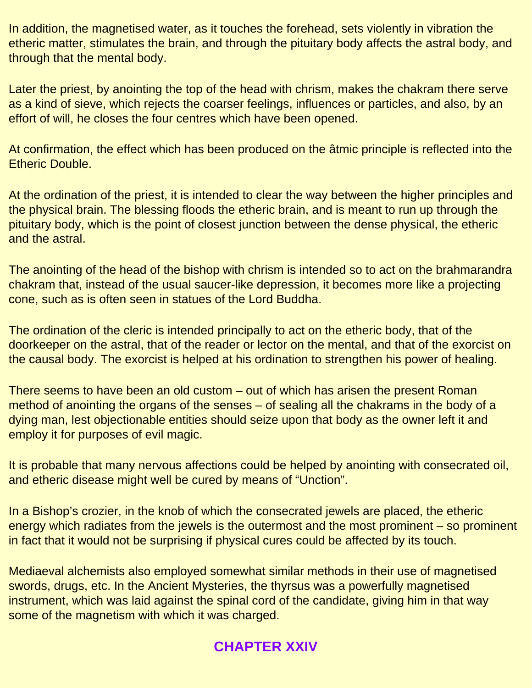In addition, the magnetised water, as it touches the forehead, sets violently in vibration the etheric matter, stimulates the brain, and through the pituitary body affects the astral body, and through that the mental body.

Later the priest, by anointing the top of the head with chrism, makes the chakram there serve as a kind of sieve, which rejects the coarser feelings, influences or particles, and also, by an effort of will, he closes the four centres which have been opened.

At confirmation, the effect which has been produced on the âtmic principle is reflected into the Etheric Double.

At the ordination of the priest, it is intended to clear the way between the higher principles and the physical brain. The blessing floods the etheric brain, and is meant to run up through the pituitary body, which is the point of closest junction between the dense physical, the etheric and the astral.

The anointing of the head of the bishop with chrism is intended so to act on the brahmarandra chakram that, instead of the usual saucer-like depression, it becomes more like a projecting cone, such as is often seen in statues of the Lord Buddha.

The ordination of the cleric is intended principally to act on the etheric body, that of the doorkeeper on the astral, that of the reader or lector on the mental, and that of the exorcist on the causal body. The exorcist is helped at his ordination to strengthen his power of healing.

There seems to have been an old custom – out of which has arisen the present Roman method of anointing the organs of the senses – of sealing all the chakrams in the body of a dying man, lest objectionable entities should seize upon that body as the owner left it and employ it for purposes of evil magic.

It is probable that many nervous affections could be helped by anointing with consecrated oil, and etheric disease might well be cured by means of "Unction".

In a Bishop's crozier, in the knob of which the consecrated jewels are placed, the etheric energy which radiates from the jewels is the outermost and the most prominent – so prominent in fact that it would not be surprising if physical cures could be affected by its touch.

Mediaeval alchemists also employed somewhat similar methods in their use of magnetised swords, drugs, etc. In the Ancient Mysteries, the thyrsus was a powerfully magnetised instrument, which was laid against the spinal cord of the candidate, giving him in that way some of the magnetism with which it was charged.

### **CHAPTER XXIV**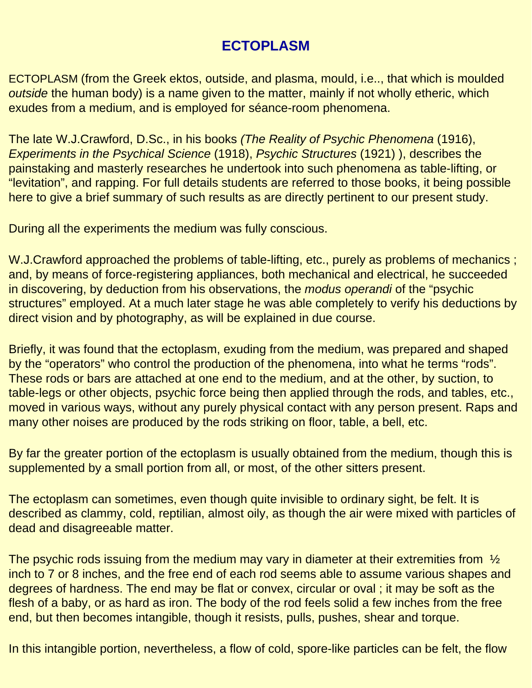# **ECTOPLASM**

ECTOPLASM (from the Greek ektos, outside, and plasma, mould, i.e.., that which is moulded *outside* the human body) is a name given to the matter, mainly if not wholly etheric, which exudes from a medium, and is employed for séance-room phenomena.

The late W.J.Crawford, D.Sc., in his books *(The Reality of Psychic Phenomena* (1916), *Experiments in the Psychical Science* (1918), *Psychic Structures* (1921) ), describes the painstaking and masterly researches he undertook into such phenomena as table-lifting, or "levitation", and rapping. For full details students are referred to those books, it being possible here to give a brief summary of such results as are directly pertinent to our present study.

During all the experiments the medium was fully conscious.

W.J.Crawford approached the problems of table-lifting, etc., purely as problems of mechanics; and, by means of force-registering appliances, both mechanical and electrical, he succeeded in discovering, by deduction from his observations, the *modus operandi* of the "psychic structures" employed. At a much later stage he was able completely to verify his deductions by direct vision and by photography, as will be explained in due course.

Briefly, it was found that the ectoplasm, exuding from the medium, was prepared and shaped by the "operators" who control the production of the phenomena, into what he terms "rods". These rods or bars are attached at one end to the medium, and at the other, by suction, to table-legs or other objects, psychic force being then applied through the rods, and tables, etc., moved in various ways, without any purely physical contact with any person present. Raps and many other noises are produced by the rods striking on floor, table, a bell, etc.

By far the greater portion of the ectoplasm is usually obtained from the medium, though this is supplemented by a small portion from all, or most, of the other sitters present.

The ectoplasm can sometimes, even though quite invisible to ordinary sight, be felt. It is described as clammy, cold, reptilian, almost oily, as though the air were mixed with particles of dead and disagreeable matter.

The psychic rods issuing from the medium may vary in diameter at their extremities from  $\frac{1}{2}$ inch to 7 or 8 inches, and the free end of each rod seems able to assume various shapes and degrees of hardness. The end may be flat or convex, circular or oval ; it may be soft as the flesh of a baby, or as hard as iron. The body of the rod feels solid a few inches from the free end, but then becomes intangible, though it resists, pulls, pushes, shear and torque.

In this intangible portion, nevertheless, a flow of cold, spore-like particles can be felt, the flow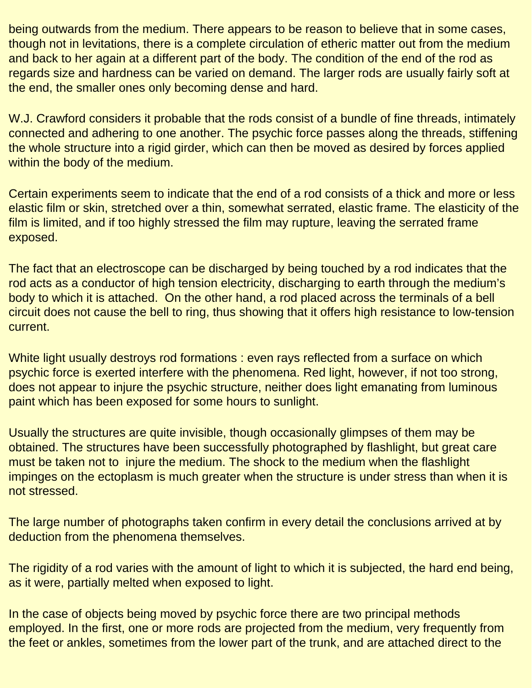being outwards from the medium. There appears to be reason to believe that in some cases, though not in levitations, there is a complete circulation of etheric matter out from the medium and back to her again at a different part of the body. The condition of the end of the rod as regards size and hardness can be varied on demand. The larger rods are usually fairly soft at the end, the smaller ones only becoming dense and hard.

W.J. Crawford considers it probable that the rods consist of a bundle of fine threads, intimately connected and adhering to one another. The psychic force passes along the threads, stiffening the whole structure into a rigid girder, which can then be moved as desired by forces applied within the body of the medium.

Certain experiments seem to indicate that the end of a rod consists of a thick and more or less elastic film or skin, stretched over a thin, somewhat serrated, elastic frame. The elasticity of the film is limited, and if too highly stressed the film may rupture, leaving the serrated frame exposed.

The fact that an electroscope can be discharged by being touched by a rod indicates that the rod acts as a conductor of high tension electricity, discharging to earth through the medium's body to which it is attached. On the other hand, a rod placed across the terminals of a bell circuit does not cause the bell to ring, thus showing that it offers high resistance to low-tension current.

White light usually destroys rod formations : even rays reflected from a surface on which psychic force is exerted interfere with the phenomena. Red light, however, if not too strong, does not appear to injure the psychic structure, neither does light emanating from luminous paint which has been exposed for some hours to sunlight.

Usually the structures are quite invisible, though occasionally glimpses of them may be obtained. The structures have been successfully photographed by flashlight, but great care must be taken not to injure the medium. The shock to the medium when the flashlight impinges on the ectoplasm is much greater when the structure is under stress than when it is not stressed.

The large number of photographs taken confirm in every detail the conclusions arrived at by deduction from the phenomena themselves.

The rigidity of a rod varies with the amount of light to which it is subjected, the hard end being, as it were, partially melted when exposed to light.

In the case of objects being moved by psychic force there are two principal methods employed. In the first, one or more rods are projected from the medium, very frequently from the feet or ankles, sometimes from the lower part of the trunk, and are attached direct to the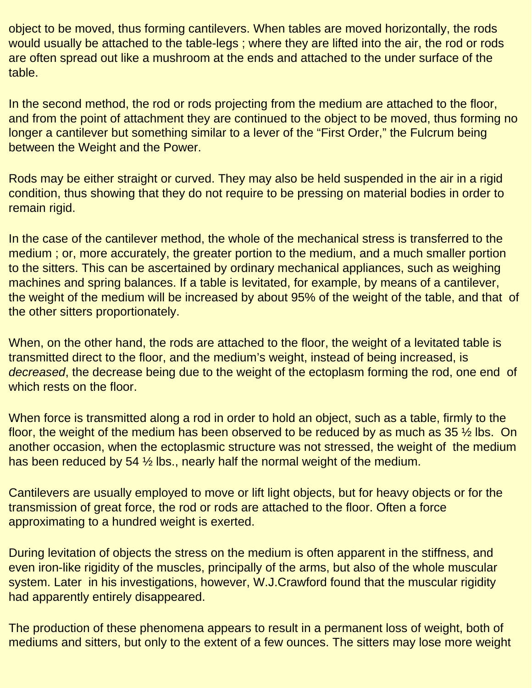object to be moved, thus forming cantilevers. When tables are moved horizontally, the rods would usually be attached to the table-legs ; where they are lifted into the air, the rod or rods are often spread out like a mushroom at the ends and attached to the under surface of the table.

In the second method, the rod or rods projecting from the medium are attached to the floor, and from the point of attachment they are continued to the object to be moved, thus forming no longer a cantilever but something similar to a lever of the "First Order," the Fulcrum being between the Weight and the Power.

Rods may be either straight or curved. They may also be held suspended in the air in a rigid condition, thus showing that they do not require to be pressing on material bodies in order to remain rigid.

In the case of the cantilever method, the whole of the mechanical stress is transferred to the medium ; or, more accurately, the greater portion to the medium, and a much smaller portion to the sitters. This can be ascertained by ordinary mechanical appliances, such as weighing machines and spring balances. If a table is levitated, for example, by means of a cantilever, the weight of the medium will be increased by about 95% of the weight of the table, and that of the other sitters proportionately.

When, on the other hand, the rods are attached to the floor, the weight of a levitated table is transmitted direct to the floor, and the medium's weight, instead of being increased, is *decreased*, the decrease being due to the weight of the ectoplasm forming the rod, one end of which rests on the floor.

When force is transmitted along a rod in order to hold an object, such as a table, firmly to the floor, the weight of the medium has been observed to be reduced by as much as  $35\frac{1}{2}$  lbs. On another occasion, when the ectoplasmic structure was not stressed, the weight of the medium has been reduced by 54 <sup>1/2</sup> lbs., nearly half the normal weight of the medium.

Cantilevers are usually employed to move or lift light objects, but for heavy objects or for the transmission of great force, the rod or rods are attached to the floor. Often a force approximating to a hundred weight is exerted.

During levitation of objects the stress on the medium is often apparent in the stiffness, and even iron-like rigidity of the muscles, principally of the arms, but also of the whole muscular system. Later in his investigations, however, W.J.Crawford found that the muscular rigidity had apparently entirely disappeared.

The production of these phenomena appears to result in a permanent loss of weight, both of mediums and sitters, but only to the extent of a few ounces. The sitters may lose more weight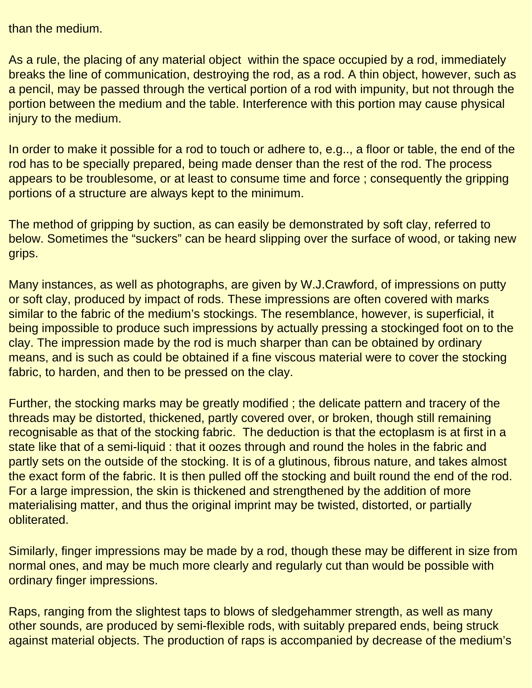than the medium.

As a rule, the placing of any material object within the space occupied by a rod, immediately breaks the line of communication, destroying the rod, as a rod. A thin object, however, such as a pencil, may be passed through the vertical portion of a rod with impunity, but not through the portion between the medium and the table. Interference with this portion may cause physical injury to the medium.

In order to make it possible for a rod to touch or adhere to, e.g.., a floor or table, the end of the rod has to be specially prepared, being made denser than the rest of the rod. The process appears to be troublesome, or at least to consume time and force ; consequently the gripping portions of a structure are always kept to the minimum.

The method of gripping by suction, as can easily be demonstrated by soft clay, referred to below. Sometimes the "suckers" can be heard slipping over the surface of wood, or taking new grips.

Many instances, as well as photographs, are given by W.J.Crawford, of impressions on putty or soft clay, produced by impact of rods. These impressions are often covered with marks similar to the fabric of the medium's stockings. The resemblance, however, is superficial, it being impossible to produce such impressions by actually pressing a stockinged foot on to the clay. The impression made by the rod is much sharper than can be obtained by ordinary means, and is such as could be obtained if a fine viscous material were to cover the stocking fabric, to harden, and then to be pressed on the clay.

Further, the stocking marks may be greatly modified ; the delicate pattern and tracery of the threads may be distorted, thickened, partly covered over, or broken, though still remaining recognisable as that of the stocking fabric. The deduction is that the ectoplasm is at first in a state like that of a semi-liquid : that it oozes through and round the holes in the fabric and partly sets on the outside of the stocking. It is of a glutinous, fibrous nature, and takes almost the exact form of the fabric. It is then pulled off the stocking and built round the end of the rod. For a large impression, the skin is thickened and strengthened by the addition of more materialising matter, and thus the original imprint may be twisted, distorted, or partially obliterated.

Similarly, finger impressions may be made by a rod, though these may be different in size from normal ones, and may be much more clearly and regularly cut than would be possible with ordinary finger impressions.

Raps, ranging from the slightest taps to blows of sledgehammer strength, as well as many other sounds, are produced by semi-flexible rods, with suitably prepared ends, being struck against material objects. The production of raps is accompanied by decrease of the medium's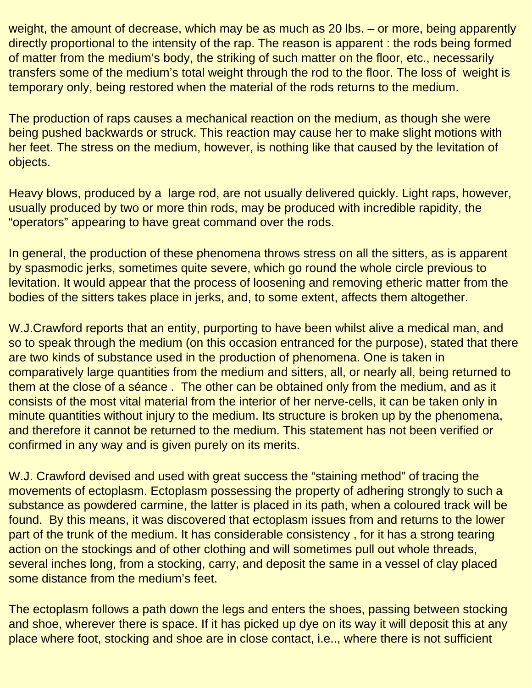weight, the amount of decrease, which may be as much as 20 lbs. – or more, being apparently directly proportional to the intensity of the rap. The reason is apparent : the rods being formed of matter from the medium's body, the striking of such matter on the floor, etc., necessarily transfers some of the medium's total weight through the rod to the floor. The loss of weight is temporary only, being restored when the material of the rods returns to the medium.

The production of raps causes a mechanical reaction on the medium, as though she were being pushed backwards or struck. This reaction may cause her to make slight motions with her feet. The stress on the medium, however, is nothing like that caused by the levitation of objects.

Heavy blows, produced by a large rod, are not usually delivered quickly. Light raps, however, usually produced by two or more thin rods, may be produced with incredible rapidity, the "operators" appearing to have great command over the rods.

In general, the production of these phenomena throws stress on all the sitters, as is apparent by spasmodic jerks, sometimes quite severe, which go round the whole circle previous to levitation. It would appear that the process of loosening and removing etheric matter from the bodies of the sitters takes place in jerks, and, to some extent, affects them altogether.

W.J.Crawford reports that an entity, purporting to have been whilst alive a medical man, and so to speak through the medium (on this occasion entranced for the purpose), stated that there are two kinds of substance used in the production of phenomena. One is taken in comparatively large quantities from the medium and sitters, all, or nearly all, being returned to them at the close of a séance . The other can be obtained only from the medium, and as it consists of the most vital material from the interior of her nerve-cells, it can be taken only in minute quantities without injury to the medium. Its structure is broken up by the phenomena, and therefore it cannot be returned to the medium. This statement has not been verified or confirmed in any way and is given purely on its merits.

W.J. Crawford devised and used with great success the "staining method" of tracing the movements of ectoplasm. Ectoplasm possessing the property of adhering strongly to such a substance as powdered carmine, the latter is placed in its path, when a coloured track will be found. By this means, it was discovered that ectoplasm issues from and returns to the lower part of the trunk of the medium. It has considerable consistency , for it has a strong tearing action on the stockings and of other clothing and will sometimes pull out whole threads, several inches long, from a stocking, carry, and deposit the same in a vessel of clay placed some distance from the medium's feet.

The ectoplasm follows a path down the legs and enters the shoes, passing between stocking and shoe, wherever there is space. If it has picked up dye on its way it will deposit this at any place where foot, stocking and shoe are in close contact, i.e.., where there is not sufficient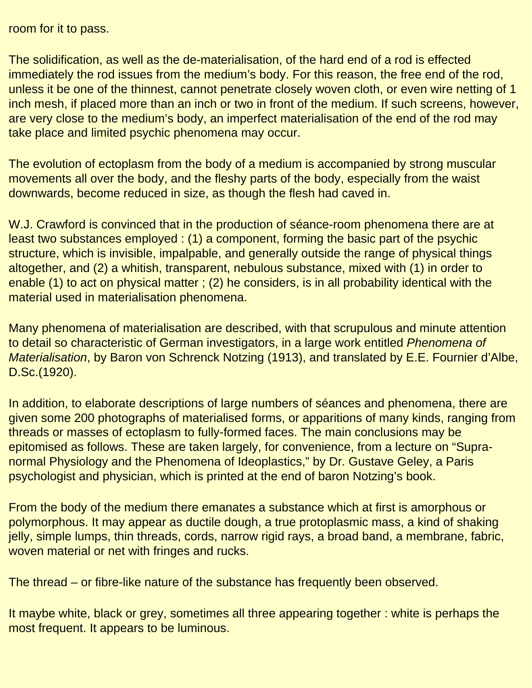room for it to pass.

The solidification, as well as the de-materialisation, of the hard end of a rod is effected immediately the rod issues from the medium's body. For this reason, the free end of the rod, unless it be one of the thinnest, cannot penetrate closely woven cloth, or even wire netting of 1 inch mesh, if placed more than an inch or two in front of the medium. If such screens, however, are very close to the medium's body, an imperfect materialisation of the end of the rod may take place and limited psychic phenomena may occur.

The evolution of ectoplasm from the body of a medium is accompanied by strong muscular movements all over the body, and the fleshy parts of the body, especially from the waist downwards, become reduced in size, as though the flesh had caved in.

W.J. Crawford is convinced that in the production of séance-room phenomena there are at least two substances employed : (1) a component, forming the basic part of the psychic structure, which is invisible, impalpable, and generally outside the range of physical things altogether, and (2) a whitish, transparent, nebulous substance, mixed with (1) in order to enable (1) to act on physical matter ; (2) he considers, is in all probability identical with the material used in materialisation phenomena.

Many phenomena of materialisation are described, with that scrupulous and minute attention to detail so characteristic of German investigators, in a large work entitled *Phenomena of Materialisation*, by Baron von Schrenck Notzing (1913), and translated by E.E. Fournier d'Albe, D.Sc.(1920).

In addition, to elaborate descriptions of large numbers of séances and phenomena, there are given some 200 photographs of materialised forms, or apparitions of many kinds, ranging from threads or masses of ectoplasm to fully-formed faces. The main conclusions may be epitomised as follows. These are taken largely, for convenience, from a lecture on "Supranormal Physiology and the Phenomena of Ideoplastics," by Dr. Gustave Geley, a Paris psychologist and physician, which is printed at the end of baron Notzing's book.

From the body of the medium there emanates a substance which at first is amorphous or polymorphous. It may appear as ductile dough, a true protoplasmic mass, a kind of shaking jelly, simple lumps, thin threads, cords, narrow rigid rays, a broad band, a membrane, fabric, woven material or net with fringes and rucks.

The thread – or fibre-like nature of the substance has frequently been observed.

It maybe white, black or grey, sometimes all three appearing together : white is perhaps the most frequent. It appears to be luminous.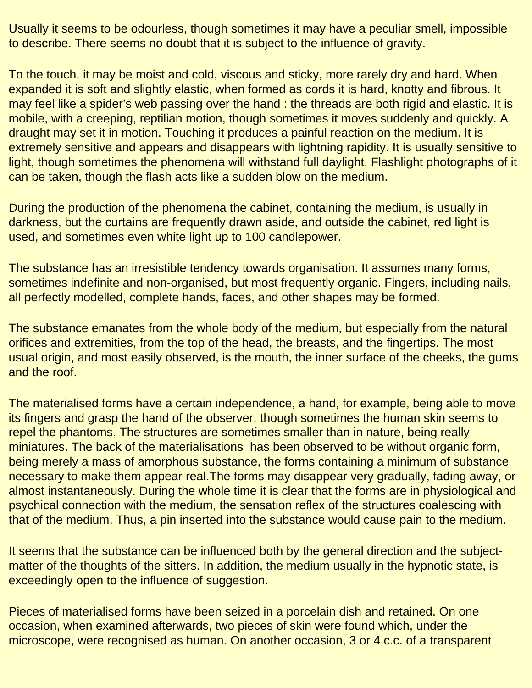Usually it seems to be odourless, though sometimes it may have a peculiar smell, impossible to describe. There seems no doubt that it is subject to the influence of gravity.

To the touch, it may be moist and cold, viscous and sticky, more rarely dry and hard. When expanded it is soft and slightly elastic, when formed as cords it is hard, knotty and fibrous. It may feel like a spider's web passing over the hand : the threads are both rigid and elastic. It is mobile, with a creeping, reptilian motion, though sometimes it moves suddenly and quickly. A draught may set it in motion. Touching it produces a painful reaction on the medium. It is extremely sensitive and appears and disappears with lightning rapidity. It is usually sensitive to light, though sometimes the phenomena will withstand full daylight. Flashlight photographs of it can be taken, though the flash acts like a sudden blow on the medium.

During the production of the phenomena the cabinet, containing the medium, is usually in darkness, but the curtains are frequently drawn aside, and outside the cabinet, red light is used, and sometimes even white light up to 100 candlepower.

The substance has an irresistible tendency towards organisation. It assumes many forms, sometimes indefinite and non-organised, but most frequently organic. Fingers, including nails, all perfectly modelled, complete hands, faces, and other shapes may be formed.

The substance emanates from the whole body of the medium, but especially from the natural orifices and extremities, from the top of the head, the breasts, and the fingertips. The most usual origin, and most easily observed, is the mouth, the inner surface of the cheeks, the gums and the roof.

The materialised forms have a certain independence, a hand, for example, being able to move its fingers and grasp the hand of the observer, though sometimes the human skin seems to repel the phantoms. The structures are sometimes smaller than in nature, being really miniatures. The back of the materialisations has been observed to be without organic form, being merely a mass of amorphous substance, the forms containing a minimum of substance necessary to make them appear real.The forms may disappear very gradually, fading away, or almost instantaneously. During the whole time it is clear that the forms are in physiological and psychical connection with the medium, the sensation reflex of the structures coalescing with that of the medium. Thus, a pin inserted into the substance would cause pain to the medium.

It seems that the substance can be influenced both by the general direction and the subjectmatter of the thoughts of the sitters. In addition, the medium usually in the hypnotic state, is exceedingly open to the influence of suggestion.

Pieces of materialised forms have been seized in a porcelain dish and retained. On one occasion, when examined afterwards, two pieces of skin were found which, under the microscope, were recognised as human. On another occasion, 3 or 4 c.c. of a transparent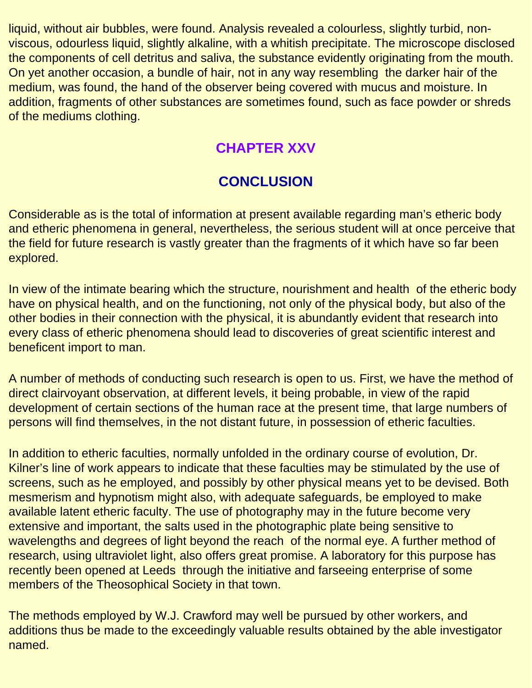liquid, without air bubbles, were found. Analysis revealed a colourless, slightly turbid, nonviscous, odourless liquid, slightly alkaline, with a whitish precipitate. The microscope disclosed the components of cell detritus and saliva, the substance evidently originating from the mouth. On yet another occasion, a bundle of hair, not in any way resembling the darker hair of the medium, was found, the hand of the observer being covered with mucus and moisture. In addition, fragments of other substances are sometimes found, such as face powder or shreds of the mediums clothing.

# **CHAPTER XXV**

### **CONCLUSION**

Considerable as is the total of information at present available regarding man's etheric body and etheric phenomena in general, nevertheless, the serious student will at once perceive that the field for future research is vastly greater than the fragments of it which have so far been explored.

In view of the intimate bearing which the structure, nourishment and health of the etheric body have on physical health, and on the functioning, not only of the physical body, but also of the other bodies in their connection with the physical, it is abundantly evident that research into every class of etheric phenomena should lead to discoveries of great scientific interest and beneficent import to man.

A number of methods of conducting such research is open to us. First, we have the method of direct clairvoyant observation, at different levels, it being probable, in view of the rapid development of certain sections of the human race at the present time, that large numbers of persons will find themselves, in the not distant future, in possession of etheric faculties.

In addition to etheric faculties, normally unfolded in the ordinary course of evolution, Dr. Kilner's line of work appears to indicate that these faculties may be stimulated by the use of screens, such as he employed, and possibly by other physical means yet to be devised. Both mesmerism and hypnotism might also, with adequate safeguards, be employed to make available latent etheric faculty. The use of photography may in the future become very extensive and important, the salts used in the photographic plate being sensitive to wavelengths and degrees of light beyond the reach of the normal eye. A further method of research, using ultraviolet light, also offers great promise. A laboratory for this purpose has recently been opened at Leeds through the initiative and farseeing enterprise of some members of the Theosophical Society in that town.

The methods employed by W.J. Crawford may well be pursued by other workers, and additions thus be made to the exceedingly valuable results obtained by the able investigator named.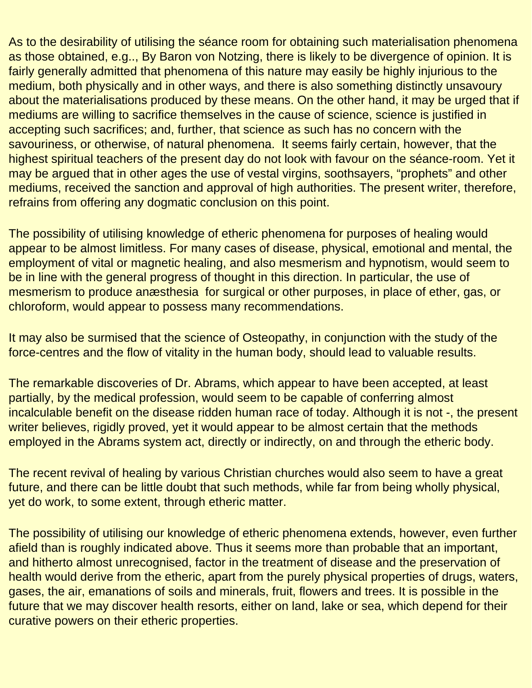As to the desirability of utilising the séance room for obtaining such materialisation phenomena as those obtained, e.g.., By Baron von Notzing, there is likely to be divergence of opinion. It is fairly generally admitted that phenomena of this nature may easily be highly injurious to the medium, both physically and in other ways, and there is also something distinctly unsavoury about the materialisations produced by these means. On the other hand, it may be urged that if mediums are willing to sacrifice themselves in the cause of science, science is justified in accepting such sacrifices; and, further, that science as such has no concern with the savouriness, or otherwise, of natural phenomena. It seems fairly certain, however, that the highest spiritual teachers of the present day do not look with favour on the séance-room. Yet it may be argued that in other ages the use of vestal virgins, soothsayers, "prophets" and other mediums, received the sanction and approval of high authorities. The present writer, therefore, refrains from offering any dogmatic conclusion on this point.

The possibility of utilising knowledge of etheric phenomena for purposes of healing would appear to be almost limitless. For many cases of disease, physical, emotional and mental, the employment of vital or magnetic healing, and also mesmerism and hypnotism, would seem to be in line with the general progress of thought in this direction. In particular, the use of mesmerism to produce anæsthesia for surgical or other purposes, in place of ether, gas, or chloroform, would appear to possess many recommendations.

It may also be surmised that the science of Osteopathy, in conjunction with the study of the force-centres and the flow of vitality in the human body, should lead to valuable results.

The remarkable discoveries of Dr. Abrams, which appear to have been accepted, at least partially, by the medical profession, would seem to be capable of conferring almost incalculable benefit on the disease ridden human race of today. Although it is not -, the present writer believes, rigidly proved, yet it would appear to be almost certain that the methods employed in the Abrams system act, directly or indirectly, on and through the etheric body.

The recent revival of healing by various Christian churches would also seem to have a great future, and there can be little doubt that such methods, while far from being wholly physical, yet do work, to some extent, through etheric matter.

The possibility of utilising our knowledge of etheric phenomena extends, however, even further afield than is roughly indicated above. Thus it seems more than probable that an important, and hitherto almost unrecognised, factor in the treatment of disease and the preservation of health would derive from the etheric, apart from the purely physical properties of drugs, waters, gases, the air, emanations of soils and minerals, fruit, flowers and trees. It is possible in the future that we may discover health resorts, either on land, lake or sea, which depend for their curative powers on their etheric properties.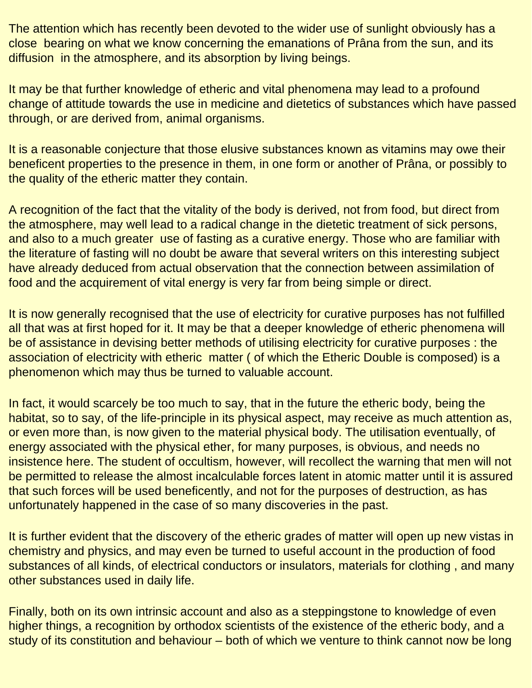The attention which has recently been devoted to the wider use of sunlight obviously has a close bearing on what we know concerning the emanations of Prâna from the sun, and its diffusion in the atmosphere, and its absorption by living beings.

It may be that further knowledge of etheric and vital phenomena may lead to a profound change of attitude towards the use in medicine and dietetics of substances which have passed through, or are derived from, animal organisms.

It is a reasonable conjecture that those elusive substances known as vitamins may owe their beneficent properties to the presence in them, in one form or another of Prâna, or possibly to the quality of the etheric matter they contain.

A recognition of the fact that the vitality of the body is derived, not from food, but direct from the atmosphere, may well lead to a radical change in the dietetic treatment of sick persons, and also to a much greater use of fasting as a curative energy. Those who are familiar with the literature of fasting will no doubt be aware that several writers on this interesting subject have already deduced from actual observation that the connection between assimilation of food and the acquirement of vital energy is very far from being simple or direct.

It is now generally recognised that the use of electricity for curative purposes has not fulfilled all that was at first hoped for it. It may be that a deeper knowledge of etheric phenomena will be of assistance in devising better methods of utilising electricity for curative purposes : the association of electricity with etheric matter ( of which the Etheric Double is composed) is a phenomenon which may thus be turned to valuable account.

In fact, it would scarcely be too much to say, that in the future the etheric body, being the habitat, so to say, of the life-principle in its physical aspect, may receive as much attention as, or even more than, is now given to the material physical body. The utilisation eventually, of energy associated with the physical ether, for many purposes, is obvious, and needs no insistence here. The student of occultism, however, will recollect the warning that men will not be permitted to release the almost incalculable forces latent in atomic matter until it is assured that such forces will be used beneficently, and not for the purposes of destruction, as has unfortunately happened in the case of so many discoveries in the past.

It is further evident that the discovery of the etheric grades of matter will open up new vistas in chemistry and physics, and may even be turned to useful account in the production of food substances of all kinds, of electrical conductors or insulators, materials for clothing , and many other substances used in daily life.

Finally, both on its own intrinsic account and also as a steppingstone to knowledge of even higher things, a recognition by orthodox scientists of the existence of the etheric body, and a study of its constitution and behaviour – both of which we venture to think cannot now be long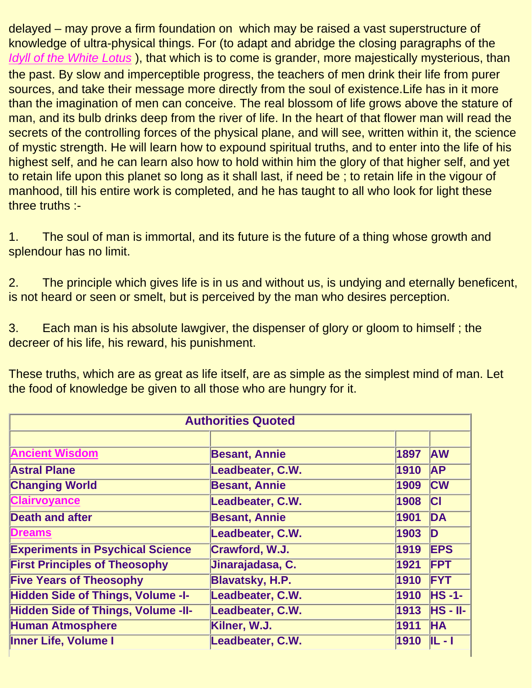delayed – may prove a firm foundation on which may be raised a vast superstructure of knowledge of ultra-physical things. For (to adapt and abridge the closing paragraphs of the *[Idyll of the White Lotus](http://www.theosophical.ca/IdyllLotus.htm)* ), that which is to come is grander, more majestically mysterious, than the past. By slow and imperceptible progress, the teachers of men drink their life from purer sources, and take their message more directly from the soul of existence.Life has in it more than the imagination of men can conceive. The real blossom of life grows above the stature of man, and its bulb drinks deep from the river of life. In the heart of that flower man will read the secrets of the controlling forces of the physical plane, and will see, written within it, the science of mystic strength. He will learn how to expound spiritual truths, and to enter into the life of his highest self, and he can learn also how to hold within him the glory of that higher self, and yet to retain life upon this planet so long as it shall last, if need be ; to retain life in the vigour of manhood, till his entire work is completed, and he has taught to all who look for light these three truths :-

1. The soul of man is immortal, and its future is the future of a thing whose growth and splendour has no limit.

2. The principle which gives life is in us and without us, is undying and eternally beneficent, is not heard or seen or smelt, but is perceived by the man who desires perception.

3. Each man is his absolute lawgiver, the dispenser of glory or gloom to himself ; the decreer of his life, his reward, his punishment.

These truths, which are as great as life itself, are as simple as the simplest mind of man. Let the food of knowledge be given to all those who are hungry for it.

| <b>Authorities Quoted</b>                 |                        |      |              |  |
|-------------------------------------------|------------------------|------|--------------|--|
|                                           |                        |      |              |  |
| <b>Ancient Wisdom</b>                     | <b>Besant, Annie</b>   | 1897 | <b>AW</b>    |  |
| <b>Astral Plane</b>                       | Leadbeater, C.W.       | 1910 | <b>AP</b>    |  |
| <b>Changing World</b>                     | <b>Besant, Annie</b>   | 1909 | <b>CW</b>    |  |
| <b>Clairvoyance</b>                       | Leadbeater, C.W.       | 1908 | C            |  |
| <b>Death and after</b>                    | <b>Besant, Annie</b>   | 1901 | <b>DA</b>    |  |
| <b>Dreams</b>                             | Leadbeater, C.W.       | 1903 | D            |  |
| <b>Experiments in Psychical Science</b>   | Crawford, W.J.         | 1919 | <b>EPS</b>   |  |
| <b>First Principles of Theosophy</b>      | Jinarajadasa, C.       | 1921 | <b>FPT</b>   |  |
| <b>Five Years of Theosophy</b>            | <b>Blavatsky, H.P.</b> | 1910 | <b>FYT</b>   |  |
| <b>Hidden Side of Things, Volume -I-</b>  | Leadbeater, C.W.       | 1910 | <b>HS-1-</b> |  |
| <b>Hidden Side of Things, Volume -II-</b> | Leadbeater, C.W.       | 1913 | $HS - II -$  |  |
| <b>Human Atmosphere</b>                   | Kilner, W.J.           | 1911 | <b>HA</b>    |  |
| <b>Inner Life, Volume I</b>               | Leadbeater, C.W.       | 1910 | $IL - I$     |  |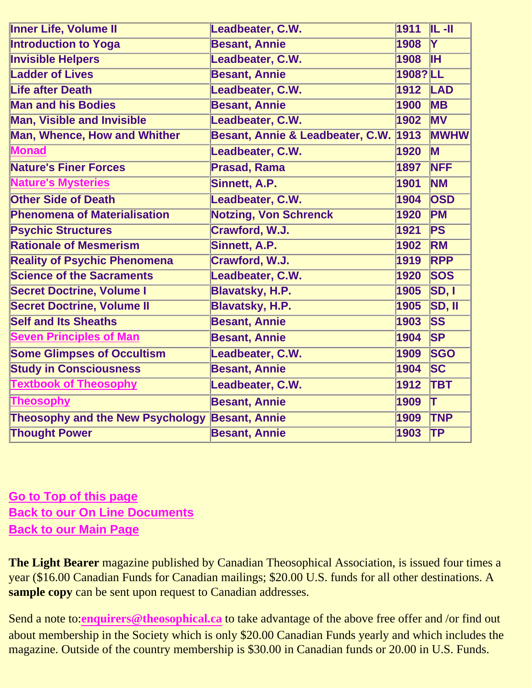| Inner Life, Volume II                   | Leadbeater, C.W.                 | 1911    | $\overline{\mathsf{IL}}$ -II |
|-----------------------------------------|----------------------------------|---------|------------------------------|
| <b>Introduction to Yoga</b>             | <b>Besant, Annie</b>             | 1908    | $\overline{\mathsf{Y}}$      |
| <b>Invisible Helpers</b>                | Leadbeater, C.W.                 | 1908    | <b>TH</b>                    |
| <b>Ladder of Lives</b>                  | <b>Besant, Annie</b>             | 1908?LL |                              |
| <b>Life after Death</b>                 | Leadbeater, C.W.                 | 1912    | <b>LAD</b>                   |
| <b>Man and his Bodies</b>               | <b>Besant, Annie</b>             | 1900    | <b>MB</b>                    |
| <b>Man, Visible and Invisible</b>       | Leadbeater, C.W.                 | 1902    | <b>MV</b>                    |
| <b>Man, Whence, How and Whither</b>     | Besant, Annie & Leadbeater, C.W. | 1913    | <b>MWHW</b>                  |
| <b>Monad</b>                            | Leadbeater, C.W.                 | 1920    | <b>M</b>                     |
| <b>Nature's Finer Forces</b>            | <b>Prasad, Rama</b>              | 1897    | <b>NFF</b>                   |
| <b>Nature's Mysteries</b>               | Sinnett, A.P.                    | 1901    | <b>NM</b>                    |
| <b>Other Side of Death</b>              | Leadbeater, C.W.                 | 1904    | <b>OSD</b>                   |
| <b>Phenomena of Materialisation</b>     | <b>Notzing, Von Schrenck</b>     | 1920    | <b>PM</b>                    |
| <b>Psychic Structures</b>               | Crawford, W.J.                   | 1921    | <b>PS</b>                    |
| <b>Rationale of Mesmerism</b>           | Sinnett, A.P.                    | 1902    | <b>RM</b>                    |
| <b>Reality of Psychic Phenomena</b>     | <b>Crawford, W.J.</b>            | 1919    | <b>RPP</b>                   |
| <b>Science of the Sacraments</b>        | Leadbeater, C.W.                 | 1920    | <b>SOS</b>                   |
| <b>Secret Doctrine, Volume I</b>        | <b>Blavatsky, H.P.</b>           | 1905    | SD, I                        |
| <b>Secret Doctrine, Volume II</b>       | <b>Blavatsky, H.P.</b>           | 1905    | SD, II                       |
| <b>Self and Its Sheaths</b>             | <b>Besant, Annie</b>             | 1903    | <b>SS</b>                    |
| <b>Seven Principles of Man</b>          | <b>Besant, Annie</b>             | 1904    | <b>SP</b>                    |
| <b>Some Glimpses of Occultism</b>       | <b>Leadbeater, C.W.</b>          | 1909    | <b>SGO</b>                   |
| <b>Study in Consciousness</b>           | <b>Besant, Annie</b>             | 1904    | $\overline{\text{SC}}$       |
| <b>Textbook of Theosophy</b>            | Leadbeater, C.W.                 | 1912    | <b>TBT</b>                   |
| <b>Theosophy</b>                        | <b>Besant, Annie</b>             | 1909    | T                            |
| <b>Theosophy and the New Psychology</b> | <b>Besant, Annie</b>             | 1909    | <b>TNP</b>                   |
| <b>Thought Power</b>                    | <b>Besant, Annie</b>             | 1903    | <b>TP</b>                    |

**Go to Top of this page [Back to our On Line Documents](http://www.theosophical.ca/OnLineDocs.htm) [Back to our Main Page](http://www.theosophical.ca/index.htm)**

**The Light Bearer** magazine published by Canadian Theosophical Association, is issued four times a year (\$16.00 Canadian Funds for Canadian mailings; \$20.00 U.S. funds for all other destinations. A **sample copy** can be sent upon request to Canadian addresses.

Send a note to:**[enquirers@theosophical.ca](mailto:enquirers@theosophical.ca)** to take advantage of the above free offer and /or find out about membership in the Society which is only \$20.00 Canadian Funds yearly and which includes the magazine. Outside of the country membership is \$30.00 in Canadian funds or 20.00 in U.S. Funds.